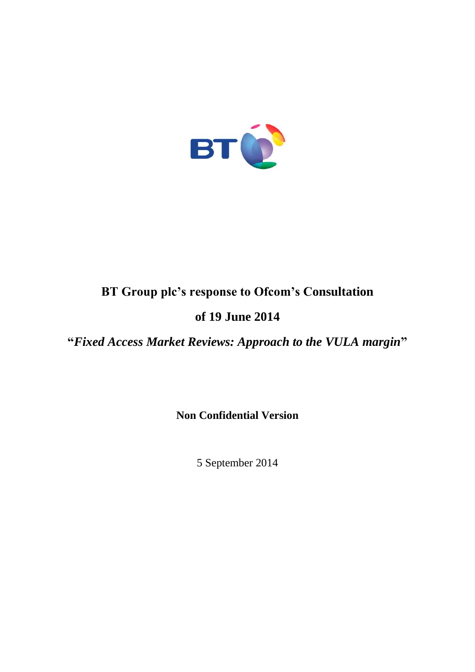

# **BT Group plc's response to Ofcom's Consultation**

# **of 19 June 2014**

**"***Fixed Access Market Reviews: Approach to the VULA margin***"**

**Non Confidential Version**

5 September 2014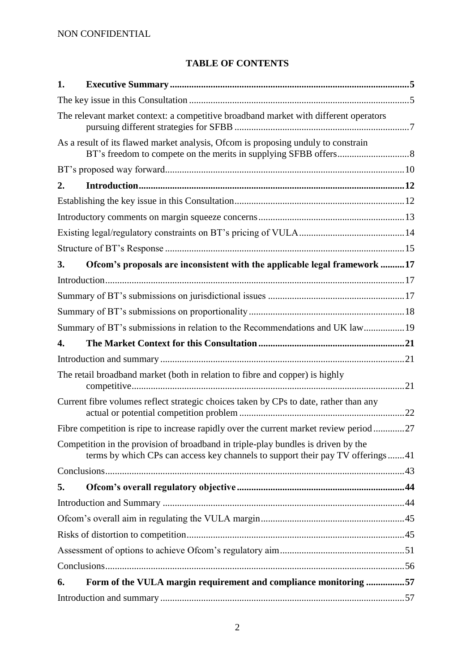# **TABLE OF CONTENTS**

| 1. |                                                                                                                                                                     |  |
|----|---------------------------------------------------------------------------------------------------------------------------------------------------------------------|--|
|    |                                                                                                                                                                     |  |
|    | The relevant market context: a competitive broadband market with different operators                                                                                |  |
|    | As a result of its flawed market analysis, Ofcom is proposing unduly to constrain                                                                                   |  |
|    |                                                                                                                                                                     |  |
| 2. |                                                                                                                                                                     |  |
|    |                                                                                                                                                                     |  |
|    |                                                                                                                                                                     |  |
|    |                                                                                                                                                                     |  |
|    |                                                                                                                                                                     |  |
| 3. | Ofcom's proposals are inconsistent with the applicable legal framework 17                                                                                           |  |
|    |                                                                                                                                                                     |  |
|    |                                                                                                                                                                     |  |
|    |                                                                                                                                                                     |  |
|    | Summary of BT's submissions in relation to the Recommendations and UK law19                                                                                         |  |
| 4. |                                                                                                                                                                     |  |
|    |                                                                                                                                                                     |  |
|    | The retail broadband market (both in relation to fibre and copper) is highly                                                                                        |  |
|    | Current fibre volumes reflect strategic choices taken by CPs to date, rather than any                                                                               |  |
|    | Fibre competition is ripe to increase rapidly over the current market review period27                                                                               |  |
|    | Competition in the provision of broadband in triple-play bundles is driven by the<br>terms by which CPs can access key channels to support their pay TV offerings41 |  |
|    |                                                                                                                                                                     |  |
| 5. |                                                                                                                                                                     |  |
|    |                                                                                                                                                                     |  |
|    |                                                                                                                                                                     |  |
|    |                                                                                                                                                                     |  |
|    |                                                                                                                                                                     |  |
|    |                                                                                                                                                                     |  |
| 6. | Form of the VULA margin requirement and compliance monitoring 57                                                                                                    |  |
|    |                                                                                                                                                                     |  |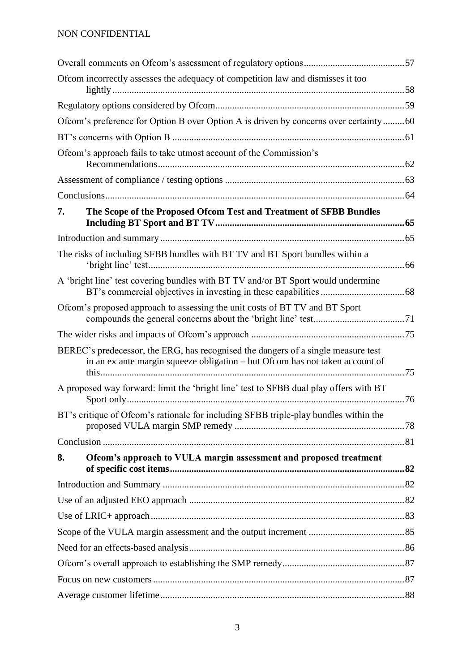# NON CONFIDENTIAL

|    | Ofcom incorrectly assesses the adequacy of competition law and dismisses it too                                                                                   |  |  |  |
|----|-------------------------------------------------------------------------------------------------------------------------------------------------------------------|--|--|--|
|    |                                                                                                                                                                   |  |  |  |
|    |                                                                                                                                                                   |  |  |  |
|    | Ofcom's preference for Option B over Option A is driven by concerns over certainty60                                                                              |  |  |  |
|    |                                                                                                                                                                   |  |  |  |
|    | Ofcom's approach fails to take utmost account of the Commission's                                                                                                 |  |  |  |
|    |                                                                                                                                                                   |  |  |  |
|    |                                                                                                                                                                   |  |  |  |
| 7. | The Scope of the Proposed Ofcom Test and Treatment of SFBB Bundles                                                                                                |  |  |  |
|    |                                                                                                                                                                   |  |  |  |
|    | The risks of including SFBB bundles with BT TV and BT Sport bundles within a                                                                                      |  |  |  |
|    | A 'bright line' test covering bundles with BT TV and/or BT Sport would undermine                                                                                  |  |  |  |
|    | Ofcom's proposed approach to assessing the unit costs of BT TV and BT Sport                                                                                       |  |  |  |
|    |                                                                                                                                                                   |  |  |  |
|    | BEREC's predecessor, the ERG, has recognised the dangers of a single measure test<br>in an ex ante margin squeeze obligation - but Ofcom has not taken account of |  |  |  |
|    | A proposed way forward: limit the 'bright line' test to SFBB dual play offers with BT                                                                             |  |  |  |
|    | BT's critique of Ofcom's rationale for including SFBB triple-play bundles within the                                                                              |  |  |  |
|    |                                                                                                                                                                   |  |  |  |
| 8. | Ofcom's approach to VULA margin assessment and proposed treatment                                                                                                 |  |  |  |
|    |                                                                                                                                                                   |  |  |  |
|    |                                                                                                                                                                   |  |  |  |
|    |                                                                                                                                                                   |  |  |  |
|    |                                                                                                                                                                   |  |  |  |
|    |                                                                                                                                                                   |  |  |  |
|    |                                                                                                                                                                   |  |  |  |
|    |                                                                                                                                                                   |  |  |  |
|    |                                                                                                                                                                   |  |  |  |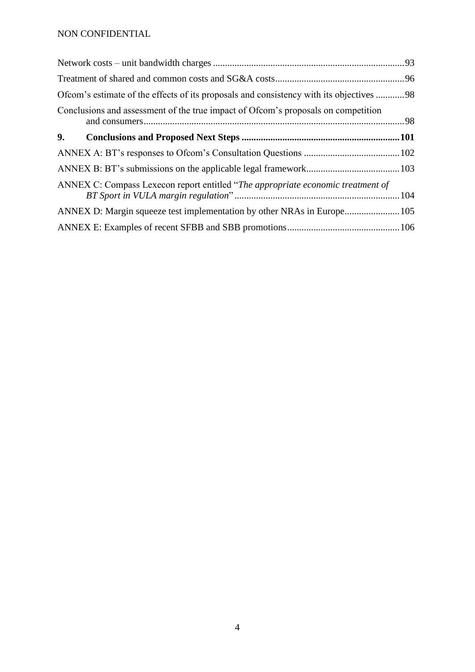# NON CONFIDENTIAL

| Ofcom's estimate of the effects of its proposals and consistency with its objectives 98 |  |
|-----------------------------------------------------------------------------------------|--|
| Conclusions and assessment of the true impact of Ofcom's proposals on competition       |  |
| 9.                                                                                      |  |
|                                                                                         |  |
|                                                                                         |  |
| ANNEX C: Compass Lexecon report entitled "The appropriate economic treatment of         |  |
|                                                                                         |  |
|                                                                                         |  |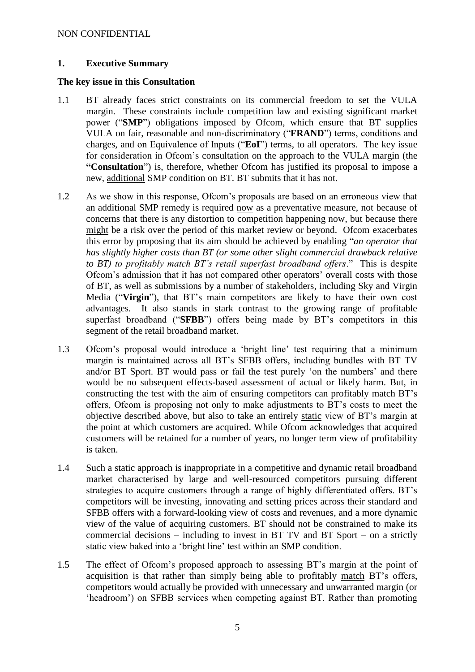#### <span id="page-4-0"></span>**1. Executive Summary**

#### <span id="page-4-1"></span>**The key issue in this Consultation**

- 1.1 BT already faces strict constraints on its commercial freedom to set the VULA margin. These constraints include competition law and existing significant market power ("**SMP**") obligations imposed by Ofcom, which ensure that BT supplies VULA on fair, reasonable and non-discriminatory ("**FRAND**") terms, conditions and charges, and on Equivalence of Inputs ("**EoI**") terms, to all operators. The key issue for consideration in Ofcom's consultation on the approach to the VULA margin (the **"Consultation**") is, therefore, whether Ofcom has justified its proposal to impose a new, additional SMP condition on BT. BT submits that it has not.
- 1.2 As we show in this response, Ofcom's proposals are based on an erroneous view that an additional SMP remedy is required now as a preventative measure, not because of concerns that there is any distortion to competition happening now, but because there might be a risk over the period of this market review or beyond. Ofcom exacerbates this error by proposing that its aim should be achieved by enabling "*an operator that has slightly higher costs than BT (or some other slight commercial drawback relative to BT) to profitably match BT's retail superfast broadband offers*." This is despite Ofcom's admission that it has not compared other operators' overall costs with those of BT, as well as submissions by a number of stakeholders, including Sky and Virgin Media ("**Virgin**"), that BT's main competitors are likely to have their own cost advantages. It also stands in stark contrast to the growing range of profitable superfast broadband ("**SFBB**") offers being made by BT's competitors in this segment of the retail broadband market.
- 1.3 Ofcom's proposal would introduce a 'bright line' test requiring that a minimum margin is maintained across all BT's SFBB offers, including bundles with BT TV and/or BT Sport. BT would pass or fail the test purely 'on the numbers' and there would be no subsequent effects-based assessment of actual or likely harm. But, in constructing the test with the aim of ensuring competitors can profitably match BT's offers, Ofcom is proposing not only to make adjustments to BT's costs to meet the objective described above, but also to take an entirely static view of BT's margin at the point at which customers are acquired. While Ofcom acknowledges that acquired customers will be retained for a number of years, no longer term view of profitability is taken.
- 1.4 Such a static approach is inappropriate in a competitive and dynamic retail broadband market characterised by large and well-resourced competitors pursuing different strategies to acquire customers through a range of highly differentiated offers. BT's competitors will be investing, innovating and setting prices across their standard and SFBB offers with a forward-looking view of costs and revenues, and a more dynamic view of the value of acquiring customers. BT should not be constrained to make its commercial decisions – including to invest in BT TV and BT Sport – on a strictly static view baked into a 'bright line' test within an SMP condition.
- 1.5 The effect of Ofcom's proposed approach to assessing BT's margin at the point of acquisition is that rather than simply being able to profitably match BT's offers, competitors would actually be provided with unnecessary and unwarranted margin (or 'headroom') on SFBB services when competing against BT. Rather than promoting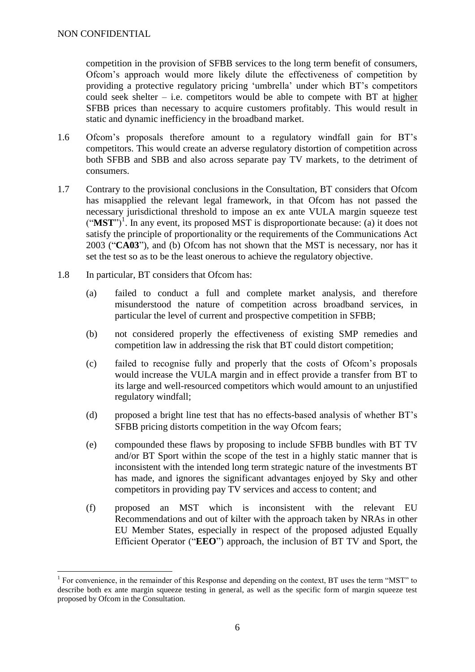1

competition in the provision of SFBB services to the long term benefit of consumers, Ofcom's approach would more likely dilute the effectiveness of competition by providing a protective regulatory pricing 'umbrella' under which BT's competitors could seek shelter  $-$  i.e. competitors would be able to compete with BT at higher SFBB prices than necessary to acquire customers profitably. This would result in static and dynamic inefficiency in the broadband market.

- 1.6 Ofcom's proposals therefore amount to a regulatory windfall gain for BT's competitors. This would create an adverse regulatory distortion of competition across both SFBB and SBB and also across separate pay TV markets, to the detriment of consumers.
- 1.7 Contrary to the provisional conclusions in the Consultation, BT considers that Ofcom has misapplied the relevant legal framework, in that Ofcom has not passed the necessary jurisdictional threshold to impose an ex ante VULA margin squeeze test  $("MST")^1$ . In any event, its proposed MST is disproportionate because: (a) it does not satisfy the principle of proportionality or the requirements of the Communications Act 2003 ("**CA03**"), and (b) Ofcom has not shown that the MST is necessary, nor has it set the test so as to be the least onerous to achieve the regulatory objective.
- 1.8 In particular, BT considers that Ofcom has:
	- (a) failed to conduct a full and complete market analysis, and therefore misunderstood the nature of competition across broadband services, in particular the level of current and prospective competition in SFBB;
	- (b) not considered properly the effectiveness of existing SMP remedies and competition law in addressing the risk that BT could distort competition;
	- (c) failed to recognise fully and properly that the costs of Ofcom's proposals would increase the VULA margin and in effect provide a transfer from BT to its large and well-resourced competitors which would amount to an unjustified regulatory windfall;
	- (d) proposed a bright line test that has no effects-based analysis of whether BT's SFBB pricing distorts competition in the way Ofcom fears;
	- (e) compounded these flaws by proposing to include SFBB bundles with BT TV and/or BT Sport within the scope of the test in a highly static manner that is inconsistent with the intended long term strategic nature of the investments BT has made, and ignores the significant advantages enjoyed by Sky and other competitors in providing pay TV services and access to content; and
	- (f) proposed an MST which is inconsistent with the relevant EU Recommendations and out of kilter with the approach taken by NRAs in other EU Member States, especially in respect of the proposed adjusted Equally Efficient Operator ("**EEO**") approach, the inclusion of BT TV and Sport, the

<sup>&</sup>lt;sup>1</sup> For convenience, in the remainder of this Response and depending on the context, BT uses the term "MST" to describe both ex ante margin squeeze testing in general, as well as the specific form of margin squeeze test proposed by Ofcom in the Consultation.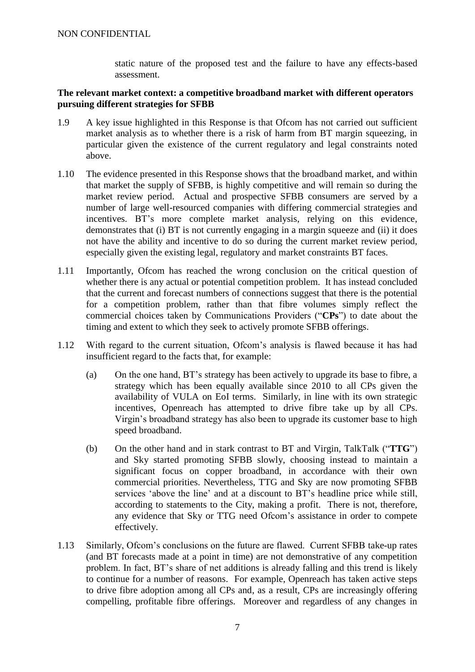static nature of the proposed test and the failure to have any effects-based assessment.

#### <span id="page-6-0"></span>**The relevant market context: a competitive broadband market with different operators pursuing different strategies for SFBB**

- 1.9 A key issue highlighted in this Response is that Ofcom has not carried out sufficient market analysis as to whether there is a risk of harm from BT margin squeezing, in particular given the existence of the current regulatory and legal constraints noted above.
- 1.10 The evidence presented in this Response shows that the broadband market, and within that market the supply of SFBB, is highly competitive and will remain so during the market review period. Actual and prospective SFBB consumers are served by a number of large well-resourced companies with differing commercial strategies and incentives. BT's more complete market analysis, relying on this evidence, demonstrates that (i) BT is not currently engaging in a margin squeeze and (ii) it does not have the ability and incentive to do so during the current market review period, especially given the existing legal, regulatory and market constraints BT faces.
- 1.11 Importantly, Ofcom has reached the wrong conclusion on the critical question of whether there is any actual or potential competition problem. It has instead concluded that the current and forecast numbers of connections suggest that there is the potential for a competition problem, rather than that fibre volumes simply reflect the commercial choices taken by Communications Providers ("**CPs**") to date about the timing and extent to which they seek to actively promote SFBB offerings.
- 1.12 With regard to the current situation, Ofcom's analysis is flawed because it has had insufficient regard to the facts that, for example:
	- (a) On the one hand, BT's strategy has been actively to upgrade its base to fibre, a strategy which has been equally available since 2010 to all CPs given the availability of VULA on EoI terms. Similarly, in line with its own strategic incentives, Openreach has attempted to drive fibre take up by all CPs. Virgin's broadband strategy has also been to upgrade its customer base to high speed broadband.
	- (b) On the other hand and in stark contrast to BT and Virgin, TalkTalk ("**TTG**") and Sky started promoting SFBB slowly, choosing instead to maintain a significant focus on copper broadband, in accordance with their own commercial priorities. Nevertheless, TTG and Sky are now promoting SFBB services 'above the line' and at a discount to BT's headline price while still, according to statements to the City, making a profit. There is not, therefore, any evidence that Sky or TTG need Ofcom's assistance in order to compete effectively.
- 1.13 Similarly, Ofcom's conclusions on the future are flawed. Current SFBB take-up rates (and BT forecasts made at a point in time) are not demonstrative of any competition problem. In fact, BT's share of net additions is already falling and this trend is likely to continue for a number of reasons. For example, Openreach has taken active steps to drive fibre adoption among all CPs and, as a result, CPs are increasingly offering compelling, profitable fibre offerings. Moreover and regardless of any changes in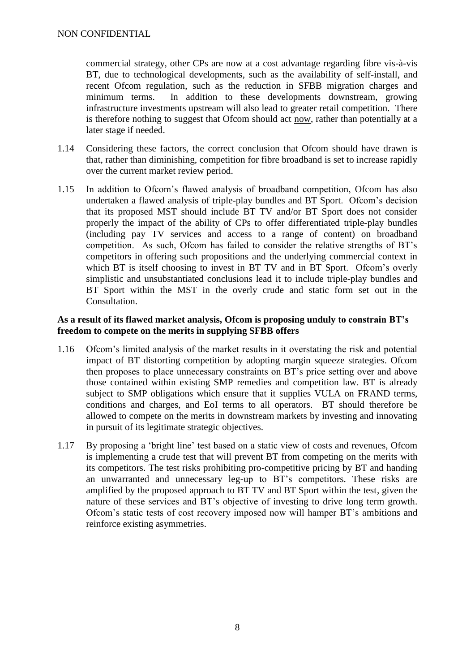commercial strategy, other CPs are now at a cost advantage regarding fibre vis-à-vis BT, due to technological developments, such as the availability of self-install, and recent Ofcom regulation, such as the reduction in SFBB migration charges and minimum terms. In addition to these developments downstream, growing infrastructure investments upstream will also lead to greater retail competition. There is therefore nothing to suggest that Ofcom should act now, rather than potentially at a later stage if needed.

- 1.14 Considering these factors, the correct conclusion that Ofcom should have drawn is that, rather than diminishing, competition for fibre broadband is set to increase rapidly over the current market review period.
- 1.15 In addition to Ofcom's flawed analysis of broadband competition, Ofcom has also undertaken a flawed analysis of triple-play bundles and BT Sport. Ofcom's decision that its proposed MST should include BT TV and/or BT Sport does not consider properly the impact of the ability of CPs to offer differentiated triple-play bundles (including pay TV services and access to a range of content) on broadband competition. As such, Ofcom has failed to consider the relative strengths of BT's competitors in offering such propositions and the underlying commercial context in which BT is itself choosing to invest in BT TV and in BT Sport. Ofcom's overly simplistic and unsubstantiated conclusions lead it to include triple-play bundles and BT Sport within the MST in the overly crude and static form set out in the Consultation.

# <span id="page-7-0"></span>**As a result of its flawed market analysis, Ofcom is proposing unduly to constrain BT's freedom to compete on the merits in supplying SFBB offers**

- 1.16 Ofcom's limited analysis of the market results in it overstating the risk and potential impact of BT distorting competition by adopting margin squeeze strategies. Ofcom then proposes to place unnecessary constraints on BT's price setting over and above those contained within existing SMP remedies and competition law. BT is already subject to SMP obligations which ensure that it supplies VULA on FRAND terms, conditions and charges, and EoI terms to all operators. BT should therefore be allowed to compete on the merits in downstream markets by investing and innovating in pursuit of its legitimate strategic objectives.
- 1.17 By proposing a 'bright line' test based on a static view of costs and revenues, Ofcom is implementing a crude test that will prevent BT from competing on the merits with its competitors. The test risks prohibiting pro-competitive pricing by BT and handing an unwarranted and unnecessary leg-up to BT's competitors. These risks are amplified by the proposed approach to BT TV and BT Sport within the test, given the nature of these services and BT's objective of investing to drive long term growth. Ofcom's static tests of cost recovery imposed now will hamper BT's ambitions and reinforce existing asymmetries.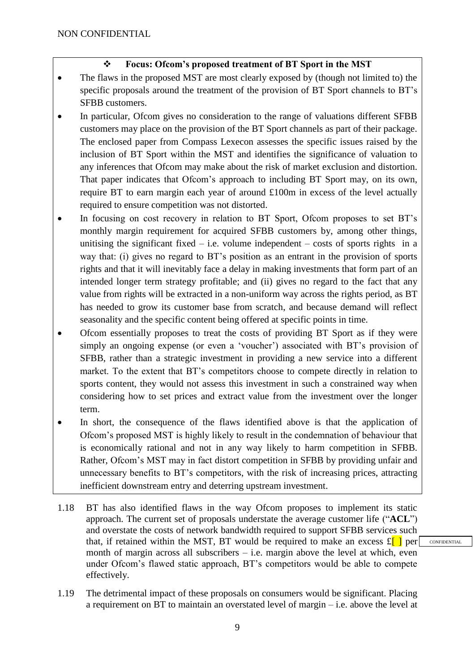# **Focus: Ofcom's proposed treatment of BT Sport in the MST**

- The flaws in the proposed MST are most clearly exposed by (though not limited to) the specific proposals around the treatment of the provision of BT Sport channels to BT's SFBB customers.
- In particular, Ofcom gives no consideration to the range of valuations different SFBB customers may place on the provision of the BT Sport channels as part of their package. The enclosed paper from Compass Lexecon assesses the specific issues raised by the inclusion of BT Sport within the MST and identifies the significance of valuation to any inferences that Ofcom may make about the risk of market exclusion and distortion. That paper indicates that Ofcom's approach to including BT Sport may, on its own, require BT to earn margin each year of around £100m in excess of the level actually required to ensure competition was not distorted.
- In focusing on cost recovery in relation to BT Sport, Ofcom proposes to set BT's monthly margin requirement for acquired SFBB customers by, among other things, unitising the significant fixed – i.e. volume independent – costs of sports rights in a way that: (i) gives no regard to BT's position as an entrant in the provision of sports rights and that it will inevitably face a delay in making investments that form part of an intended longer term strategy profitable; and (ii) gives no regard to the fact that any value from rights will be extracted in a non-uniform way across the rights period, as BT has needed to grow its customer base from scratch, and because demand will reflect seasonality and the specific content being offered at specific points in time.
- Ofcom essentially proposes to treat the costs of providing BT Sport as if they were simply an ongoing expense (or even a 'voucher') associated with BT's provision of SFBB, rather than a strategic investment in providing a new service into a different market. To the extent that BT's competitors choose to compete directly in relation to sports content, they would not assess this investment in such a constrained way when considering how to set prices and extract value from the investment over the longer term.
- In short, the consequence of the flaws identified above is that the application of Ofcom's proposed MST is highly likely to result in the condemnation of behaviour that is economically rational and not in any way likely to harm competition in SFBB. Rather, Ofcom's MST may in fact distort competition in SFBB by providing unfair and unnecessary benefits to BT's competitors, with the risk of increasing prices, attracting inefficient downstream entry and deterring upstream investment.
- 1.18 BT has also identified flaws in the way Ofcom proposes to implement its static approach. The current set of proposals understate the average customer life ("**ACL**") and overstate the costs of network bandwidth required to support SFBB services such that, if retained within the MST, BT would be required to make an excess  $\mathfrak{L}[\ ]$  per month of margin across all subscribers  $-$  i.e. margin above the level at which, even under Ofcom's flawed static approach, BT's competitors would be able to compete effectively.
- 1.19 The detrimental impact of these proposals on consumers would be significant. Placing a requirement on BT to maintain an overstated level of margin – i.e. above the level at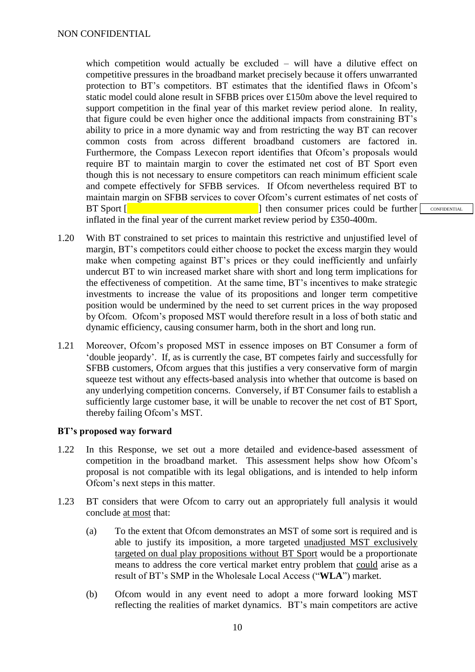which competition would actually be excluded – will have a dilutive effect on competitive pressures in the broadband market precisely because it offers unwarranted protection to BT's competitors. BT estimates that the identified flaws in Ofcom's static model could alone result in SFBB prices over £150m above the level required to support competition in the final year of this market review period alone. In reality, that figure could be even higher once the additional impacts from constraining BT's ability to price in a more dynamic way and from restricting the way BT can recover common costs from across different broadband customers are factored in. Furthermore, the Compass Lexecon report identifies that Ofcom's proposals would require BT to maintain margin to cover the estimated net cost of BT Sport even though this is not necessary to ensure competitors can reach minimum efficient scale and compete effectively for SFBB services. If Ofcom nevertheless required BT to maintain margin on SFBB services to cover Ofcom's current estimates of net costs of BT Sport  $\lceil \cdot \cdot \rceil$  then consumer prices could be further inflated in the final year of the current market review period by £350-400m.

- 1.20 With BT constrained to set prices to maintain this restrictive and unjustified level of margin, BT's competitors could either choose to pocket the excess margin they would make when competing against BT's prices or they could inefficiently and unfairly undercut BT to win increased market share with short and long term implications for the effectiveness of competition. At the same time, BT's incentives to make strategic investments to increase the value of its propositions and longer term competitive position would be undermined by the need to set current prices in the way proposed by Ofcom. Ofcom's proposed MST would therefore result in a loss of both static and dynamic efficiency, causing consumer harm, both in the short and long run.
- 1.21 Moreover, Ofcom's proposed MST in essence imposes on BT Consumer a form of 'double jeopardy'. If, as is currently the case, BT competes fairly and successfully for SFBB customers, Ofcom argues that this justifies a very conservative form of margin squeeze test without any effects-based analysis into whether that outcome is based on any underlying competition concerns. Conversely, if BT Consumer fails to establish a sufficiently large customer base, it will be unable to recover the net cost of BT Sport, thereby failing Ofcom's MST.

# <span id="page-9-0"></span>**BT's proposed way forward**

- 1.22 In this Response, we set out a more detailed and evidence-based assessment of competition in the broadband market. This assessment helps show how Ofcom's proposal is not compatible with its legal obligations, and is intended to help inform Ofcom's next steps in this matter.
- 1.23 BT considers that were Ofcom to carry out an appropriately full analysis it would conclude at most that:
	- (a) To the extent that Ofcom demonstrates an MST of some sort is required and is able to justify its imposition, a more targeted unadjusted MST exclusively targeted on dual play propositions without BT Sport would be a proportionate means to address the core vertical market entry problem that could arise as a result of BT's SMP in the Wholesale Local Access ("**WLA**") market.
	- (b) Ofcom would in any event need to adopt a more forward looking MST reflecting the realities of market dynamics. BT's main competitors are active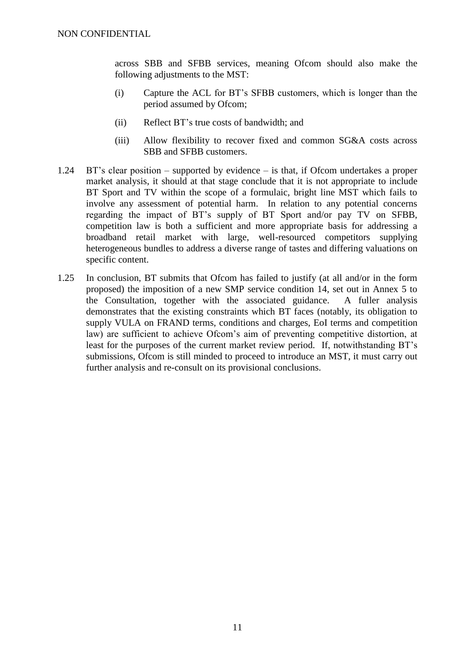across SBB and SFBB services, meaning Ofcom should also make the following adjustments to the MST:

- (i) Capture the ACL for BT's SFBB customers, which is longer than the period assumed by Ofcom;
- (ii) Reflect BT's true costs of bandwidth; and
- (iii) Allow flexibility to recover fixed and common SG&A costs across SBB and SFBB customers.
- 1.24 BT's clear position supported by evidence is that, if Ofcom undertakes a proper market analysis, it should at that stage conclude that it is not appropriate to include BT Sport and TV within the scope of a formulaic, bright line MST which fails to involve any assessment of potential harm. In relation to any potential concerns regarding the impact of BT's supply of BT Sport and/or pay TV on SFBB, competition law is both a sufficient and more appropriate basis for addressing a broadband retail market with large, well-resourced competitors supplying heterogeneous bundles to address a diverse range of tastes and differing valuations on specific content.
- 1.25 In conclusion, BT submits that Ofcom has failed to justify (at all and/or in the form proposed) the imposition of a new SMP service condition 14, set out in Annex 5 to the Consultation, together with the associated guidance. A fuller analysis demonstrates that the existing constraints which BT faces (notably, its obligation to supply VULA on FRAND terms, conditions and charges, EoI terms and competition law) are sufficient to achieve Ofcom's aim of preventing competitive distortion, at least for the purposes of the current market review period. If, notwithstanding BT's submissions, Ofcom is still minded to proceed to introduce an MST, it must carry out further analysis and re-consult on its provisional conclusions.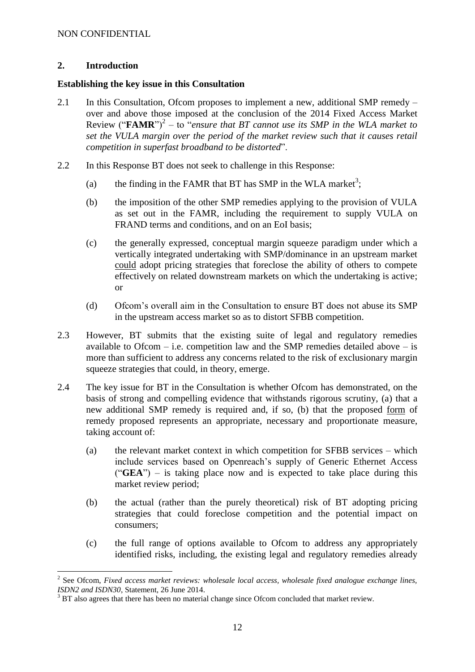# <span id="page-11-0"></span>**2. Introduction**

1

#### <span id="page-11-1"></span>**Establishing the key issue in this Consultation**

- 2.1 In this Consultation, Ofcom proposes to implement a new, additional SMP remedy over and above those imposed at the conclusion of the 2014 Fixed Access Market Review  $("FAMR")^2 - to$  "*ensure that BT cannot use its SMP in the WLA market to set the VULA margin over the period of the market review such that it causes retail competition in superfast broadband to be distorted*".
- 2.2 In this Response BT does not seek to challenge in this Response:
	- (a) the finding in the FAMR that BT has SMP in the WLA market<sup>3</sup>;
	- (b) the imposition of the other SMP remedies applying to the provision of VULA as set out in the FAMR, including the requirement to supply VULA on FRAND terms and conditions, and on an EoI basis;
	- (c) the generally expressed, conceptual margin squeeze paradigm under which a vertically integrated undertaking with SMP/dominance in an upstream market could adopt pricing strategies that foreclose the ability of others to compete effectively on related downstream markets on which the undertaking is active; or
	- (d) Ofcom's overall aim in the Consultation to ensure BT does not abuse its SMP in the upstream access market so as to distort SFBB competition.
- 2.3 However, BT submits that the existing suite of legal and regulatory remedies available to Ofcom – i.e. competition law and the SMP remedies detailed above – is more than sufficient to address any concerns related to the risk of exclusionary margin squeeze strategies that could, in theory, emerge.
- 2.4 The key issue for BT in the Consultation is whether Ofcom has demonstrated, on the basis of strong and compelling evidence that withstands rigorous scrutiny, (a) that a new additional SMP remedy is required and, if so, (b) that the proposed form of remedy proposed represents an appropriate, necessary and proportionate measure, taking account of:
	- (a) the relevant market context in which competition for SFBB services which include services based on Openreach's supply of Generic Ethernet Access ("**GEA**") – is taking place now and is expected to take place during this market review period;
	- (b) the actual (rather than the purely theoretical) risk of BT adopting pricing strategies that could foreclose competition and the potential impact on consumers;
	- (c) the full range of options available to Ofcom to address any appropriately identified risks, including, the existing legal and regulatory remedies already

<sup>&</sup>lt;sup>2</sup> See Ofcom, *Fixed access market reviews: wholesale local access, wholesale fixed analogue exchange lines, ISDN2 and ISDN30*, Statement, 26 June 2014.

 $3$  BT also agrees that there has been no material change since Ofcom concluded that market review.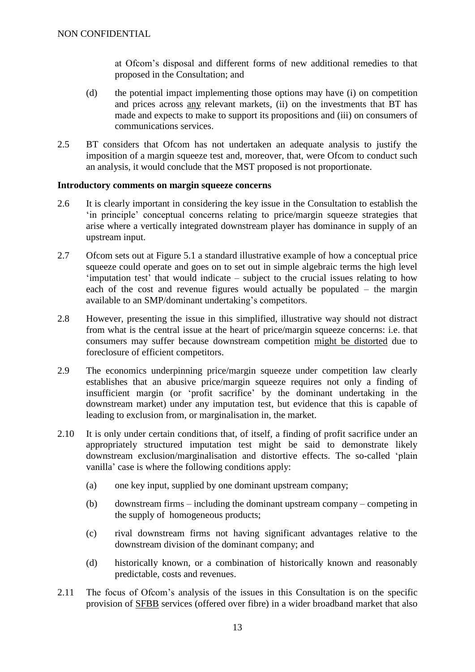at Ofcom's disposal and different forms of new additional remedies to that proposed in the Consultation; and

- (d) the potential impact implementing those options may have (i) on competition and prices across any relevant markets, (ii) on the investments that BT has made and expects to make to support its propositions and (iii) on consumers of communications services.
- 2.5 BT considers that Ofcom has not undertaken an adequate analysis to justify the imposition of a margin squeeze test and, moreover, that, were Ofcom to conduct such an analysis, it would conclude that the MST proposed is not proportionate.

#### <span id="page-12-0"></span>**Introductory comments on margin squeeze concerns**

- 2.6 It is clearly important in considering the key issue in the Consultation to establish the 'in principle' conceptual concerns relating to price/margin squeeze strategies that arise where a vertically integrated downstream player has dominance in supply of an upstream input.
- 2.7 Ofcom sets out at Figure 5.1 a standard illustrative example of how a conceptual price squeeze could operate and goes on to set out in simple algebraic terms the high level 'imputation test' that would indicate – subject to the crucial issues relating to how each of the cost and revenue figures would actually be populated – the margin available to an SMP/dominant undertaking's competitors.
- 2.8 However, presenting the issue in this simplified, illustrative way should not distract from what is the central issue at the heart of price/margin squeeze concerns: i.e. that consumers may suffer because downstream competition might be distorted due to foreclosure of efficient competitors.
- 2.9 The economics underpinning price/margin squeeze under competition law clearly establishes that an abusive price/margin squeeze requires not only a finding of insufficient margin (or 'profit sacrifice' by the dominant undertaking in the downstream market) under any imputation test, but evidence that this is capable of leading to exclusion from, or marginalisation in, the market.
- 2.10 It is only under certain conditions that, of itself, a finding of profit sacrifice under an appropriately structured imputation test might be said to demonstrate likely downstream exclusion/marginalisation and distortive effects. The so-called 'plain vanilla' case is where the following conditions apply:
	- (a) one key input, supplied by one dominant upstream company;
	- (b) downstream firms including the dominant upstream company competing in the supply of homogeneous products;
	- (c) rival downstream firms not having significant advantages relative to the downstream division of the dominant company; and
	- (d) historically known, or a combination of historically known and reasonably predictable, costs and revenues.
- 2.11 The focus of Ofcom's analysis of the issues in this Consultation is on the specific provision of SFBB services (offered over fibre) in a wider broadband market that also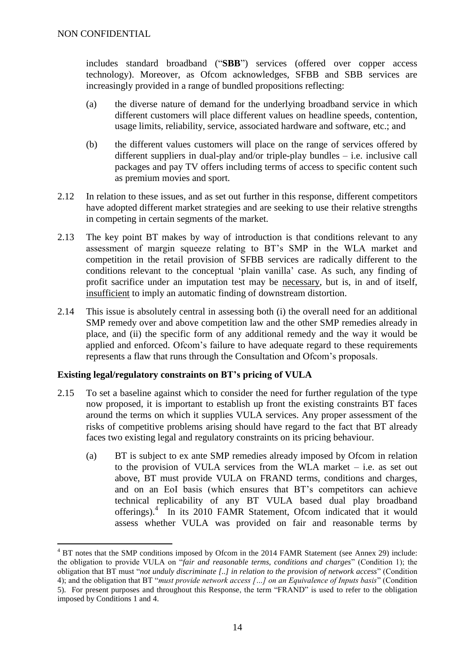includes standard broadband ("**SBB**") services (offered over copper access technology). Moreover, as Ofcom acknowledges, SFBB and SBB services are increasingly provided in a range of bundled propositions reflecting:

- (a) the diverse nature of demand for the underlying broadband service in which different customers will place different values on headline speeds, contention, usage limits, reliability, service, associated hardware and software, etc.; and
- (b) the different values customers will place on the range of services offered by different suppliers in dual-play and/or triple-play bundles – i.e. inclusive call packages and pay TV offers including terms of access to specific content such as premium movies and sport.
- 2.12 In relation to these issues, and as set out further in this response, different competitors have adopted different market strategies and are seeking to use their relative strengths in competing in certain segments of the market.
- 2.13 The key point BT makes by way of introduction is that conditions relevant to any assessment of margin squeeze relating to BT's SMP in the WLA market and competition in the retail provision of SFBB services are radically different to the conditions relevant to the conceptual 'plain vanilla' case. As such, any finding of profit sacrifice under an imputation test may be necessary, but is, in and of itself, insufficient to imply an automatic finding of downstream distortion.
- 2.14 This issue is absolutely central in assessing both (i) the overall need for an additional SMP remedy over and above competition law and the other SMP remedies already in place, and (ii) the specific form of any additional remedy and the way it would be applied and enforced. Ofcom's failure to have adequate regard to these requirements represents a flaw that runs through the Consultation and Ofcom's proposals.

# <span id="page-13-0"></span>**Existing legal/regulatory constraints on BT's pricing of VULA**

- 2.15 To set a baseline against which to consider the need for further regulation of the type now proposed, it is important to establish up front the existing constraints BT faces around the terms on which it supplies VULA services. Any proper assessment of the risks of competitive problems arising should have regard to the fact that BT already faces two existing legal and regulatory constraints on its pricing behaviour.
	- (a) BT is subject to ex ante SMP remedies already imposed by Ofcom in relation to the provision of VULA services from the WLA market – i.e. as set out above, BT must provide VULA on FRAND terms, conditions and charges, and on an EoI basis (which ensures that BT's competitors can achieve technical replicability of any BT VULA based dual play broadband offerings).<sup>4</sup> In its 2010 FAMR Statement, Ofcom indicated that it would assess whether VULA was provided on fair and reasonable terms by

<sup>1</sup> <sup>4</sup> BT notes that the SMP conditions imposed by Ofcom in the 2014 FAMR Statement (see Annex 29) include: the obligation to provide VULA on "*fair and reasonable terms, conditions and charges*" (Condition 1); the obligation that BT must "*not unduly discriminate [..] in relation to the provision of network access*" (Condition 4); and the obligation that BT "*must provide network access […] on an Equivalence of Inputs basis*" (Condition 5). For present purposes and throughout this Response, the term "FRAND" is used to refer to the obligation imposed by Conditions 1 and 4.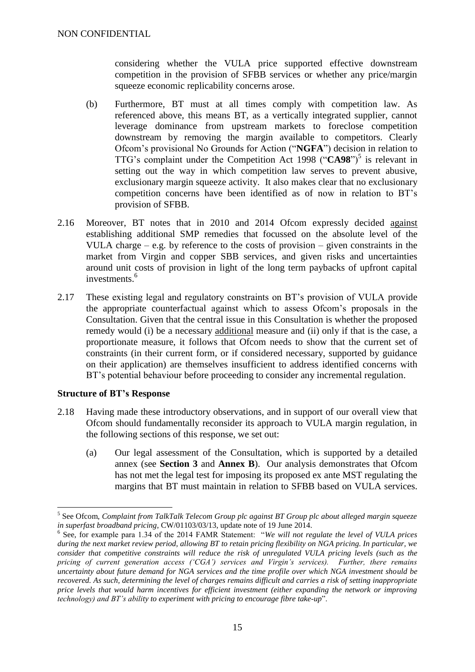considering whether the VULA price supported effective downstream competition in the provision of SFBB services or whether any price/margin squeeze economic replicability concerns arose.

- (b) Furthermore, BT must at all times comply with competition law. As referenced above, this means BT, as a vertically integrated supplier, cannot leverage dominance from upstream markets to foreclose competition downstream by removing the margin available to competitors. Clearly Ofcom's provisional No Grounds for Action ("**NGFA**") decision in relation to TTG's complaint under the Competition Act 1998 (" $C A 98$ ")<sup>5</sup> is relevant in setting out the way in which competition law serves to prevent abusive, exclusionary margin squeeze activity. It also makes clear that no exclusionary competition concerns have been identified as of now in relation to BT's provision of SFBB.
- 2.16 Moreover, BT notes that in 2010 and 2014 Ofcom expressly decided against establishing additional SMP remedies that focussed on the absolute level of the VULA charge – e.g. by reference to the costs of provision – given constraints in the market from Virgin and copper SBB services, and given risks and uncertainties around unit costs of provision in light of the long term paybacks of upfront capital investments.<sup>6</sup>
- 2.17 These existing legal and regulatory constraints on BT's provision of VULA provide the appropriate counterfactual against which to assess Ofcom's proposals in the Consultation. Given that the central issue in this Consultation is whether the proposed remedy would (i) be a necessary additional measure and (ii) only if that is the case, a proportionate measure, it follows that Ofcom needs to show that the current set of constraints (in their current form, or if considered necessary, supported by guidance on their application) are themselves insufficient to address identified concerns with BT's potential behaviour before proceeding to consider any incremental regulation.

# <span id="page-14-0"></span>**Structure of BT's Response**

1

- 2.18 Having made these introductory observations, and in support of our overall view that Ofcom should fundamentally reconsider its approach to VULA margin regulation, in the following sections of this response, we set out:
	- (a) Our legal assessment of the Consultation, which is supported by a detailed annex (see **Section 3** and **Annex B**). Our analysis demonstrates that Ofcom has not met the legal test for imposing its proposed ex ante MST regulating the margins that BT must maintain in relation to SFBB based on VULA services.

<sup>5</sup> See Ofcom, *Complaint from TalkTalk Telecom Group plc against BT Group plc about alleged margin squeeze in superfast broadband pricing*, CW/01103/03/13, update note of 19 June 2014.

<sup>6</sup> See, for example para 1.34 of the 2014 FAMR Statement: "*We will not regulate the level of VULA prices during the next market review period, allowing BT to retain pricing flexibility on NGA pricing. In particular, we consider that competitive constraints will reduce the risk of unregulated VULA pricing levels (such as the pricing of current generation access ('CGA') services and Virgin's services). Further, there remains uncertainty about future demand for NGA services and the time profile over which NGA investment should be recovered. As such, determining the level of charges remains difficult and carries a risk of setting inappropriate price levels that would harm incentives for efficient investment (either expanding the network or improving technology) and BT's ability to experiment with pricing to encourage fibre take-up*".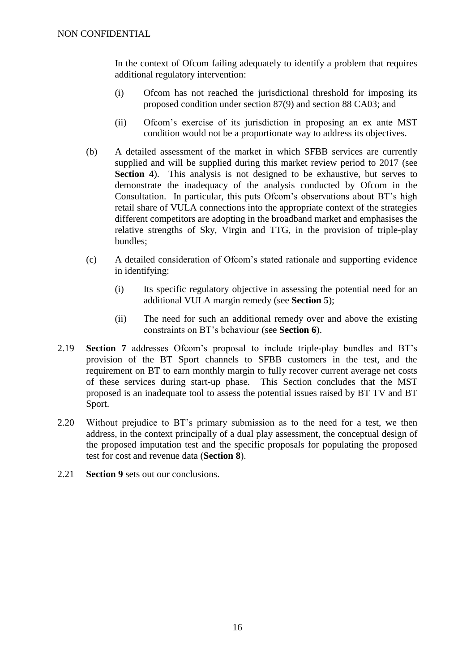In the context of Ofcom failing adequately to identify a problem that requires additional regulatory intervention:

- (i) Ofcom has not reached the jurisdictional threshold for imposing its proposed condition under section 87(9) and section 88 CA03; and
- (ii) Ofcom's exercise of its jurisdiction in proposing an ex ante MST condition would not be a proportionate way to address its objectives.
- (b) A detailed assessment of the market in which SFBB services are currently supplied and will be supplied during this market review period to 2017 (see **Section 4**). This analysis is not designed to be exhaustive, but serves to demonstrate the inadequacy of the analysis conducted by Ofcom in the Consultation. In particular, this puts Ofcom's observations about BT's high retail share of VULA connections into the appropriate context of the strategies different competitors are adopting in the broadband market and emphasises the relative strengths of Sky, Virgin and TTG, in the provision of triple-play bundles;
- (c) A detailed consideration of Ofcom's stated rationale and supporting evidence in identifying:
	- (i) Its specific regulatory objective in assessing the potential need for an additional VULA margin remedy (see **Section 5**);
	- (ii) The need for such an additional remedy over and above the existing constraints on BT's behaviour (see **Section 6**).
- 2.19 **Section 7** addresses Ofcom's proposal to include triple-play bundles and BT's provision of the BT Sport channels to SFBB customers in the test, and the requirement on BT to earn monthly margin to fully recover current average net costs of these services during start-up phase. This Section concludes that the MST proposed is an inadequate tool to assess the potential issues raised by BT TV and BT Sport.
- 2.20 Without prejudice to BT's primary submission as to the need for a test, we then address, in the context principally of a dual play assessment, the conceptual design of the proposed imputation test and the specific proposals for populating the proposed test for cost and revenue data (**Section 8**).
- 2.21 **Section 9** sets out our conclusions.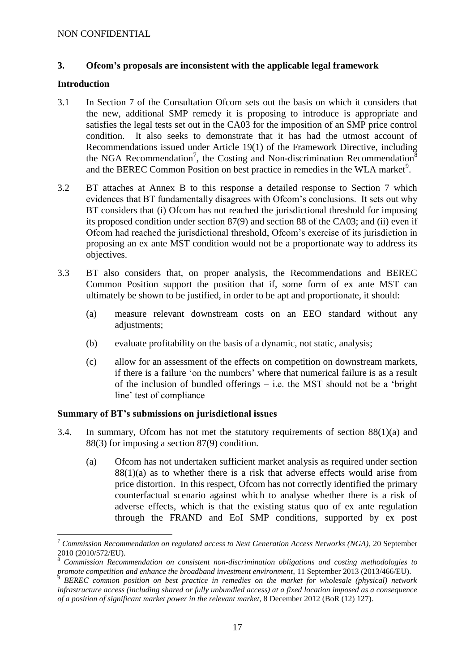# <span id="page-16-0"></span>**3. Ofcom's proposals are inconsistent with the applicable legal framework**

# <span id="page-16-1"></span>**Introduction**

1

- 3.1 In Section 7 of the Consultation Ofcom sets out the basis on which it considers that the new, additional SMP remedy it is proposing to introduce is appropriate and satisfies the legal tests set out in the CA03 for the imposition of an SMP price control condition. It also seeks to demonstrate that it has had the utmost account of Recommendations issued under Article 19(1) of the Framework Directive, including the NGA Recommendation<sup>7</sup>, the Costing and Non-discrimination Recommendation<sup>8</sup> and the BEREC Common Position on best practice in remedies in the WLA market<sup>9</sup>.
- 3.2 BT attaches at Annex B to this response a detailed response to Section 7 which evidences that BT fundamentally disagrees with Ofcom's conclusions. It sets out why BT considers that (i) Ofcom has not reached the jurisdictional threshold for imposing its proposed condition under section 87(9) and section 88 of the CA03; and (ii) even if Ofcom had reached the jurisdictional threshold, Ofcom's exercise of its jurisdiction in proposing an ex ante MST condition would not be a proportionate way to address its objectives.
- 3.3 BT also considers that, on proper analysis, the Recommendations and BEREC Common Position support the position that if, some form of ex ante MST can ultimately be shown to be justified, in order to be apt and proportionate, it should:
	- (a) measure relevant downstream costs on an EEO standard without any adjustments;
	- (b) evaluate profitability on the basis of a dynamic, not static, analysis;
	- (c) allow for an assessment of the effects on competition on downstream markets, if there is a failure 'on the numbers' where that numerical failure is as a result of the inclusion of bundled offerings – i.e. the MST should not be a 'bright line' test of compliance

# <span id="page-16-2"></span>**Summary of BT's submissions on jurisdictional issues**

- 3.4. In summary, Ofcom has not met the statutory requirements of section 88(1)(a) and 88(3) for imposing a section 87(9) condition.
	- (a) Ofcom has not undertaken sufficient market analysis as required under section  $88(1)(a)$  as to whether there is a risk that adverse effects would arise from price distortion. In this respect, Ofcom has not correctly identified the primary counterfactual scenario against which to analyse whether there is a risk of adverse effects, which is that the existing status quo of ex ante regulation through the FRAND and EoI SMP conditions, supported by ex post

<sup>7</sup> *Commission Recommendation on regulated access to Next Generation Access Networks (NGA)*, 20 September 2010 (2010/572/EU).

<sup>8</sup> *Commission Recommendation on consistent non-discrimination obligations and costing methodologies to promote competition and enhance the broadband investment environment*, 11 September 2013 (2013/466/EU).

<sup>9</sup> *BEREC common position on best practice in remedies on the market for wholesale (physical) network infrastructure access (including shared or fully unbundled access) at a fixed location imposed as a consequence of a position of significant market power in the relevant market*, 8 December 2012 (BoR (12) 127).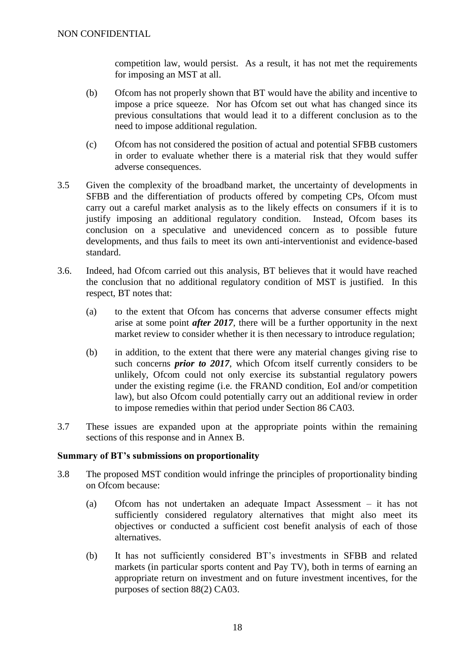competition law, would persist. As a result, it has not met the requirements for imposing an MST at all.

- (b) Ofcom has not properly shown that BT would have the ability and incentive to impose a price squeeze. Nor has Ofcom set out what has changed since its previous consultations that would lead it to a different conclusion as to the need to impose additional regulation.
- (c) Ofcom has not considered the position of actual and potential SFBB customers in order to evaluate whether there is a material risk that they would suffer adverse consequences.
- 3.5 Given the complexity of the broadband market, the uncertainty of developments in SFBB and the differentiation of products offered by competing CPs, Ofcom must carry out a careful market analysis as to the likely effects on consumers if it is to justify imposing an additional regulatory condition. Instead, Ofcom bases its conclusion on a speculative and unevidenced concern as to possible future developments, and thus fails to meet its own anti-interventionist and evidence-based standard.
- 3.6. Indeed, had Ofcom carried out this analysis, BT believes that it would have reached the conclusion that no additional regulatory condition of MST is justified. In this respect, BT notes that:
	- (a) to the extent that Ofcom has concerns that adverse consumer effects might arise at some point *after 2017*, there will be a further opportunity in the next market review to consider whether it is then necessary to introduce regulation;
	- (b) in addition, to the extent that there were any material changes giving rise to such concerns *prior to 2017*, which Ofcom itself currently considers to be unlikely, Ofcom could not only exercise its substantial regulatory powers under the existing regime (i.e. the FRAND condition, EoI and/or competition law), but also Ofcom could potentially carry out an additional review in order to impose remedies within that period under Section 86 CA03.
- 3.7 These issues are expanded upon at the appropriate points within the remaining sections of this response and in Annex B.

# <span id="page-17-0"></span>**Summary of BT's submissions on proportionality**

- 3.8 The proposed MST condition would infringe the principles of proportionality binding on Ofcom because:
	- (a) Ofcom has not undertaken an adequate Impact Assessment it has not sufficiently considered regulatory alternatives that might also meet its objectives or conducted a sufficient cost benefit analysis of each of those alternatives.
	- (b) It has not sufficiently considered BT's investments in SFBB and related markets (in particular sports content and Pay TV), both in terms of earning an appropriate return on investment and on future investment incentives, for the purposes of section 88(2) CA03.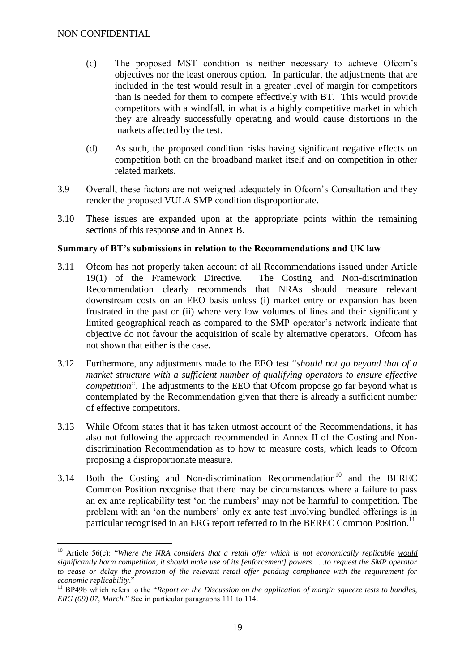1

- (c) The proposed MST condition is neither necessary to achieve Ofcom's objectives nor the least onerous option. In particular, the adjustments that are included in the test would result in a greater level of margin for competitors than is needed for them to compete effectively with BT. This would provide competitors with a windfall, in what is a highly competitive market in which they are already successfully operating and would cause distortions in the markets affected by the test.
- (d) As such, the proposed condition risks having significant negative effects on competition both on the broadband market itself and on competition in other related markets.
- 3.9 Overall, these factors are not weighed adequately in Ofcom's Consultation and they render the proposed VULA SMP condition disproportionate.
- 3.10 These issues are expanded upon at the appropriate points within the remaining sections of this response and in Annex B.

# <span id="page-18-0"></span>**Summary of BT's submissions in relation to the Recommendations and UK law**

- 3.11 Ofcom has not properly taken account of all Recommendations issued under Article 19(1) of the Framework Directive. The Costing and Non-discrimination Recommendation clearly recommends that NRAs should measure relevant downstream costs on an EEO basis unless (i) market entry or expansion has been frustrated in the past or (ii) where very low volumes of lines and their significantly limited geographical reach as compared to the SMP operator's network indicate that objective do not favour the acquisition of scale by alternative operators. Ofcom has not shown that either is the case.
- 3.12 Furthermore, any adjustments made to the EEO test "*should not go beyond that of a market structure with a sufficient number of qualifying operators to ensure effective competition*". The adjustments to the EEO that Ofcom propose go far beyond what is contemplated by the Recommendation given that there is already a sufficient number of effective competitors.
- 3.13 While Ofcom states that it has taken utmost account of the Recommendations, it has also not following the approach recommended in Annex II of the Costing and Nondiscrimination Recommendation as to how to measure costs, which leads to Ofcom proposing a disproportionate measure.
- 3.14 Both the Costing and Non-discrimination Recommendation<sup>10</sup> and the BEREC Common Position recognise that there may be circumstances where a failure to pass an ex ante replicability test 'on the numbers' may not be harmful to competition. The problem with an 'on the numbers' only ex ante test involving bundled offerings is in particular recognised in an ERG report referred to in the BEREC Common Position.<sup>11</sup>

<sup>10</sup> Article 56(c): "*Where the NRA considers that a retail offer which is not economically replicable would significantly harm competition, it should make use of its [enforcement] powers . . .to request the SMP operator to cease or delay the provision of the relevant retail offer pending compliance with the requirement for economic replicability*."

<sup>&</sup>lt;sup>11</sup> BP49b which refers to the "*Report on the Discussion on the application of margin squeeze tests to bundles, ERG (09) 07, March.*" See in particular paragraphs 111 to 114.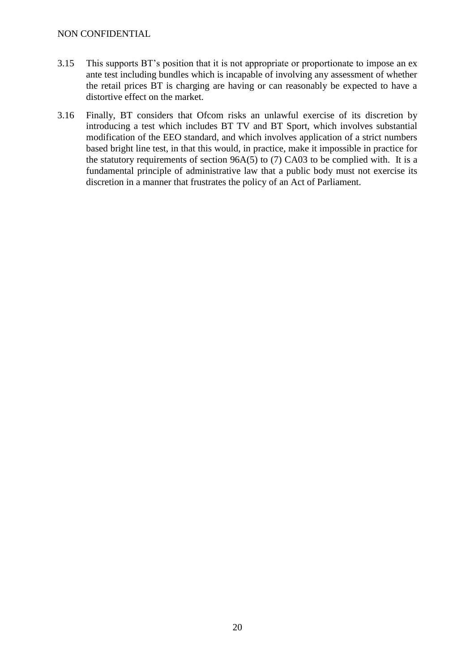- 3.15 This supports BT's position that it is not appropriate or proportionate to impose an ex ante test including bundles which is incapable of involving any assessment of whether the retail prices BT is charging are having or can reasonably be expected to have a distortive effect on the market.
- 3.16 Finally, BT considers that Ofcom risks an unlawful exercise of its discretion by introducing a test which includes BT TV and BT Sport, which involves substantial modification of the EEO standard, and which involves application of a strict numbers based bright line test, in that this would, in practice, make it impossible in practice for the statutory requirements of section 96A(5) to (7) CA03 to be complied with. It is a fundamental principle of administrative law that a public body must not exercise its discretion in a manner that frustrates the policy of an Act of Parliament.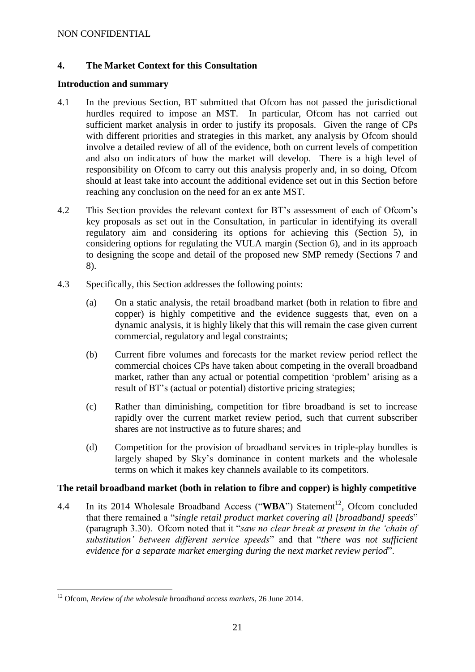# <span id="page-20-0"></span>**4. The Market Context for this Consultation**

#### <span id="page-20-1"></span>**Introduction and summary**

- 4.1 In the previous Section, BT submitted that Ofcom has not passed the jurisdictional hurdles required to impose an MST. In particular, Ofcom has not carried out sufficient market analysis in order to justify its proposals. Given the range of CPs with different priorities and strategies in this market, any analysis by Ofcom should involve a detailed review of all of the evidence, both on current levels of competition and also on indicators of how the market will develop. There is a high level of responsibility on Ofcom to carry out this analysis properly and, in so doing, Ofcom should at least take into account the additional evidence set out in this Section before reaching any conclusion on the need for an ex ante MST.
- 4.2 This Section provides the relevant context for BT's assessment of each of Ofcom's key proposals as set out in the Consultation, in particular in identifying its overall regulatory aim and considering its options for achieving this (Section 5), in considering options for regulating the VULA margin (Section 6), and in its approach to designing the scope and detail of the proposed new SMP remedy (Sections 7 and 8).
- 4.3 Specifically, this Section addresses the following points:
	- (a) On a static analysis, the retail broadband market (both in relation to fibre and copper) is highly competitive and the evidence suggests that, even on a dynamic analysis, it is highly likely that this will remain the case given current commercial, regulatory and legal constraints;
	- (b) Current fibre volumes and forecasts for the market review period reflect the commercial choices CPs have taken about competing in the overall broadband market, rather than any actual or potential competition 'problem' arising as a result of BT's (actual or potential) distortive pricing strategies;
	- (c) Rather than diminishing, competition for fibre broadband is set to increase rapidly over the current market review period, such that current subscriber shares are not instructive as to future shares; and
	- (d) Competition for the provision of broadband services in triple-play bundles is largely shaped by Sky's dominance in content markets and the wholesale terms on which it makes key channels available to its competitors.

# <span id="page-20-2"></span>**The retail broadband market (both in relation to fibre and copper) is highly competitive**

4.4 In its 2014 Wholesale Broadband Access ("WBA") Statement<sup>12</sup>, Ofcom concluded that there remained a "*single retail product market covering all [broadband] speeds*" (paragraph 3.30). Ofcom noted that it "*saw no clear break at present in the 'chain of substitution' between different service speeds*" and that "*there was not sufficient evidence for a separate market emerging during the next market review period*".

<sup>1</sup> <sup>12</sup> Ofcom, *Review of the wholesale broadband access markets*, 26 June 2014.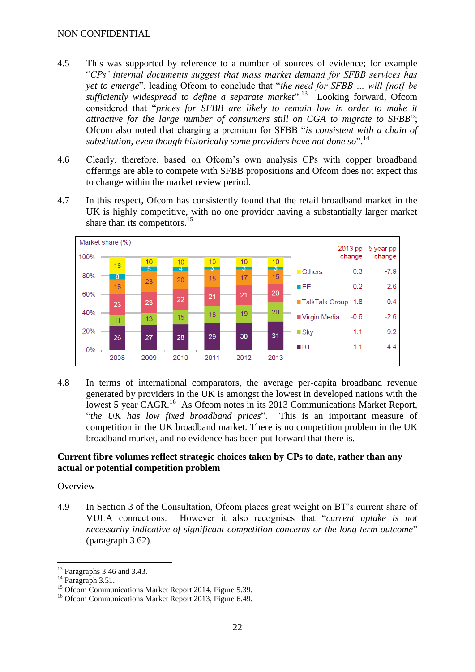- 4.5 This was supported by reference to a number of sources of evidence; for example "*CPs' internal documents suggest that mass market demand for SFBB services has yet to emerge*", leading Ofcom to conclude that "*the need for SFBB … will [not] be sufficiently widespread to define a separate market*".<sup>13</sup> Looking forward, Ofcom considered that "*prices for SFBB are likely to remain low in order to make it attractive for the large number of consumers still on CGA to migrate to SFBB*"; Ofcom also noted that charging a premium for SFBB "*is consistent with a chain of*  substitution, even though historically some providers have not done so".<sup>14</sup>
- 4.6 Clearly, therefore, based on Ofcom's own analysis CPs with copper broadband offerings are able to compete with SFBB propositions and Ofcom does not expect this to change within the market review period.
- 4.7 In this respect, Ofcom has consistently found that the retail broadband market in the UK is highly competitive, with no one provider having a substantially larger market share than its competitors.<sup>15</sup>



4.8 In terms of international comparators, the average per-capita broadband revenue generated by providers in the UK is amongst the lowest in developed nations with the lowest 5 year CAGR.<sup>16</sup> As Ofcom notes in its 2013 Communications Market Report, "*the UK has low fixed broadband prices*". This is an important measure of competition in the UK broadband market. There is no competition problem in the UK broadband market, and no evidence has been put forward that there is.

#### <span id="page-21-0"></span>**Current fibre volumes reflect strategic choices taken by CPs to date, rather than any actual or potential competition problem**

# **Overview**

4.9 In Section 3 of the Consultation, Ofcom places great weight on BT's current share of VULA connections. However it also recognises that "*current uptake is not necessarily indicative of significant competition concerns or the long term outcome*" (paragraph 3.62).

<sup>&</sup>lt;u>.</u>  $13$  Paragraphs 3.46 and 3.43.

 $^{14}$  Paragraph 3.51.

<sup>&</sup>lt;sup>15</sup> Ofcom Communications Market Report 2014, Figure 5.39.

<sup>&</sup>lt;sup>16</sup> Ofcom Communications Market Report 2013, Figure 6.49.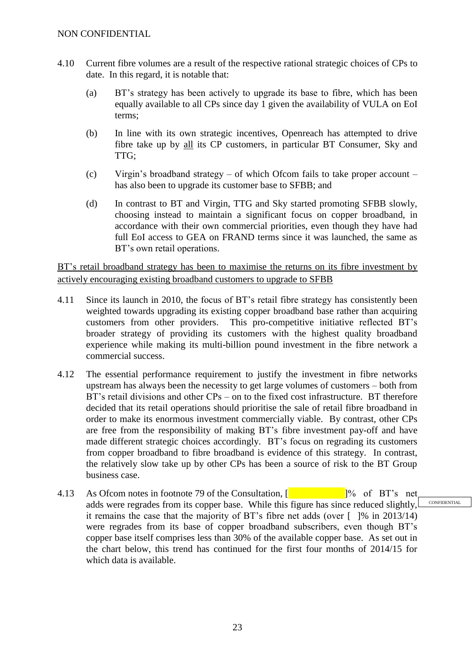- 4.10 Current fibre volumes are a result of the respective rational strategic choices of CPs to date. In this regard, it is notable that:
	- (a) BT's strategy has been actively to upgrade its base to fibre, which has been equally available to all CPs since day 1 given the availability of VULA on EoI terms;
	- (b) In line with its own strategic incentives, Openreach has attempted to drive fibre take up by all its CP customers, in particular BT Consumer, Sky and TTG;
	- (c) Virgin's broadband strategy of which Ofcom fails to take proper account has also been to upgrade its customer base to SFBB; and
	- (d) In contrast to BT and Virgin, TTG and Sky started promoting SFBB slowly, choosing instead to maintain a significant focus on copper broadband, in accordance with their own commercial priorities, even though they have had full EoI access to GEA on FRAND terms since it was launched, the same as BT's own retail operations.

BT's retail broadband strategy has been to maximise the returns on its fibre investment by actively encouraging existing broadband customers to upgrade to SFBB

- 4.11 Since its launch in 2010, the focus of BT's retail fibre strategy has consistently been weighted towards upgrading its existing copper broadband base rather than acquiring customers from other providers. This pro-competitive initiative reflected BT's broader strategy of providing its customers with the highest quality broadband experience while making its multi-billion pound investment in the fibre network a commercial success.
- 4.12 The essential performance requirement to justify the investment in fibre networks upstream has always been the necessity to get large volumes of customers – both from BT's retail divisions and other CPs – on to the fixed cost infrastructure. BT therefore decided that its retail operations should prioritise the sale of retail fibre broadband in order to make its enormous investment commercially viable. By contrast, other CPs are free from the responsibility of making BT's fibre investment pay-off and have made different strategic choices accordingly. BT's focus on regrading its customers from copper broadband to fibre broadband is evidence of this strategy. In contrast, the relatively slow take up by other CPs has been a source of risk to the BT Group business case.
- 4.13 As Ofcom notes in footnote 79 of the Consultation,  $\begin{bmatrix} 1 & 1 \\ 0 & 1 \end{bmatrix}$  of BT's net adds were regrades from its copper base. While this figure has since reduced slightly, it remains the case that the majority of BT's fibre net adds (over  $\lceil$  1% in 2013/14) were regrades from its base of copper broadband subscribers, even though BT's copper base itself comprises less than 30% of the available copper base. As set out in the chart below, this trend has continued for the first four months of 2014/15 for which data is available. CONFIDENTIAL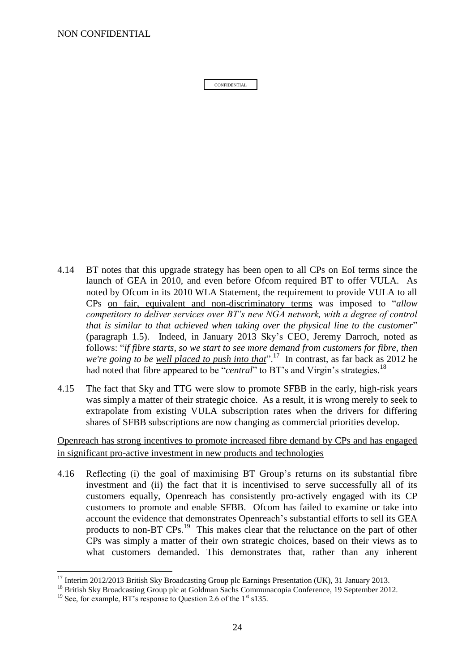NON CONFIDENTIAL

CONFIDENTIAL

- 4.14 BT notes that this upgrade strategy has been open to all CPs on EoI terms since the launch of GEA in 2010, and even before Ofcom required BT to offer VULA. As noted by Ofcom in its 2010 WLA Statement, the requirement to provide VULA to all CPs on fair, equivalent and non-discriminatory terms was imposed to "*allow competitors to deliver services over BT's new NGA network, with a degree of control that is similar to that achieved when taking over the physical line to the customer*" (paragraph 1.5). Indeed, in January 2013 Sky's CEO, Jeremy Darroch, noted as follows: "*if fibre starts, so we start to see more demand from customers for fibre, then*  we're going to be <u>well placed to push into that</u>".<sup>17</sup> In contrast, as far back as 2012 he had noted that fibre appeared to be "*central*" to BT's and Virgin's strategies.<sup>18</sup>
- 4.15 The fact that Sky and TTG were slow to promote SFBB in the early, high-risk years was simply a matter of their strategic choice. As a result, it is wrong merely to seek to extrapolate from existing VULA subscription rates when the drivers for differing shares of SFBB subscriptions are now changing as commercial priorities develop.

Openreach has strong incentives to promote increased fibre demand by CPs and has engaged in significant pro-active investment in new products and technologies

4.16 Reflecting (i) the goal of maximising BT Group's returns on its substantial fibre investment and (ii) the fact that it is incentivised to serve successfully all of its customers equally, Openreach has consistently pro-actively engaged with its CP customers to promote and enable SFBB. Ofcom has failed to examine or take into account the evidence that demonstrates Openreach's substantial efforts to sell its GEA products to non-BT CPs.<sup>19</sup> This makes clear that the reluctance on the part of other CPs was simply a matter of their own strategic choices, based on their views as to what customers demanded. This demonstrates that, rather than any inherent

1

<sup>&</sup>lt;sup>17</sup> Interim 2012/2013 British Sky Broadcasting Group plc Earnings Presentation (UK), 31 January 2013.

<sup>&</sup>lt;sup>18</sup> British Sky Broadcasting Group plc at Goldman Sachs Communacopia Conference, 19 September 2012.

<sup>&</sup>lt;sup>19</sup> See, for example, BT's response to Question 2.6 of the  $1<sup>st</sup>$  s135.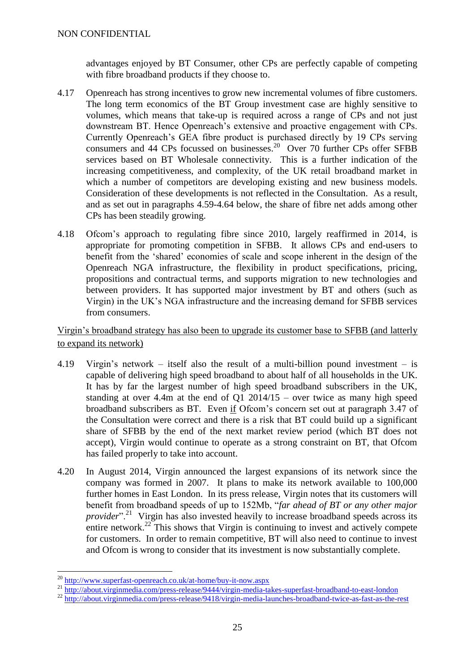advantages enjoyed by BT Consumer, other CPs are perfectly capable of competing with fibre broadband products if they choose to.

- 4.17 Openreach has strong incentives to grow new incremental volumes of fibre customers. The long term economics of the BT Group investment case are highly sensitive to volumes, which means that take-up is required across a range of CPs and not just downstream BT. Hence Openreach's extensive and proactive engagement with CPs. Currently Openreach's GEA fibre product is purchased directly by 19 CPs serving consumers and 44 CPs focussed on businesses.<sup>20</sup> Over 70 further CPs offer SFBB services based on BT Wholesale connectivity. This is a further indication of the increasing competitiveness, and complexity, of the UK retail broadband market in which a number of competitors are developing existing and new business models. Consideration of these developments is not reflected in the Consultation. As a result, and as set out in paragraphs [4.59](#page-38-0)[-4.64](#page-39-0) below, the share of fibre net adds among other CPs has been steadily growing.
- 4.18 Ofcom's approach to regulating fibre since 2010, largely reaffirmed in 2014, is appropriate for promoting competition in SFBB. It allows CPs and end-users to benefit from the 'shared' economies of scale and scope inherent in the design of the Openreach NGA infrastructure, the flexibility in product specifications, pricing, propositions and contractual terms, and supports migration to new technologies and between providers. It has supported major investment by BT and others (such as Virgin) in the UK's NGA infrastructure and the increasing demand for SFBB services from consumers.

# Virgin's broadband strategy has also been to upgrade its customer base to SFBB (and latterly to expand its network)

- 4.19 Virgin's network itself also the result of a multi-billion pound investment is capable of delivering high speed broadband to about half of all households in the UK. It has by far the largest number of high speed broadband subscribers in the UK, standing at over 4.4m at the end of  $Q1 2014/15$  – over twice as many high speed broadband subscribers as BT. Even if Ofcom's concern set out at paragraph 3.47 of the Consultation were correct and there is a risk that BT could build up a significant share of SFBB by the end of the next market review period (which BT does not accept), Virgin would continue to operate as a strong constraint on BT, that Ofcom has failed properly to take into account.
- 4.20 In August 2014, Virgin announced the largest expansions of its network since the company was formed in 2007. It plans to make its network available to 100,000 further homes in East London. In its press release, Virgin notes that its customers will benefit from broadband speeds of up to 152Mb, "*far ahead of BT or any other major provider*<sup>". 21</sup> Virgin has also invested heavily to increase broadband speeds across its entire network.<sup>22</sup> This shows that Virgin is continuing to invest and actively compete for customers. In order to remain competitive, BT will also need to continue to invest and Ofcom is wrong to consider that its investment is now substantially complete.

1

<sup>21</sup> http://about.virginmedia.com/p<u>ress-release/9444/virgin-media-takes-superfast-broadband-to-east-london</u>

<sup>20</sup> <http://www.superfast-openreach.co.uk/at-home/buy-it-now.aspx>

<sup>&</sup>lt;sup>22</sup> <http://about.virginmedia.com/press-release/9418/virgin-media-launches-broadband-twice-as-fast-as-the-rest>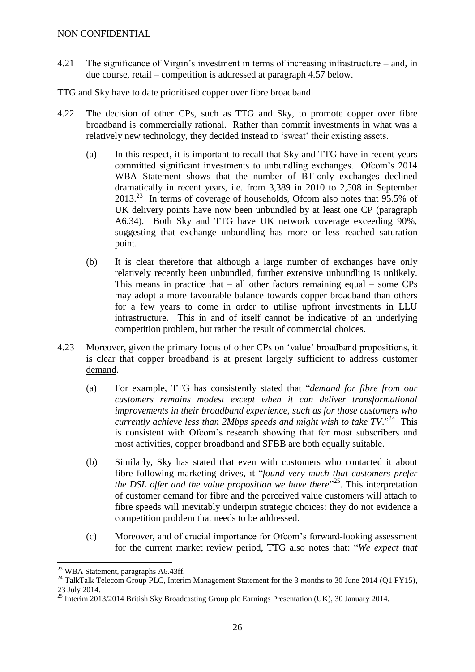- 4.21 The significance of Virgin's investment in terms of increasing infrastructure and, in due course, retail – competition is addressed at paragraph [4.57](#page-36-0) below.
- TTG and Sky have to date prioritised copper over fibre broadband
- 4.22 The decision of other CPs, such as TTG and Sky, to promote copper over fibre broadband is commercially rational. Rather than commit investments in what was a relatively new technology, they decided instead to 'sweat' their existing assets.
	- (a) In this respect, it is important to recall that Sky and TTG have in recent years committed significant investments to unbundling exchanges. Ofcom's 2014 WBA Statement shows that the number of BT-only exchanges declined dramatically in recent years, i.e. from 3,389 in 2010 to 2,508 in September 2013.<sup>23</sup> In terms of coverage of households, Ofcom also notes that 95.5% of UK delivery points have now been unbundled by at least one CP (paragraph A6.34). Both Sky and TTG have UK network coverage exceeding 90%, suggesting that exchange unbundling has more or less reached saturation point.
	- (b) It is clear therefore that although a large number of exchanges have only relatively recently been unbundled, further extensive unbundling is unlikely. This means in practice that  $-$  all other factors remaining equal – some CPs may adopt a more favourable balance towards copper broadband than others for a few years to come in order to utilise upfront investments in LLU infrastructure. This in and of itself cannot be indicative of an underlying competition problem, but rather the result of commercial choices.
- 4.23 Moreover, given the primary focus of other CPs on 'value' broadband propositions, it is clear that copper broadband is at present largely sufficient to address customer demand.
	- (a) For example, TTG has consistently stated that "*demand for fibre from our customers remains modest except when it can deliver transformational improvements in their broadband experience, such as for those customers who*  currently achieve less than 2Mbps speeds and might wish to take TV."<sup>24</sup> This is consistent with Ofcom's research showing that for most subscribers and most activities, copper broadband and SFBB are both equally suitable.
	- (b) Similarly, Sky has stated that even with customers who contacted it about fibre following marketing drives, it "*found very much that customers prefer the DSL offer and the value proposition we have there*" 25 . This interpretation of customer demand for fibre and the perceived value customers will attach to fibre speeds will inevitably underpin strategic choices: they do not evidence a competition problem that needs to be addressed.
	- (c) Moreover, and of crucial importance for Ofcom's forward-looking assessment for the current market review period, TTG also notes that: "*We expect that*

<u>.</u>

<sup>&</sup>lt;sup>23</sup> WBA Statement, paragraphs A6.43ff.

<sup>&</sup>lt;sup>24</sup> TalkTalk Telecom Group PLC, Interim Management Statement for the 3 months to 30 June 2014 (Q1 FY15), 23 July 2014.

<sup>&</sup>lt;sup>25</sup> Interim 2013/2014 British Sky Broadcasting Group plc Earnings Presentation (UK), 30 January 2014.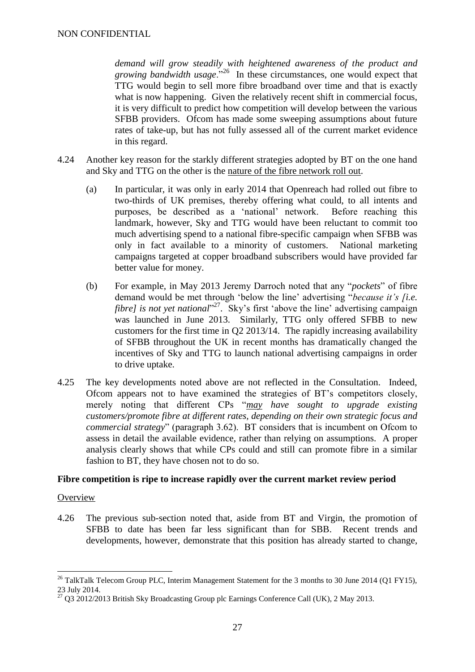*demand will grow steadily with heightened awareness of the product and growing bandwidth usage*."<sup>26</sup> In these circumstances, one would expect that TTG would begin to sell more fibre broadband over time and that is exactly what is now happening. Given the relatively recent shift in commercial focus, it is very difficult to predict how competition will develop between the various SFBB providers. Ofcom has made some sweeping assumptions about future rates of take-up, but has not fully assessed all of the current market evidence in this regard.

- 4.24 Another key reason for the starkly different strategies adopted by BT on the one hand and Sky and TTG on the other is the nature of the fibre network roll out.
	- (a) In particular, it was only in early 2014 that Openreach had rolled out fibre to two-thirds of UK premises, thereby offering what could, to all intents and purposes, be described as a 'national' network. Before reaching this landmark, however, Sky and TTG would have been reluctant to commit too much advertising spend to a national fibre-specific campaign when SFBB was only in fact available to a minority of customers. National marketing campaigns targeted at copper broadband subscribers would have provided far better value for money.
	- (b) For example, in May 2013 Jeremy Darroch noted that any "*pockets*" of fibre demand would be met through 'below the line' advertising "*because it's [i.e. fibre]* is not yet national"<sup>27</sup>. Sky's first 'above the line' advertising campaign was launched in June 2013. Similarly, TTG only offered SFBB to new customers for the first time in Q2 2013/14. The rapidly increasing availability of SFBB throughout the UK in recent months has dramatically changed the incentives of Sky and TTG to launch national advertising campaigns in order to drive uptake.
- 4.25 The key developments noted above are not reflected in the Consultation. Indeed, Ofcom appears not to have examined the strategies of BT's competitors closely, merely noting that different CPs "*may have sought to upgrade existing customers/promote fibre at different rates, depending on their own strategic focus and commercial strategy*" (paragraph 3.62). BT considers that is incumbent on Ofcom to assess in detail the available evidence, rather than relying on assumptions. A proper analysis clearly shows that while CPs could and still can promote fibre in a similar fashion to BT, they have chosen not to do so.

#### <span id="page-26-0"></span>**Fibre competition is ripe to increase rapidly over the current market review period**

#### **Overview**

1

4.26 The previous sub-section noted that, aside from BT and Virgin, the promotion of SFBB to date has been far less significant than for SBB. Recent trends and developments, however, demonstrate that this position has already started to change,

<sup>&</sup>lt;sup>26</sup> TalkTalk Telecom Group PLC, Interim Management Statement for the 3 months to 30 June 2014 (Q1 FY15), 23 July 2014.

 $\frac{27}{27}$  O3 2012/2013 British Sky Broadcasting Group plc Earnings Conference Call (UK), 2 May 2013.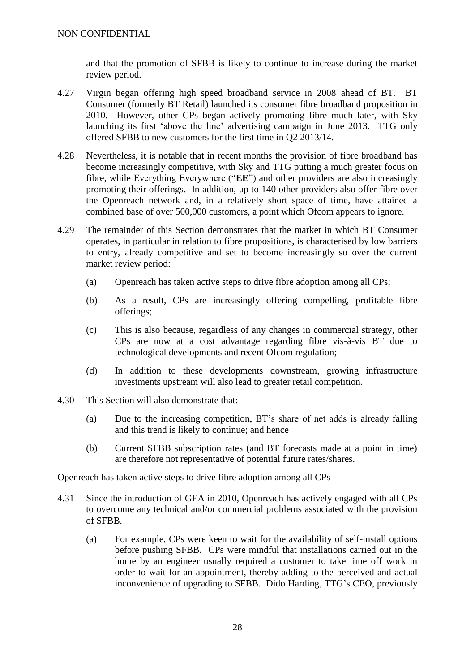and that the promotion of SFBB is likely to continue to increase during the market review period.

- 4.27 Virgin began offering high speed broadband service in 2008 ahead of BT. BT Consumer (formerly BT Retail) launched its consumer fibre broadband proposition in 2010. However, other CPs began actively promoting fibre much later, with Sky launching its first 'above the line' advertising campaign in June 2013. TTG only offered SFBB to new customers for the first time in Q2 2013/14.
- 4.28 Nevertheless, it is notable that in recent months the provision of fibre broadband has become increasingly competitive, with Sky and TTG putting a much greater focus on fibre, while Everything Everywhere ("**EE**") and other providers are also increasingly promoting their offerings. In addition, up to 140 other providers also offer fibre over the Openreach network and, in a relatively short space of time, have attained a combined base of over 500,000 customers, a point which Ofcom appears to ignore.
- 4.29 The remainder of this Section demonstrates that the market in which BT Consumer operates, in particular in relation to fibre propositions, is characterised by low barriers to entry, already competitive and set to become increasingly so over the current market review period:
	- (a) Openreach has taken active steps to drive fibre adoption among all CPs;
	- (b) As a result, CPs are increasingly offering compelling, profitable fibre offerings;
	- (c) This is also because, regardless of any changes in commercial strategy, other CPs are now at a cost advantage regarding fibre vis-à-vis BT due to technological developments and recent Ofcom regulation;
	- (d) In addition to these developments downstream, growing infrastructure investments upstream will also lead to greater retail competition.
- 4.30 This Section will also demonstrate that:
	- (a) Due to the increasing competition, BT's share of net adds is already falling and this trend is likely to continue; and hence
	- (b) Current SFBB subscription rates (and BT forecasts made at a point in time) are therefore not representative of potential future rates/shares.

#### Openreach has taken active steps to drive fibre adoption among all CPs

- 4.31 Since the introduction of GEA in 2010, Openreach has actively engaged with all CPs to overcome any technical and/or commercial problems associated with the provision of SFBB.
	- (a) For example, CPs were keen to wait for the availability of self-install options before pushing SFBB. CPs were mindful that installations carried out in the home by an engineer usually required a customer to take time off work in order to wait for an appointment, thereby adding to the perceived and actual inconvenience of upgrading to SFBB. Dido Harding, TTG's CEO, previously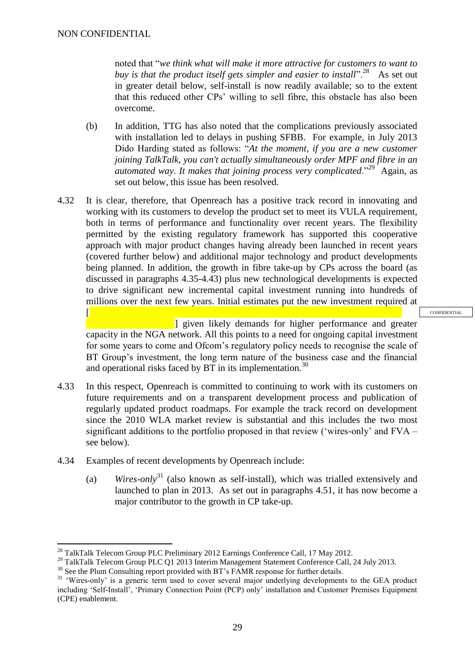$\sqrt{ }$ 

1

noted that "*we think what will make it more attractive for customers to want to*  buy is that the product itself gets simpler and easier to install".<sup>28</sup> As set out in greater detail below, self-install is now readily available; so to the extent that this reduced other CPs' willing to sell fibre, this obstacle has also been overcome.

- (b) In addition, TTG has also noted that the complications previously associated with installation led to delays in pushing SFBB. For example, in July 2013 Dido Harding stated as follows: "*At the moment, if you are a new customer joining TalkTalk, you can't actually simultaneously order MPF and fibre in an automated way. It makes that joining process very complicated*."<sup>29</sup> Again, as set out below, this issue has been resolved.
- 4.32 It is clear, therefore, that Openreach has a positive track record in innovating and working with its customers to develop the product set to meet its VULA requirement, both in terms of performance and functionality over recent years. The flexibility permitted by the existing regulatory framework has supported this cooperative approach with major product changes having already been launched in recent years (covered further below) and additional major technology and product developments being planned. In addition, the growth in fibre take-up by CPs across the board (as discussed in paragraphs [4.35-](#page-29-0)[4.43\)](#page-34-0) plus new technological developments is expected to drive significant new incremental capital investment running into hundreds of millions over the next few years. Initial estimates put the new investment required at

] given likely demands for higher performance and greater capacity in the NGA network. All this points to a need for ongoing capital investment for some years to come and Ofcom's regulatory policy needs to recognise the scale of BT Group's investment, the long term nature of the business case and the financial and operational risks faced by BT in its implementation.<sup>30</sup>

- 4.33 In this respect, Openreach is committed to continuing to work with its customers on future requirements and on a transparent development process and publication of regularly updated product roadmaps. For example the track record on development since the 2010 WLA market review is substantial and this includes the two most significant additions to the portfolio proposed in that review ('wires-only' and FVA – see below).
- 4.34 Examples of recent developments by Openreach include:
	- (a) *Wires-only*<sup>31</sup> (also known as self-install), which was trialled extensively and launched to plan in 2013. As set out in paragraphs [4.51,](#page-35-0) it has now become a major contributor to the growth in CP take-up.

<sup>&</sup>lt;sup>28</sup> TalkTalk Telecom Group PLC Preliminary 2012 Earnings Conference Call, 17 May 2012.

<sup>&</sup>lt;sup>29</sup> TalkTalk Telecom Group PLC Q1 2013 Interim Management Statement Conference Call, 24 July 2013.

<sup>&</sup>lt;sup>30</sup> See the Plum Consulting report provided with BT's FAMR response for further details.

<sup>&</sup>lt;sup>31</sup> 'Wires-only' is a generic term used to cover several major underlying developments to the GEA product including 'Self-Install', 'Primary Connection Point (PCP) only' installation and Customer Premises Equipment (CPE) enablement.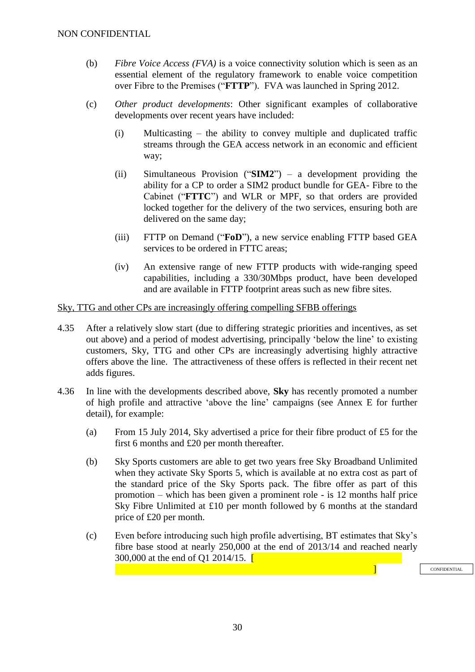- (b) *Fibre Voice Access (FVA)* is a voice connectivity solution which is seen as an essential element of the regulatory framework to enable voice competition over Fibre to the Premises ("**FTTP**"). FVA was launched in Spring 2012.
- (c) *Other product developments*: Other significant examples of collaborative developments over recent years have included:
	- (i) Multicasting the ability to convey multiple and duplicated traffic streams through the GEA access network in an economic and efficient way;
	- (ii) Simultaneous Provision ("**SIM2**") a development providing the ability for a CP to order a SIM2 product bundle for GEA- Fibre to the Cabinet ("**FTTC**") and WLR or MPF, so that orders are provided locked together for the delivery of the two services, ensuring both are delivered on the same day;
	- (iii) FTTP on Demand ("**FoD**"), a new service enabling FTTP based GEA services to be ordered in FTTC areas;
	- (iv) An extensive range of new FTTP products with wide-ranging speed capabilities, including a 330/30Mbps product, have been developed and are available in FTTP footprint areas such as new fibre sites.

#### Sky, TTG and other CPs are increasingly offering compelling SFBB offerings

- <span id="page-29-0"></span>4.35 After a relatively slow start (due to differing strategic priorities and incentives, as set out above) and a period of modest advertising, principally 'below the line' to existing customers, Sky, TTG and other CPs are increasingly advertising highly attractive offers above the line. The attractiveness of these offers is reflected in their recent net adds figures.
- 4.36 In line with the developments described above, **Sky** has recently promoted a number of high profile and attractive 'above the line' campaigns (see Annex E for further detail), for example:
	- (a) From 15 July 2014, Sky advertised a price for their fibre product of £5 for the first 6 months and £20 per month thereafter.
	- (b) Sky Sports customers are able to get two years free Sky Broadband Unlimited when they activate Sky Sports 5, which is available at no extra cost as part of the standard price of the Sky Sports pack. The fibre offer as part of this promotion – which has been given a prominent role - is 12 months half price Sky Fibre Unlimited at £10 per month followed by 6 months at the standard price of £20 per month.
	- (c) Even before introducing such high profile advertising, BT estimates that Sky's fibre base stood at nearly 250,000 at the end of 2013/14 and reached nearly 300,000 at the end of O1 2014/15.  $\sqrt{\phantom{a}}$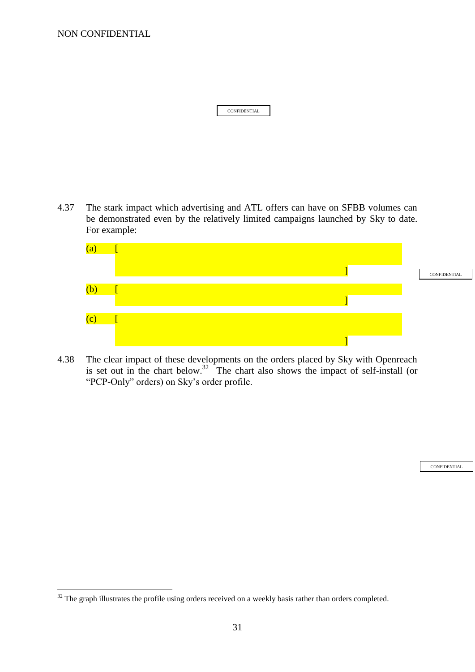NON CONFIDENTIAL

1

| <b>CONFIDENTIAL</b> |  |
|---------------------|--|

4.37 The stark impact which advertising and ATL offers can have on SFBB volumes can be demonstrated even by the relatively limited campaigns launched by Sky to date. For example:



4.38 The clear impact of these developments on the orders placed by Sky with Openreach is set out in the chart below.<sup>32</sup> The chart also shows the impact of self-install (or "PCP-Only" orders) on Sky's order profile.

 $32$  The graph illustrates the profile using orders received on a weekly basis rather than orders completed.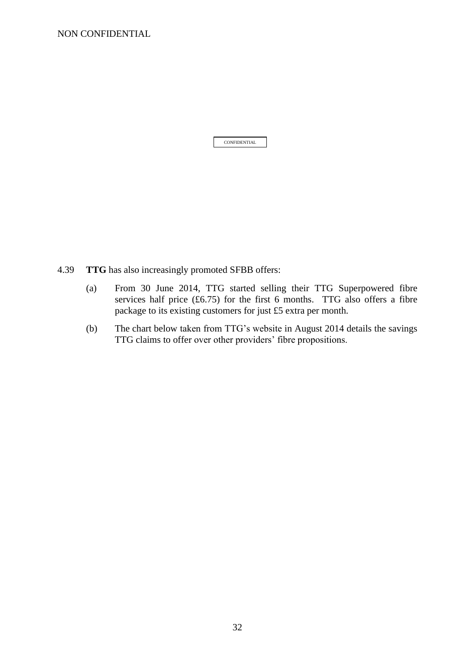NON CONFIDENTIAL

- 4.39 **TTG** has also increasingly promoted SFBB offers:
	- (a) From 30 June 2014, TTG started selling their TTG Superpowered fibre services half price  $(£6.75)$  for the first 6 months. TTG also offers a fibre package to its existing customers for just £5 extra per month.
	- (b) The chart below taken from TTG's website in August 2014 details the savings TTG claims to offer over other providers' fibre propositions.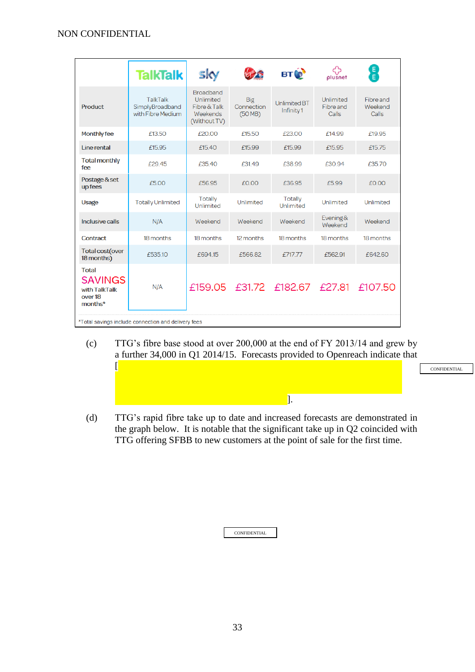|                                                                       | <b>TalkTalk</b>                                         | SKY                                                                              |                                     | <b>BTO</b>                        | plusnet                         | E)<br>E                       |  |  |  |
|-----------------------------------------------------------------------|---------------------------------------------------------|----------------------------------------------------------------------------------|-------------------------------------|-----------------------------------|---------------------------------|-------------------------------|--|--|--|
| <b>Product</b>                                                        | <b>TalkTalk</b><br>SimplyBroadband<br>with Fibre Medium | <b>Broadband</b><br><b>Unlimited</b><br>Fibre & Talk<br>Weekends<br>(Without TV) | <b>Big</b><br>Connection<br>(50 MB) | <b>Unlimited BT</b><br>Infinity 1 | Unlimited<br>Fibre and<br>Calls | Fibre and<br>Weekend<br>Calls |  |  |  |
| Monthly fee                                                           | £13.50                                                  | £20.00                                                                           | £15.50                              | £23.00                            | £14.99                          | £19.95                        |  |  |  |
| Line rental                                                           | £15.95                                                  | f1540                                                                            | f15.99                              | £15.99                            | £15.95                          | £15.75                        |  |  |  |
| <b>Total monthly</b><br>fee                                           | £29.45                                                  | £35.40                                                                           | £31.49                              | £38.99                            | £30.94                          | £35.70                        |  |  |  |
| Postage & set<br>up fees                                              | £5.00                                                   | £56.95                                                                           | £0.00                               | £36.95                            | £5.99                           | £0.00                         |  |  |  |
| <b>Usage</b>                                                          | <b>Totally Unlimited</b>                                | Totally<br>Unlimited                                                             | <b>Unlimited</b>                    | <b>Totally</b><br>Unlimited       | Unlimited                       | Unlimited                     |  |  |  |
| Inclusive calls                                                       | N/A                                                     | Weekend                                                                          | Weekend                             | Weekend                           | Evening&<br>Weekend             | Weekend                       |  |  |  |
| <b>Contract</b>                                                       | 18 months                                               | 18 months                                                                        | 12 months                           | 18 months                         | 18 months                       | 18 months                     |  |  |  |
| <b>Total cost(over</b><br>18 months)                                  | £535.10                                                 | £694.15                                                                          | £566.82                             | £717.77                           | £562.91                         | £642.60                       |  |  |  |
| <b>Total</b><br><b>SAVINGS</b><br>with TalkTalk<br>over 18<br>months* | N/A                                                     |                                                                                  |                                     | £159.05 £31.72 £182.67 £27.81     |                                 | £107.50                       |  |  |  |
| *Total savings include connection and delivery fees                   |                                                         |                                                                                  |                                     |                                   |                                 |                               |  |  |  |

(c) TTG's fibre base stood at over 200,000 at the end of FY 2013/14 and grew by a further 34,000 in Q1 2014/15. Forecasts provided to Openreach indicate that  $\overline{\phantom{a}}$ 

CONFIDENTIAL

(d) TTG's rapid fibre take up to date and increased forecasts are demonstrated in the graph below. It is notable that the significant take up in Q2 coincided with TTG offering SFBB to new customers at the point of sale for the first time.

].

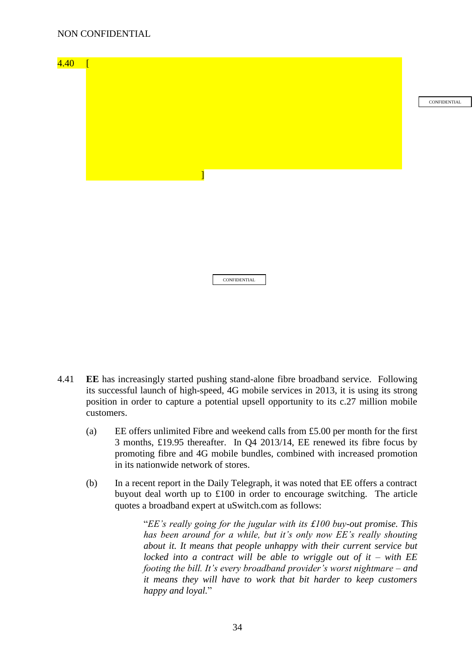

- 4.41 **EE** has increasingly started pushing stand-alone fibre broadband service. Following its successful launch of high-speed, 4G mobile services in 2013, it is using its strong position in order to capture a potential upsell opportunity to its c.27 million mobile customers.
	- (a) EE offers unlimited Fibre and weekend calls from £5.00 per month for the first 3 months, £19.95 thereafter. In Q4 2013/14, EE renewed its fibre focus by promoting fibre and 4G mobile bundles, combined with increased promotion in its nationwide network of stores.
	- (b) In a recent report in the Daily Telegraph, it was noted that EE offers a contract buyout deal worth up to £100 in order to encourage switching. The article quotes a broadband expert at uSwitch.com as follows:

"*EE's really going for the jugular with its £100 buy-out promise. This has been around for a while, but it's only now EE's really shouting about it. It means that people unhappy with their current service but locked into a contract will be able to wriggle out of it – with EE footing the bill. It's every broadband provider's worst nightmare – and it means they will have to work that bit harder to keep customers happy and loyal.*"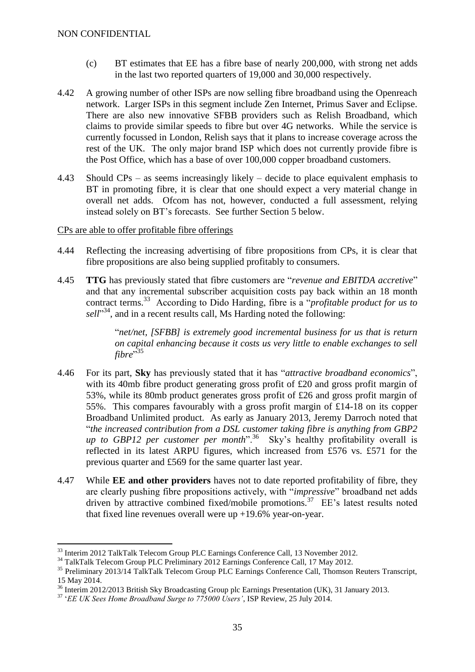- (c) BT estimates that EE has a fibre base of nearly 200,000, with strong net adds in the last two reported quarters of 19,000 and 30,000 respectively.
- 4.42 A growing number of other ISPs are now selling fibre broadband using the Openreach network. Larger ISPs in this segment include Zen Internet, Primus Saver and Eclipse. There are also new innovative SFBB providers such as Relish Broadband, which claims to provide similar speeds to fibre but over 4G networks. While the service is currently focussed in London, Relish says that it plans to increase coverage across the rest of the UK. The only major brand ISP which does not currently provide fibre is the Post Office, which has a base of over 100,000 copper broadband customers.
- <span id="page-34-0"></span>4.43 Should CPs – as seems increasingly likely – decide to place equivalent emphasis to BT in promoting fibre, it is clear that one should expect a very material change in overall net adds. Ofcom has not, however, conducted a full assessment, relying instead solely on BT's forecasts. See further Section 5 below.

#### CPs are able to offer profitable fibre offerings

- 4.44 Reflecting the increasing advertising of fibre propositions from CPs, it is clear that fibre propositions are also being supplied profitably to consumers.
- 4.45 **TTG** has previously stated that fibre customers are "*revenue and EBITDA accretive*" and that any incremental subscriber acquisition costs pay back within an 18 month contract terms.<sup>33</sup> According to Dido Harding, fibre is a "*profitable product for us to* sell"<sup>34</sup>, and in a recent results call, Ms Harding noted the following:

"*net/net, [SFBB] is extremely good incremental business for us that is return on capital enhancing because it costs us very little to enable exchanges to sell fibre*" 35

- 4.46 For its part, **Sky** has previously stated that it has "*attractive broadband economics*", with its 40mb fibre product generating gross profit of £20 and gross profit margin of 53%, while its 80mb product generates gross profit of £26 and gross profit margin of 55%. This compares favourably with a gross profit margin of £14-18 on its copper Broadband Unlimited product. As early as January 2013, Jeremy Darroch noted that "*the increased contribution from a DSL customer taking fibre is anything from GBP2*  up to GBP12 per customer per month<sup>", 36</sup> Sky's healthy profitability overall is reflected in its latest ARPU figures, which increased from £576 vs. £571 for the previous quarter and £569 for the same quarter last year.
- 4.47 While **EE and other providers** haves not to date reported profitability of fibre, they are clearly pushing fibre propositions actively, with "*impressive*" broadband net adds driven by attractive combined fixed/mobile promotions.<sup>37</sup> EE's latest results noted that fixed line revenues overall were up +19.6% year-on-year.

1

<sup>33</sup> Interim 2012 TalkTalk Telecom Group PLC Earnings Conference Call, 13 November 2012.

<sup>34</sup> TalkTalk Telecom Group PLC Preliminary 2012 Earnings Conference Call, 17 May 2012.

<sup>35</sup> Preliminary 2013/14 TalkTalk Telecom Group PLC Earnings Conference Call, Thomson Reuters Transcript, 15 May 2014.

<sup>&</sup>lt;sup>36</sup> Interim 2012/2013 British Sky Broadcasting Group plc Earnings Presentation (UK), 31 January 2013.

<sup>37</sup> '*EE UK Sees Home Broadband Surge to 775000 Users'*, ISP Review, 25 July 2014.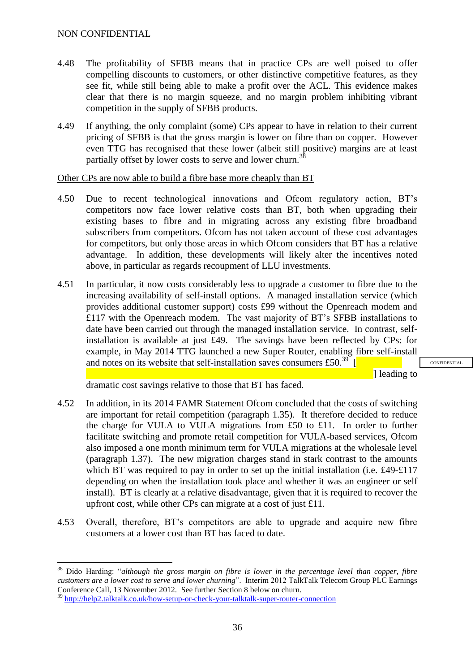- 4.48 The profitability of SFBB means that in practice CPs are well poised to offer compelling discounts to customers, or other distinctive competitive features, as they see fit, while still being able to make a profit over the ACL. This evidence makes clear that there is no margin squeeze, and no margin problem inhibiting vibrant competition in the supply of SFBB products.
- 4.49 If anything, the only complaint (some) CPs appear to have in relation to their current pricing of SFBB is that the gross margin is lower on fibre than on copper. However even TTG has recognised that these lower (albeit still positive) margins are at least partially offset by lower costs to serve and lower churn.<sup>38</sup>

Other CPs are now able to build a fibre base more cheaply than BT

- 4.50 Due to recent technological innovations and Ofcom regulatory action, BT's competitors now face lower relative costs than BT, both when upgrading their existing bases to fibre and in migrating across any existing fibre broadband subscribers from competitors. Ofcom has not taken account of these cost advantages for competitors, but only those areas in which Ofcom considers that BT has a relative advantage. In addition, these developments will likely alter the incentives noted above, in particular as regards recoupment of LLU investments.
- <span id="page-35-0"></span>4.51 In particular, it now costs considerably less to upgrade a customer to fibre due to the increasing availability of self-install options. A managed installation service (which provides additional customer support) costs £99 without the Openreach modem and £117 with the Openreach modem. The vast majority of BT's SFBB installations to date have been carried out through the managed installation service. In contrast, selfinstallation is available at just £49. The savings have been reflected by CPs: for example, in May 2014 TTG launched a new Super Router, enabling fibre self-install and notes on its website that self-installation saves consumers £50. $^{39}$  [

l leading to

**CONFIDENTIAL** 

dramatic cost savings relative to those that BT has faced.

- 4.52 In addition, in its 2014 FAMR Statement Ofcom concluded that the costs of switching are important for retail competition (paragraph 1.35). It therefore decided to reduce the charge for VULA to VULA migrations from £50 to £11. In order to further facilitate switching and promote retail competition for VULA-based services, Ofcom also imposed a one month minimum term for VULA migrations at the wholesale level (paragraph 1.37). The new migration charges stand in stark contrast to the amounts which BT was required to pay in order to set up the initial installation (i.e. £49-£117 depending on when the installation took place and whether it was an engineer or self install). BT is clearly at a relative disadvantage, given that it is required to recover the upfront cost, while other CPs can migrate at a cost of just £11.
- 4.53 Overall, therefore, BT's competitors are able to upgrade and acquire new fibre customers at a lower cost than BT has faced to date.

<sup>&</sup>lt;u>.</u> <sup>38</sup> Dido Harding: "*although the gross margin on fibre is lower in the percentage level than copper, fibre customers are a lower cost to serve and lower churning*". Interim 2012 TalkTalk Telecom Group PLC Earnings Conference Call, 13 November 2012. See further Section 8 below on churn.

<sup>&</sup>lt;sup>39</sup> <http://help2.talktalk.co.uk/how-setup-or-check-your-talktalk-super-router-connection>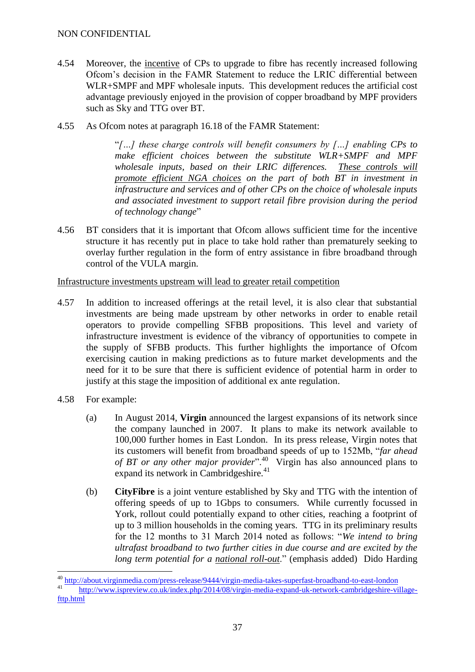- 4.54 Moreover, the incentive of CPs to upgrade to fibre has recently increased following Ofcom's decision in the FAMR Statement to reduce the LRIC differential between WLR+SMPF and MPF wholesale inputs. This development reduces the artificial cost advantage previously enjoyed in the provision of copper broadband by MPF providers such as Sky and TTG over BT.
- 4.55 As Ofcom notes at paragraph 16.18 of the FAMR Statement:

"*[…] these charge controls will benefit consumers by […] enabling CPs to make efficient choices between the substitute WLR+SMPF and MPF wholesale inputs, based on their LRIC differences. These controls will promote efficient NGA choices on the part of both BT in investment in infrastructure and services and of other CPs on the choice of wholesale inputs and associated investment to support retail fibre provision during the period of technology change*"

4.56 BT considers that it is important that Ofcom allows sufficient time for the incentive structure it has recently put in place to take hold rather than prematurely seeking to overlay further regulation in the form of entry assistance in fibre broadband through control of the VULA margin.

Infrastructure investments upstream will lead to greater retail competition

- <span id="page-36-0"></span>4.57 In addition to increased offerings at the retail level, it is also clear that substantial investments are being made upstream by other networks in order to enable retail operators to provide compelling SFBB propositions. This level and variety of infrastructure investment is evidence of the vibrancy of opportunities to compete in the supply of SFBB products. This further highlights the importance of Ofcom exercising caution in making predictions as to future market developments and the need for it to be sure that there is sufficient evidence of potential harm in order to justify at this stage the imposition of additional ex ante regulation.
- 4.58 For example:

1

- (a) In August 2014, **Virgin** announced the largest expansions of its network since the company launched in 2007. It plans to make its network available to 100,000 further homes in East London. In its press release, Virgin notes that its customers will benefit from broadband speeds of up to 152Mb, "*far ahead of BT or any other major provider*".<sup>40</sup> Virgin has also announced plans to expand its network in Cambridgeshire.<sup>41</sup>
- (b) **CityFibre** is a joint venture established by Sky and TTG with the intention of offering speeds of up to 1Gbps to consumers. While currently focussed in York, rollout could potentially expand to other cities, reaching a footprint of up to 3 million households in the coming years. TTG in its preliminary results for the 12 months to 31 March 2014 noted as follows: "*We intend to bring ultrafast broadband to two further cities in due course and are excited by the long term potential for a national roll-out*." (emphasis added) Dido Harding

<http://about.virginmedia.com/press-release/9444/virgin-media-takes-superfast-broadband-to-east-london>

<sup>41</sup> [http://www.ispreview.co.uk/index.php/2014/08/virgin-media-expand-uk-network-cambridgeshire-village](http://www.ispreview.co.uk/index.php/2014/08/virgin-media-expand-uk-network-cambridgeshire-village-fttp.html)[fttp.html](http://www.ispreview.co.uk/index.php/2014/08/virgin-media-expand-uk-network-cambridgeshire-village-fttp.html)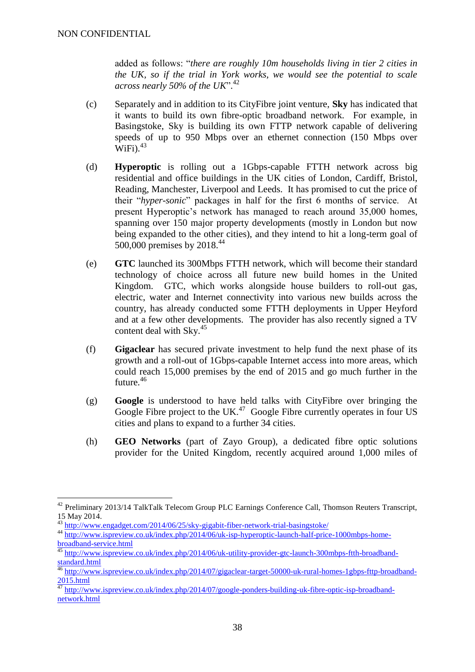<u>.</u>

added as follows: "*there are roughly 10m households living in tier 2 cities in the UK, so if the trial in York works, we would see the potential to scale across nearly 50% of the UK*". 42

- (c) Separately and in addition to its CityFibre joint venture, **Sky** has indicated that it wants to build its own fibre-optic broadband network. For example, in Basingstoke, Sky is building its own FTTP network capable of delivering speeds of up to 950 Mbps over an ethernet connection (150 Mbps over  $\rm{WiFi}$ .  $^{43}$
- (d) **Hyperoptic** is rolling out a 1Gbps-capable FTTH network across big residential and office buildings in the UK cities of London, Cardiff, Bristol, Reading, Manchester, Liverpool and Leeds. It has promised to cut the price of their "*hyper-sonic*" packages in half for the first 6 months of service. At present Hyperoptic's network has managed to reach around 35,000 homes, spanning over 150 major property developments (mostly in London but now being expanded to the other cities), and they intend to hit a long-term goal of 500,000 premises by 2018. 44
- (e) **GTC** launched its 300Mbps FTTH network, which will become their standard technology of choice across all future new build homes in the United Kingdom. GTC, which works alongside house builders to roll-out gas, electric, water and Internet connectivity into various new builds across the country, has already conducted some FTTH deployments in Upper Heyford and at a few other developments. The provider has also recently signed a TV content deal with  $\text{Sky}$ .<sup>45</sup>
- (f) **Gigaclear** has secured private investment to help fund the next phase of its growth and a roll-out of 1Gbps-capable Internet access into more areas, which could reach 15,000 premises by the end of 2015 and go much further in the future.<sup>46</sup>
- (g) **Google** is understood to have held talks with CityFibre over bringing the Google Fibre project to the UK. $47$  Google Fibre currently operates in four US cities and plans to expand to a further 34 cities.
- (h) **GEO Networks** (part of Zayo Group), a dedicated fibre optic solutions provider for the United Kingdom, recently acquired around 1,000 miles of

<sup>&</sup>lt;sup>42</sup> Preliminary 2013/14 TalkTalk Telecom Group PLC Earnings Conference Call, Thomson Reuters Transcript, 15 May 2014.

<sup>&</sup>lt;sup>43</sup> <http://www.engadget.com/2014/06/25/sky-gigabit-fiber-network-trial-basingstoke/>

<sup>44</sup> [http://www.ispreview.co.uk/index.php/2014/06/uk-isp-hyperoptic-launch-half-price-1000mbps-home](http://www.ispreview.co.uk/index.php/2014/06/uk-isp-hyperoptic-launch-half-price-1000mbps-home-broadband-service.html)[broadband-service.html](http://www.ispreview.co.uk/index.php/2014/06/uk-isp-hyperoptic-launch-half-price-1000mbps-home-broadband-service.html)

<sup>&</sup>lt;sup>45</sup> [http://www.ispreview.co.uk/index.php/2014/06/uk-utility-provider-gtc-launch-300mbps-ftth-broadband](http://www.ispreview.co.uk/index.php/2014/06/uk-utility-provider-gtc-launch-300mbps-ftth-broadband-standard.html)[standard.html](http://www.ispreview.co.uk/index.php/2014/06/uk-utility-provider-gtc-launch-300mbps-ftth-broadband-standard.html)

<sup>&</sup>lt;sup>46</sup> [http://www.ispreview.co.uk/index.php/2014/07/gigaclear-target-50000-uk-rural-homes-1gbps-fttp-broadband-](http://www.ispreview.co.uk/index.php/2014/07/gigaclear-target-50000-uk-rural-homes-1gbps-fttp-broadband-2015.html)[2015.html](http://www.ispreview.co.uk/index.php/2014/07/gigaclear-target-50000-uk-rural-homes-1gbps-fttp-broadband-2015.html)

<sup>&</sup>lt;sup>47</sup> [http://www.ispreview.co.uk/index.php/2014/07/google-ponders-building-uk-fibre-optic-isp-broadband](http://www.ispreview.co.uk/index.php/2014/07/google-ponders-building-uk-fibre-optic-isp-broadband-network.html)[network.html](http://www.ispreview.co.uk/index.php/2014/07/google-ponders-building-uk-fibre-optic-isp-broadband-network.html)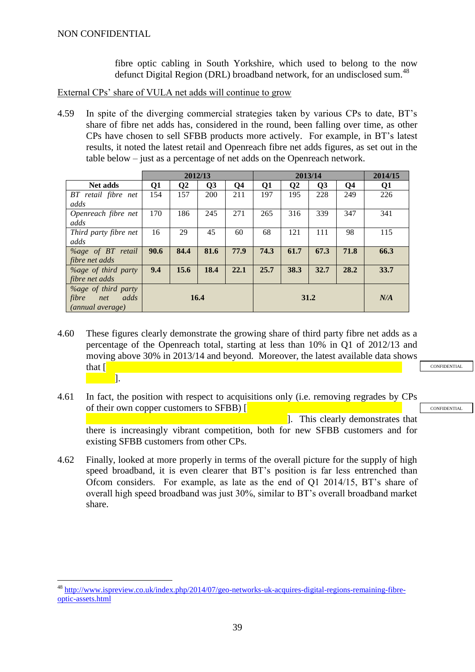<u>.</u>

fibre optic cabling in South Yorkshire, which used to belong to the now defunct Digital Region (DRL) broadband network, for an undisclosed sum.<sup>48</sup>

External CPs' share of VULA net adds will continue to grow

4.59 In spite of the diverging commercial strategies taken by various CPs to date, BT's share of fibre net adds has, considered in the round, been falling over time, as other CPs have chosen to sell SFBB products more actively. For example, in BT's latest results, it noted the latest retail and Openreach fibre net adds figures, as set out in the table below – just as a percentage of net adds on the Openreach network.

|                             | 2012/13 |      |      | 2013/14        |      |              |      | 2014/15 |      |
|-----------------------------|---------|------|------|----------------|------|--------------|------|---------|------|
| <b>Net adds</b>             | Q1      | Q2   | Q3   | Q <sub>4</sub> | Q1   | $\mathbf{Q}$ | Q3   | Q4      | Q1   |
| BT retail fibre net         | 154     | 157  | 200  | 211            | 197  | 195          | 228  | 249     | 226  |
| adds                        |         |      |      |                |      |              |      |         |      |
| Openreach fibre net         | 170     | 186  | 245  | 271            | 265  | 316          | 339  | 347     | 341  |
| adds                        |         |      |      |                |      |              |      |         |      |
| Third party fibre net       | 16      | 29   | 45   | 60             | 68   | 121          | 111  | 98      | 115  |
| adds                        |         |      |      |                |      |              |      |         |      |
| $\%$ age of BT retail       | 90.6    | 84.4 | 81.6 | 77.9           | 74.3 | 61.7         | 67.3 | 71.8    | 66.3 |
| fibre net adds              |         |      |      |                |      |              |      |         |      |
| <i>Yoage of third party</i> | 9.4     | 15.6 | 18.4 | 22.1           | 25.7 | 38.3         | 32.7 | 28.2    | 33.7 |
| fibre net adds              |         |      |      |                |      |              |      |         |      |
| <i>Yoage of third party</i> |         |      |      |                |      |              |      |         |      |
| fibre<br>adds<br>net        | 16.4    |      |      | 31.2           |      |              |      | N/A     |      |
| (annual average)            |         |      |      |                |      |              |      |         |      |

- 4.60 These figures clearly demonstrate the growing share of third party fibre net adds as a percentage of the Openreach total, starting at less than 10% in Q1 of 2012/13 and moving above 30% in 2013/14 and beyond. Moreover, the latest available data shows that  $\lceil$ ].
- **CONFIDENTIAL**

**CONFIDENTIAL** 

- 4.61 In fact, the position with respect to acquisitions only (i.e. removing regrades by CPs of their own copper customers to SFBB) [ ]. This clearly demonstrates that there is increasingly vibrant competition, both for new SFBB customers and for existing SFBB customers from other CPs.
- 4.62 Finally, looked at more properly in terms of the overall picture for the supply of high speed broadband, it is even clearer that BT's position is far less entrenched than Ofcom considers. For example, as late as the end of Q1 2014/15, BT's share of overall high speed broadband was just 30%, similar to BT's overall broadband market share.

<sup>48</sup> [http://www.ispreview.co.uk/index.php/2014/07/geo-networks-uk-acquires-digital-regions-remaining-fibre](http://www.ispreview.co.uk/index.php/2014/07/geo-networks-uk-acquires-digital-regions-remaining-fibre-optic-assets.html)[optic-assets.html](http://www.ispreview.co.uk/index.php/2014/07/geo-networks-uk-acquires-digital-regions-remaining-fibre-optic-assets.html)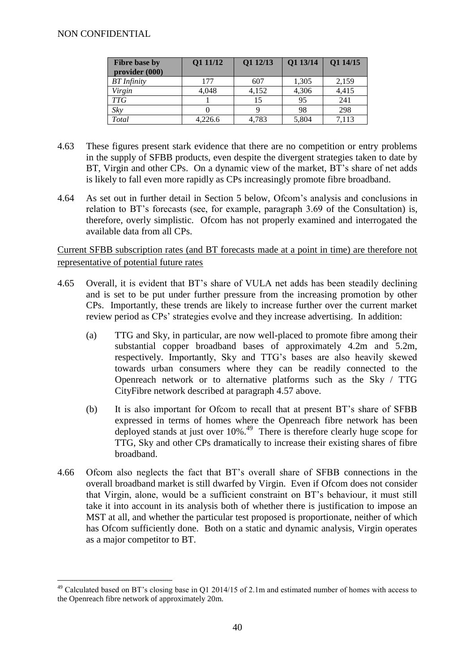#### NON CONFIDENTIAL

<u>.</u>

| <b>Fibre base by</b> | Q1 11/12 | Q1 12/13 | Q1 13/14 | Q1 14/15 |
|----------------------|----------|----------|----------|----------|
| provider (000)       |          |          |          |          |
| <b>BT</b> Infinity   | 177      | 607      | 1,305    | 2,159    |
| Virgin               | 4,048    | 4,152    | 4,306    | 4,415    |
| <b>TTG</b>           |          | 15       | 95       | 241      |
| Sky                  |          |          | 98       | 298      |
| Total                | 4,226.6  | 4,783    | 5,804    | 7,113    |

- 4.63 These figures present stark evidence that there are no competition or entry problems in the supply of SFBB products, even despite the divergent strategies taken to date by BT, Virgin and other CPs. On a dynamic view of the market, BT's share of net adds is likely to fall even more rapidly as CPs increasingly promote fibre broadband.
- 4.64 As set out in further detail in Section 5 below, Ofcom's analysis and conclusions in relation to BT's forecasts (see, for example, paragraph 3.69 of the Consultation) is, therefore, overly simplistic. Ofcom has not properly examined and interrogated the available data from all CPs.

Current SFBB subscription rates (and BT forecasts made at a point in time) are therefore not representative of potential future rates

- 4.65 Overall, it is evident that BT's share of VULA net adds has been steadily declining and is set to be put under further pressure from the increasing promotion by other CPs. Importantly, these trends are likely to increase further over the current market review period as CPs' strategies evolve and they increase advertising. In addition:
	- (a) TTG and Sky, in particular, are now well-placed to promote fibre among their substantial copper broadband bases of approximately 4.2m and 5.2m, respectively. Importantly, Sky and TTG's bases are also heavily skewed towards urban consumers where they can be readily connected to the Openreach network or to alternative platforms such as the Sky / TTG CityFibre network described at paragraph [4.57](#page-36-0) above.
	- (b) It is also important for Ofcom to recall that at present BT's share of SFBB expressed in terms of homes where the Openreach fibre network has been deployed stands at just over 10%.<sup>49</sup> There is therefore clearly huge scope for TTG, Sky and other CPs dramatically to increase their existing shares of fibre broadband.
- 4.66 Ofcom also neglects the fact that BT's overall share of SFBB connections in the overall broadband market is still dwarfed by Virgin. Even if Ofcom does not consider that Virgin, alone, would be a sufficient constraint on BT's behaviour, it must still take it into account in its analysis both of whether there is justification to impose an MST at all, and whether the particular test proposed is proportionate, neither of which has Ofcom sufficiently done. Both on a static and dynamic analysis, Virgin operates as a major competitor to BT.

<sup>&</sup>lt;sup>49</sup> Calculated based on BT's closing base in Q1 2014/15 of 2.1m and estimated number of homes with access to the Openreach fibre network of approximately 20m.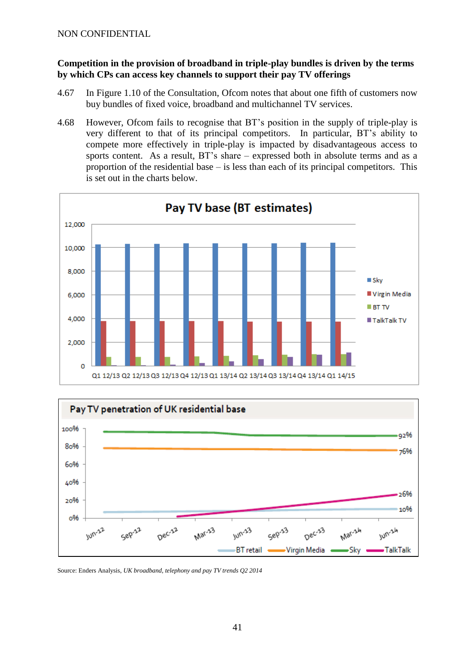## **Competition in the provision of broadband in triple-play bundles is driven by the terms by which CPs can access key channels to support their pay TV offerings**

- 4.67 In Figure 1.10 of the Consultation, Ofcom notes that about one fifth of customers now buy bundles of fixed voice, broadband and multichannel TV services.
- 4.68 However, Ofcom fails to recognise that BT's position in the supply of triple-play is very different to that of its principal competitors. In particular, BT's ability to compete more effectively in triple-play is impacted by disadvantageous access to sports content. As a result, BT's share – expressed both in absolute terms and as a proportion of the residential base – is less than each of its principal competitors. This is set out in the charts below.





Source: Enders Analysis, *UK broadband, telephony and pay TV trends Q2 2014*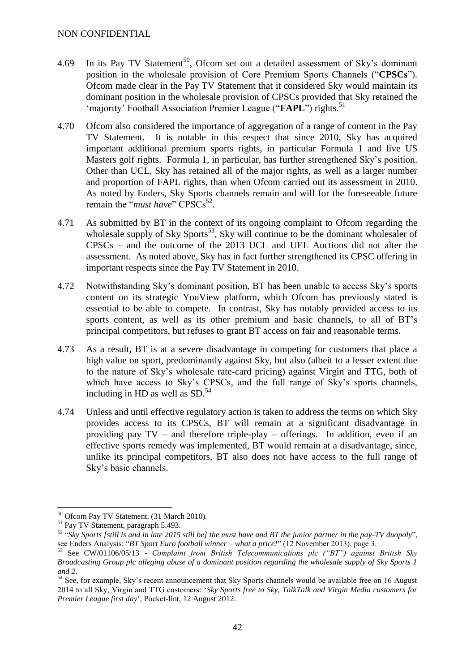- 4.69 In its Pay TV Statement<sup>50</sup>, Ofcom set out a detailed assessment of Sky's dominant position in the wholesale provision of Core Premium Sports Channels ("**CPSCs**"). Ofcom made clear in the Pay TV Statement that it considered Sky would maintain its dominant position in the wholesale provision of CPSCs provided that Sky retained the 'majority' Football Association Premier League ("FAPL") rights.<sup>51</sup>
- 4.70 Ofcom also considered the importance of aggregation of a range of content in the Pay TV Statement. It is notable in this respect that since 2010, Sky has acquired important additional premium sports rights, in particular Formula 1 and live US Masters golf rights. Formula 1, in particular, has further strengthened Sky's position. Other than UCL, Sky has retained all of the major rights, as well as a larger number and proportion of FAPL rights, than when Ofcom carried out its assessment in 2010. As noted by Enders, Sky Sports channels remain and will for the foreseeable future remain the "*must have*" CPSCs<sup>52</sup>.
- 4.71 As submitted by BT in the context of its ongoing complaint to Ofcom regarding the wholesale supply of Sky Sports<sup>53</sup>, Sky will continue to be the dominant wholesaler of CPSCs – and the outcome of the 2013 UCL and UEL Auctions did not alter the assessment. As noted above, Sky has in fact further strengthened its CPSC offering in important respects since the Pay TV Statement in 2010.
- 4.72 Notwithstanding Sky's dominant position, BT has been unable to access Sky's sports content on its strategic YouView platform, which Ofcom has previously stated is essential to be able to compete. In contrast, Sky has notably provided access to its sports content, as well as its other premium and basic channels, to all of BT's principal competitors, but refuses to grant BT access on fair and reasonable terms.
- 4.73 As a result, BT is at a severe disadvantage in competing for customers that place a high value on sport, predominantly against Sky, but also (albeit to a lesser extent due to the nature of Sky's wholesale rate-card pricing) against Virgin and TTG, both of which have access to Sky's CPSCs, and the full range of Sky's sports channels, including in HD as well as SD. 54
- 4.74 Unless and until effective regulatory action is taken to address the terms on which Sky provides access to its CPSCs, BT will remain at a significant disadvantage in providing pay TV – and therefore triple-play – offerings. In addition, even if an effective sports remedy was implemented, BT would remain at a disadvantage, since, unlike its principal competitors, BT also does not have access to the full range of Sky's basic channels.

<sup>1</sup> <sup>50</sup> Ofcom Pay TV Statement, (31 March 2010).

<sup>&</sup>lt;sup>51</sup> Pay TV Statement, paragraph 5.493.

<sup>52</sup> "*Sky Sports [still is and in late 2015 still be] the must have and BT the junior partner in the pay-TV duopoly*", see Enders Analysis: "*BT Sport Euro football winner – what a price!*" (12 November 2013), page 3.

<sup>53</sup> See CW/01106/05/13 *- Complaint from British Telecommunications plc ("BT") against British Sky Broadcasting Group plc alleging abuse of a dominant position regarding the wholesale supply of Sky Sports 1 and 2*.

<sup>&</sup>lt;sup>54</sup> See, for example, Sky's recent announcement that Sky Sports channels would be available free on 16 August 2014 to all Sky, Virgin and TTG customers: '*Sky Sports free to Sky, TalkTalk and Virgin Media customers for Premier League first day*', Pocket-lint, 12 August 2012.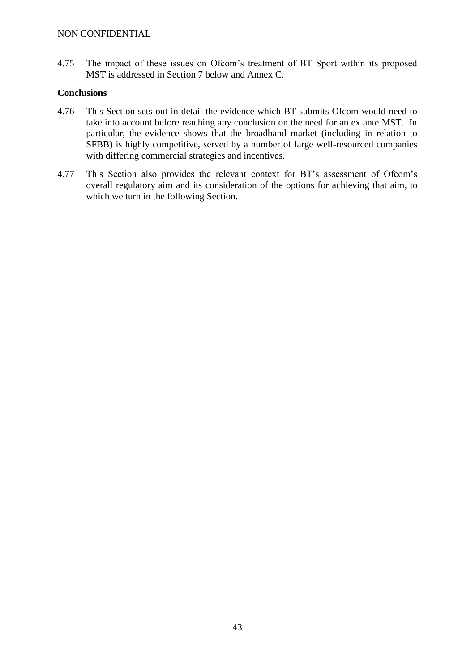4.75 The impact of these issues on Ofcom's treatment of BT Sport within its proposed MST is addressed in Section 7 below and Annex C.

# **Conclusions**

- 4.76 This Section sets out in detail the evidence which BT submits Ofcom would need to take into account before reaching any conclusion on the need for an ex ante MST. In particular, the evidence shows that the broadband market (including in relation to SFBB) is highly competitive, served by a number of large well-resourced companies with differing commercial strategies and incentives.
- 4.77 This Section also provides the relevant context for BT's assessment of Ofcom's overall regulatory aim and its consideration of the options for achieving that aim, to which we turn in the following Section.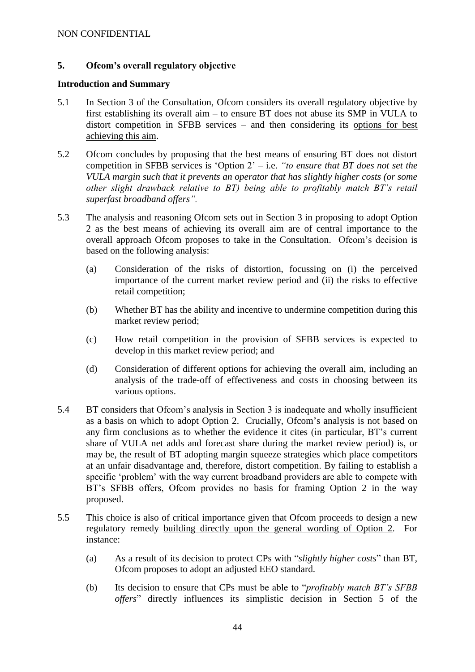# **5. Ofcom's overall regulatory objective**

#### **Introduction and Summary**

- 5.1 In Section 3 of the Consultation, Ofcom considers its overall regulatory objective by first establishing its overall aim – to ensure BT does not abuse its SMP in VULA to distort competition in SFBB services – and then considering its options for best achieving this aim.
- 5.2 Ofcom concludes by proposing that the best means of ensuring BT does not distort competition in SFBB services is 'Option 2' – i.e. *"to ensure that BT does not set the VULA margin such that it prevents an operator that has slightly higher costs (or some other slight drawback relative to BT) being able to profitably match BT's retail superfast broadband offers".*
- 5.3 The analysis and reasoning Ofcom sets out in Section 3 in proposing to adopt Option 2 as the best means of achieving its overall aim are of central importance to the overall approach Ofcom proposes to take in the Consultation. Ofcom's decision is based on the following analysis:
	- (a) Consideration of the risks of distortion, focussing on (i) the perceived importance of the current market review period and (ii) the risks to effective retail competition;
	- (b) Whether BT has the ability and incentive to undermine competition during this market review period;
	- (c) How retail competition in the provision of SFBB services is expected to develop in this market review period; and
	- (d) Consideration of different options for achieving the overall aim, including an analysis of the trade-off of effectiveness and costs in choosing between its various options.
- 5.4 BT considers that Ofcom's analysis in Section 3 is inadequate and wholly insufficient as a basis on which to adopt Option 2. Crucially, Ofcom's analysis is not based on any firm conclusions as to whether the evidence it cites (in particular, BT's current share of VULA net adds and forecast share during the market review period) is, or may be, the result of BT adopting margin squeeze strategies which place competitors at an unfair disadvantage and, therefore, distort competition. By failing to establish a specific 'problem' with the way current broadband providers are able to compete with BT's SFBB offers, Ofcom provides no basis for framing Option 2 in the way proposed.
- 5.5 This choice is also of critical importance given that Ofcom proceeds to design a new regulatory remedy building directly upon the general wording of Option 2. For instance:
	- (a) As a result of its decision to protect CPs with "*slightly higher costs*" than BT, Ofcom proposes to adopt an adjusted EEO standard.
	- (b) Its decision to ensure that CPs must be able to "*profitably match BT's SFBB offers*" directly influences its simplistic decision in Section 5 of the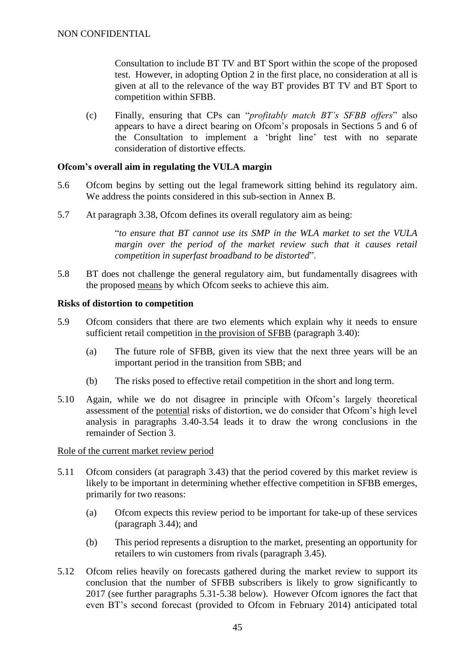Consultation to include BT TV and BT Sport within the scope of the proposed test. However, in adopting Option 2 in the first place, no consideration at all is given at all to the relevance of the way BT provides BT TV and BT Sport to competition within SFBB.

(c) Finally, ensuring that CPs can "*profitably match BT's SFBB offers*" also appears to have a direct bearing on Ofcom's proposals in Sections 5 and 6 of the Consultation to implement a 'bright line' test with no separate consideration of distortive effects.

#### **Ofcom's overall aim in regulating the VULA margin**

- 5.6 Ofcom begins by setting out the legal framework sitting behind its regulatory aim. We address the points considered in this sub-section in Annex B.
- 5.7 At paragraph 3.38, Ofcom defines its overall regulatory aim as being:

"*to ensure that BT cannot use its SMP in the WLA market to set the VULA margin over the period of the market review such that it causes retail competition in superfast broadband to be distorted*".

5.8 BT does not challenge the general regulatory aim, but fundamentally disagrees with the proposed means by which Ofcom seeks to achieve this aim.

#### **Risks of distortion to competition**

- 5.9 Ofcom considers that there are two elements which explain why it needs to ensure sufficient retail competition in the provision of SFBB (paragraph 3.40):
	- (a) The future role of SFBB, given its view that the next three years will be an important period in the transition from SBB; and
	- (b) The risks posed to effective retail competition in the short and long term.
- 5.10 Again, while we do not disagree in principle with Ofcom's largely theoretical assessment of the potential risks of distortion, we do consider that Ofcom's high level analysis in paragraphs 3.40-3.54 leads it to draw the wrong conclusions in the remainder of Section 3.

#### Role of the current market review period

- 5.11 Ofcom considers (at paragraph 3.43) that the period covered by this market review is likely to be important in determining whether effective competition in SFBB emerges, primarily for two reasons:
	- (a) Ofcom expects this review period to be important for take-up of these services (paragraph 3.44); and
	- (b) This period represents a disruption to the market, presenting an opportunity for retailers to win customers from rivals (paragraph 3.45).
- 5.12 Ofcom relies heavily on forecasts gathered during the market review to support its conclusion that the number of SFBB subscribers is likely to grow significantly to 2017 (see further paragraphs [5.31-](#page-49-0)[5.38](#page-50-0) below). However Ofcom ignores the fact that even BT's second forecast (provided to Ofcom in February 2014) anticipated total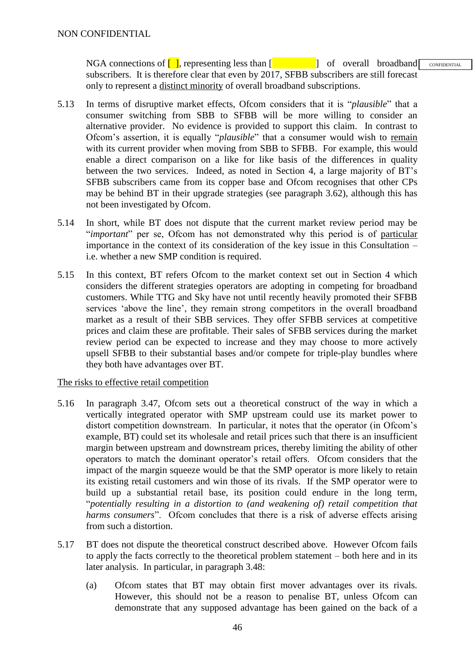NGA connections of  $\begin{bmatrix} 1 \end{bmatrix}$ , representing less than  $\begin{bmatrix} 1 \end{bmatrix}$  of overall broadband subscribers. It is therefore clear that even by 2017, SFBB subscribers are still forecast only to represent a distinct minority of overall broadband subscriptions. CONFIDENTIAL

- 5.13 In terms of disruptive market effects, Ofcom considers that it is "*plausible*" that a consumer switching from SBB to SFBB will be more willing to consider an alternative provider. No evidence is provided to support this claim. In contrast to Ofcom's assertion, it is equally "*plausible*" that a consumer would wish to remain with its current provider when moving from SBB to SFBB. For example, this would enable a direct comparison on a like for like basis of the differences in quality between the two services. Indeed, as noted in Section 4, a large majority of BT's SFBB subscribers came from its copper base and Ofcom recognises that other CPs may be behind BT in their upgrade strategies (see paragraph 3.62), although this has not been investigated by Ofcom.
- 5.14 In short, while BT does not dispute that the current market review period may be "*important*" per se, Ofcom has not demonstrated why this period is of particular importance in the context of its consideration of the key issue in this Consultation – i.e. whether a new SMP condition is required.
- 5.15 In this context, BT refers Ofcom to the market context set out in Section 4 which considers the different strategies operators are adopting in competing for broadband customers. While TTG and Sky have not until recently heavily promoted their SFBB services 'above the line', they remain strong competitors in the overall broadband market as a result of their SBB services. They offer SFBB services at competitive prices and claim these are profitable. Their sales of SFBB services during the market review period can be expected to increase and they may choose to more actively upsell SFBB to their substantial bases and/or compete for triple-play bundles where they both have advantages over BT.

## The risks to effective retail competition

- 5.16 In paragraph 3.47, Ofcom sets out a theoretical construct of the way in which a vertically integrated operator with SMP upstream could use its market power to distort competition downstream. In particular, it notes that the operator (in Ofcom's example, BT) could set its wholesale and retail prices such that there is an insufficient margin between upstream and downstream prices, thereby limiting the ability of other operators to match the dominant operator's retail offers. Ofcom considers that the impact of the margin squeeze would be that the SMP operator is more likely to retain its existing retail customers and win those of its rivals. If the SMP operator were to build up a substantial retail base, its position could endure in the long term, "*potentially resulting in a distortion to (and weakening of) retail competition that harms consumers*". Ofcom concludes that there is a risk of adverse effects arising from such a distortion.
- 5.17 BT does not dispute the theoretical construct described above. However Ofcom fails to apply the facts correctly to the theoretical problem statement – both here and in its later analysis. In particular, in paragraph 3.48:
	- (a) Ofcom states that BT may obtain first mover advantages over its rivals. However, this should not be a reason to penalise BT, unless Ofcom can demonstrate that any supposed advantage has been gained on the back of a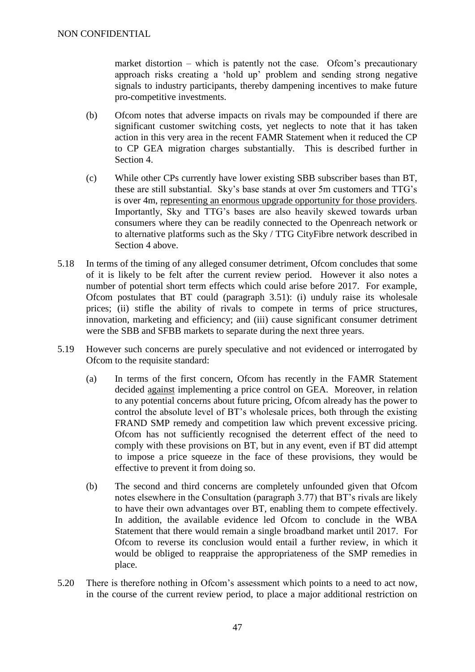market distortion  $-$  which is patently not the case. Of com's precautionary approach risks creating a 'hold up' problem and sending strong negative signals to industry participants, thereby dampening incentives to make future pro-competitive investments.

- (b) Ofcom notes that adverse impacts on rivals may be compounded if there are significant customer switching costs, yet neglects to note that it has taken action in this very area in the recent FAMR Statement when it reduced the CP to CP GEA migration charges substantially. This is described further in Section 4.
- (c) While other CPs currently have lower existing SBB subscriber bases than BT, these are still substantial. Sky's base stands at over 5m customers and TTG's is over 4m, representing an enormous upgrade opportunity for those providers. Importantly, Sky and TTG's bases are also heavily skewed towards urban consumers where they can be readily connected to the Openreach network or to alternative platforms such as the Sky / TTG CityFibre network described in Section 4 above.
- 5.18 In terms of the timing of any alleged consumer detriment, Ofcom concludes that some of it is likely to be felt after the current review period. However it also notes a number of potential short term effects which could arise before 2017. For example, Ofcom postulates that BT could (paragraph 3.51): (i) unduly raise its wholesale prices; (ii) stifle the ability of rivals to compete in terms of price structures, innovation, marketing and efficiency; and (iii) cause significant consumer detriment were the SBB and SFBB markets to separate during the next three years.
- 5.19 However such concerns are purely speculative and not evidenced or interrogated by Ofcom to the requisite standard:
	- (a) In terms of the first concern, Ofcom has recently in the FAMR Statement decided against implementing a price control on GEA. Moreover, in relation to any potential concerns about future pricing, Ofcom already has the power to control the absolute level of BT's wholesale prices, both through the existing FRAND SMP remedy and competition law which prevent excessive pricing. Ofcom has not sufficiently recognised the deterrent effect of the need to comply with these provisions on BT, but in any event, even if BT did attempt to impose a price squeeze in the face of these provisions, they would be effective to prevent it from doing so.
	- (b) The second and third concerns are completely unfounded given that Ofcom notes elsewhere in the Consultation (paragraph 3.77) that BT's rivals are likely to have their own advantages over BT, enabling them to compete effectively. In addition, the available evidence led Ofcom to conclude in the WBA Statement that there would remain a single broadband market until 2017. For Ofcom to reverse its conclusion would entail a further review, in which it would be obliged to reappraise the appropriateness of the SMP remedies in place.
- 5.20 There is therefore nothing in Ofcom's assessment which points to a need to act now, in the course of the current review period, to place a major additional restriction on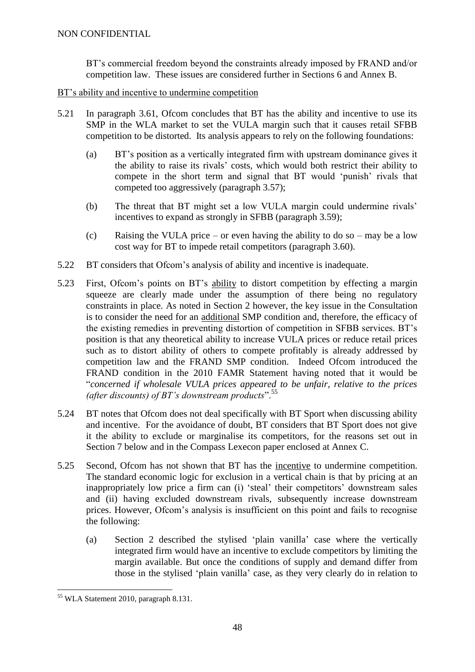BT's commercial freedom beyond the constraints already imposed by FRAND and/or competition law. These issues are considered further in Sections 6 and Annex B.

BT's ability and incentive to undermine competition

- 5.21 In paragraph 3.61, Ofcom concludes that BT has the ability and incentive to use its SMP in the WLA market to set the VULA margin such that it causes retail SFBB competition to be distorted. Its analysis appears to rely on the following foundations:
	- (a) BT's position as a vertically integrated firm with upstream dominance gives it the ability to raise its rivals' costs, which would both restrict their ability to compete in the short term and signal that BT would 'punish' rivals that competed too aggressively (paragraph 3.57);
	- (b) The threat that BT might set a low VULA margin could undermine rivals' incentives to expand as strongly in SFBB (paragraph 3.59);
	- (c) Raising the VULA price or even having the ability to do so may be a low cost way for BT to impede retail competitors (paragraph 3.60).
- 5.22 BT considers that Ofcom's analysis of ability and incentive is inadequate.
- 5.23 First, Ofcom's points on BT's ability to distort competition by effecting a margin squeeze are clearly made under the assumption of there being no regulatory constraints in place. As noted in Section 2 however, the key issue in the Consultation is to consider the need for an additional SMP condition and, therefore, the efficacy of the existing remedies in preventing distortion of competition in SFBB services. BT's position is that any theoretical ability to increase VULA prices or reduce retail prices such as to distort ability of others to compete profitably is already addressed by competition law and the FRAND SMP condition. Indeed Ofcom introduced the FRAND condition in the 2010 FAMR Statement having noted that it would be "*concerned if wholesale VULA prices appeared to be unfair, relative to the prices (after discounts) of BT's downstream products*".<sup>55</sup>
- 5.24 BT notes that Ofcom does not deal specifically with BT Sport when discussing ability and incentive. For the avoidance of doubt, BT considers that BT Sport does not give it the ability to exclude or marginalise its competitors, for the reasons set out in Section 7 below and in the Compass Lexecon paper enclosed at Annex C.
- 5.25 Second, Ofcom has not shown that BT has the incentive to undermine competition. The standard economic logic for exclusion in a vertical chain is that by pricing at an inappropriately low price a firm can (i) 'steal' their competitors' downstream sales and (ii) having excluded downstream rivals, subsequently increase downstream prices. However, Ofcom's analysis is insufficient on this point and fails to recognise the following:
	- (a) Section 2 described the stylised 'plain vanilla' case where the vertically integrated firm would have an incentive to exclude competitors by limiting the margin available. But once the conditions of supply and demand differ from those in the stylised 'plain vanilla' case, as they very clearly do in relation to

<sup>1</sup> <sup>55</sup> WLA Statement 2010, paragraph 8.131.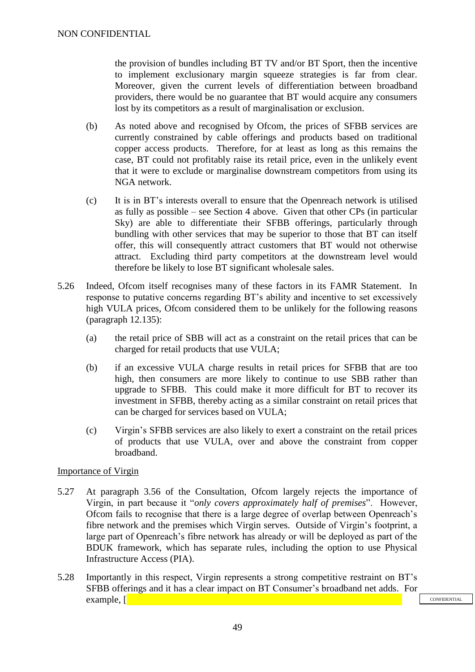the provision of bundles including BT TV and/or BT Sport, then the incentive to implement exclusionary margin squeeze strategies is far from clear. Moreover, given the current levels of differentiation between broadband providers, there would be no guarantee that BT would acquire any consumers lost by its competitors as a result of marginalisation or exclusion.

- (b) As noted above and recognised by Ofcom, the prices of SFBB services are currently constrained by cable offerings and products based on traditional copper access products. Therefore, for at least as long as this remains the case, BT could not profitably raise its retail price, even in the unlikely event that it were to exclude or marginalise downstream competitors from using its NGA network.
- (c) It is in BT's interests overall to ensure that the Openreach network is utilised as fully as possible – see Section 4 above. Given that other CPs (in particular Sky) are able to differentiate their SFBB offerings, particularly through bundling with other services that may be superior to those that BT can itself offer, this will consequently attract customers that BT would not otherwise attract. Excluding third party competitors at the downstream level would therefore be likely to lose BT significant wholesale sales.
- 5.26 Indeed, Ofcom itself recognises many of these factors in its FAMR Statement. In response to putative concerns regarding BT's ability and incentive to set excessively high VULA prices, Ofcom considered them to be unlikely for the following reasons (paragraph 12.135):
	- (a) the retail price of SBB will act as a constraint on the retail prices that can be charged for retail products that use VULA;
	- (b) if an excessive VULA charge results in retail prices for SFBB that are too high, then consumers are more likely to continue to use SBB rather than upgrade to SFBB. This could make it more difficult for BT to recover its investment in SFBB, thereby acting as a similar constraint on retail prices that can be charged for services based on VULA;
	- (c) Virgin's SFBB services are also likely to exert a constraint on the retail prices of products that use VULA, over and above the constraint from copper broadband.

## Importance of Virgin

- 5.27 At paragraph 3.56 of the Consultation, Ofcom largely rejects the importance of Virgin, in part because it "*only covers approximately half of premises*". However, Ofcom fails to recognise that there is a large degree of overlap between Openreach's fibre network and the premises which Virgin serves. Outside of Virgin's footprint, a large part of Openreach's fibre network has already or will be deployed as part of the BDUK framework, which has separate rules, including the option to use Physical Infrastructure Access (PIA).
- 5.28 Importantly in this respect, Virgin represents a strong competitive restraint on BT's SFBB offerings and it has a clear impact on BT Consumer's broadband net adds. For example,  $\lceil \cdot \rceil$

**CONFIDENTIAL**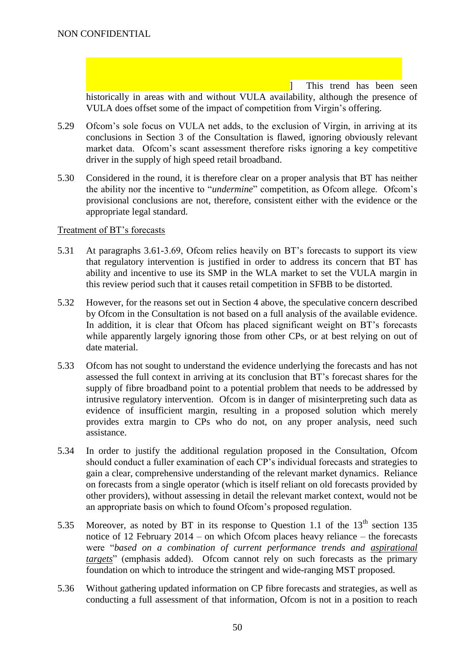] This trend has been seen historically in areas with and without VULA availability, although the presence of VULA does offset some of the impact of competition from Virgin's offering.

- 5.29 Ofcom's sole focus on VULA net adds, to the exclusion of Virgin, in arriving at its conclusions in Section 3 of the Consultation is flawed, ignoring obviously relevant market data. Of com's scant assessment therefore risks ignoring a key competitive driver in the supply of high speed retail broadband.
- 5.30 Considered in the round, it is therefore clear on a proper analysis that BT has neither the ability nor the incentive to "*undermine*" competition, as Ofcom allege. Ofcom's provisional conclusions are not, therefore, consistent either with the evidence or the appropriate legal standard.

#### Treatment of BT's forecasts

- <span id="page-49-0"></span>5.31 At paragraphs 3.61-3.69, Ofcom relies heavily on BT's forecasts to support its view that regulatory intervention is justified in order to address its concern that BT has ability and incentive to use its SMP in the WLA market to set the VULA margin in this review period such that it causes retail competition in SFBB to be distorted.
- 5.32 However, for the reasons set out in Section 4 above, the speculative concern described by Ofcom in the Consultation is not based on a full analysis of the available evidence. In addition, it is clear that Ofcom has placed significant weight on BT's forecasts while apparently largely ignoring those from other CPs, or at best relying on out of date material.
- 5.33 Ofcom has not sought to understand the evidence underlying the forecasts and has not assessed the full context in arriving at its conclusion that BT's forecast shares for the supply of fibre broadband point to a potential problem that needs to be addressed by intrusive regulatory intervention. Ofcom is in danger of misinterpreting such data as evidence of insufficient margin, resulting in a proposed solution which merely provides extra margin to CPs who do not, on any proper analysis, need such assistance.
- 5.34 In order to justify the additional regulation proposed in the Consultation, Ofcom should conduct a fuller examination of each CP's individual forecasts and strategies to gain a clear, comprehensive understanding of the relevant market dynamics. Reliance on forecasts from a single operator (which is itself reliant on old forecasts provided by other providers), without assessing in detail the relevant market context, would not be an appropriate basis on which to found Ofcom's proposed regulation.
- 5.35 Moreover, as noted by BT in its response to Question 1.1 of the  $13<sup>th</sup>$  section 135 notice of 12 February 2014 – on which Ofcom places heavy reliance – the forecasts were "*based on a combination of current performance trends and aspirational targets*" (emphasis added). Ofcom cannot rely on such forecasts as the primary foundation on which to introduce the stringent and wide-ranging MST proposed.
- 5.36 Without gathering updated information on CP fibre forecasts and strategies, as well as conducting a full assessment of that information, Ofcom is not in a position to reach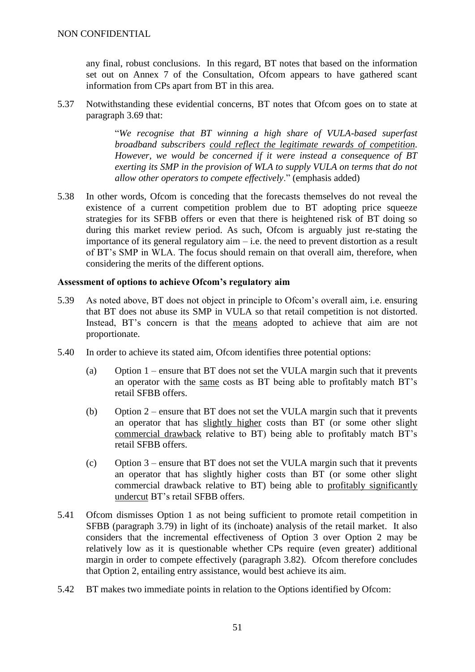any final, robust conclusions. In this regard, BT notes that based on the information set out on Annex 7 of the Consultation, Ofcom appears to have gathered scant information from CPs apart from BT in this area.

5.37 Notwithstanding these evidential concerns, BT notes that Ofcom goes on to state at paragraph 3.69 that:

> "*We recognise that BT winning a high share of VULA-based superfast broadband subscribers could reflect the legitimate rewards of competition. However, we would be concerned if it were instead a consequence of BT exerting its SMP in the provision of WLA to supply VULA on terms that do not allow other operators to compete effectively*." (emphasis added)

<span id="page-50-0"></span>5.38 In other words, Ofcom is conceding that the forecasts themselves do not reveal the existence of a current competition problem due to BT adopting price squeeze strategies for its SFBB offers or even that there is heightened risk of BT doing so during this market review period. As such, Ofcom is arguably just re-stating the importance of its general regulatory aim  $-$  i.e. the need to prevent distortion as a result of BT's SMP in WLA. The focus should remain on that overall aim, therefore, when considering the merits of the different options.

## **Assessment of options to achieve Ofcom's regulatory aim**

- 5.39 As noted above, BT does not object in principle to Ofcom's overall aim, i.e. ensuring that BT does not abuse its SMP in VULA so that retail competition is not distorted. Instead, BT's concern is that the means adopted to achieve that aim are not proportionate.
- 5.40 In order to achieve its stated aim, Ofcom identifies three potential options:
	- (a) Option 1 ensure that BT does not set the VULA margin such that it prevents an operator with the same costs as BT being able to profitably match BT's retail SFBB offers.
	- (b) Option 2 ensure that BT does not set the VULA margin such that it prevents an operator that has slightly higher costs than BT (or some other slight commercial drawback relative to BT) being able to profitably match BT's retail SFBB offers.
	- (c) Option 3 ensure that BT does not set the VULA margin such that it prevents an operator that has slightly higher costs than BT (or some other slight commercial drawback relative to BT) being able to profitably significantly undercut BT's retail SFBB offers.
- 5.41 Ofcom dismisses Option 1 as not being sufficient to promote retail competition in SFBB (paragraph 3.79) in light of its (inchoate) analysis of the retail market. It also considers that the incremental effectiveness of Option 3 over Option 2 may be relatively low as it is questionable whether CPs require (even greater) additional margin in order to compete effectively (paragraph 3.82). Ofcom therefore concludes that Option 2, entailing entry assistance, would best achieve its aim.
- 5.42 BT makes two immediate points in relation to the Options identified by Ofcom: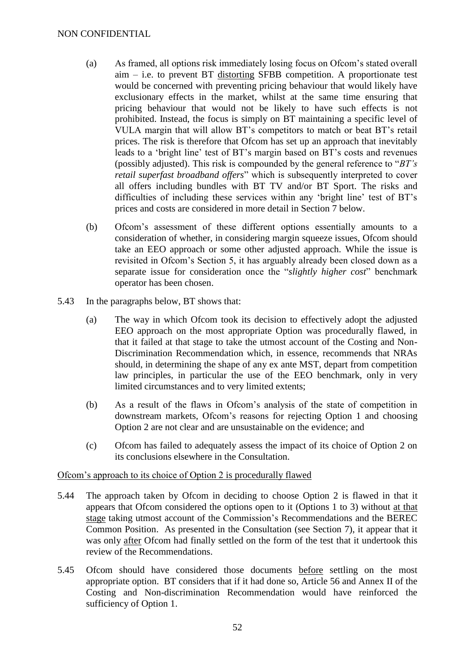- (a) As framed, all options risk immediately losing focus on Ofcom's stated overall aim – i.e. to prevent BT distorting SFBB competition. A proportionate test would be concerned with preventing pricing behaviour that would likely have exclusionary effects in the market, whilst at the same time ensuring that pricing behaviour that would not be likely to have such effects is not prohibited. Instead, the focus is simply on BT maintaining a specific level of VULA margin that will allow BT's competitors to match or beat BT's retail prices. The risk is therefore that Ofcom has set up an approach that inevitably leads to a 'bright line' test of BT's margin based on BT's costs and revenues (possibly adjusted). This risk is compounded by the general reference to "*BT's retail superfast broadband offers*" which is subsequently interpreted to cover all offers including bundles with BT TV and/or BT Sport. The risks and difficulties of including these services within any 'bright line' test of BT's prices and costs are considered in more detail in Section 7 below.
- (b) Ofcom's assessment of these different options essentially amounts to a consideration of whether, in considering margin squeeze issues, Ofcom should take an EEO approach or some other adjusted approach. While the issue is revisited in Ofcom's Section 5, it has arguably already been closed down as a separate issue for consideration once the "*slightly higher cost*" benchmark operator has been chosen.
- 5.43 In the paragraphs below, BT shows that:
	- (a) The way in which Ofcom took its decision to effectively adopt the adjusted EEO approach on the most appropriate Option was procedurally flawed, in that it failed at that stage to take the utmost account of the Costing and Non-Discrimination Recommendation which, in essence, recommends that NRAs should, in determining the shape of any ex ante MST, depart from competition law principles, in particular the use of the EEO benchmark, only in very limited circumstances and to very limited extents;
	- (b) As a result of the flaws in Ofcom's analysis of the state of competition in downstream markets, Ofcom's reasons for rejecting Option 1 and choosing Option 2 are not clear and are unsustainable on the evidence; and
	- (c) Ofcom has failed to adequately assess the impact of its choice of Option 2 on its conclusions elsewhere in the Consultation.

#### Ofcom's approach to its choice of Option 2 is procedurally flawed

- 5.44 The approach taken by Ofcom in deciding to choose Option 2 is flawed in that it appears that Ofcom considered the options open to it (Options 1 to 3) without at that stage taking utmost account of the Commission's Recommendations and the BEREC Common Position. As presented in the Consultation (see Section 7), it appear that it was only after Ofcom had finally settled on the form of the test that it undertook this review of the Recommendations.
- 5.45 Ofcom should have considered those documents before settling on the most appropriate option. BT considers that if it had done so, Article 56 and Annex II of the Costing and Non-discrimination Recommendation would have reinforced the sufficiency of Option 1.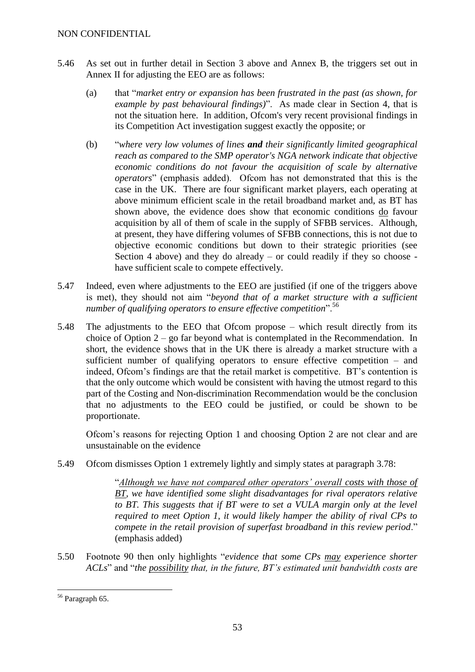- 5.46 As set out in further detail in Section 3 above and Annex B, the triggers set out in Annex II for adjusting the EEO are as follows:
	- (a) that "*market entry or expansion has been frustrated in the past (as shown, for example by past behavioural findings)*". As made clear in Section 4, that is not the situation here. In addition, Ofcom's very recent provisional findings in its Competition Act investigation suggest exactly the opposite; or
	- (b) "*where very low volumes of lines and their significantly limited geographical reach as compared to the SMP operator's NGA network indicate that objective economic conditions do not favour the acquisition of scale by alternative operators*" (emphasis added). Of com has not demonstrated that this is the case in the UK. There are four significant market players, each operating at above minimum efficient scale in the retail broadband market and, as BT has shown above, the evidence does show that economic conditions do favour acquisition by all of them of scale in the supply of SFBB services. Although, at present, they have differing volumes of SFBB connections, this is not due to objective economic conditions but down to their strategic priorities (see Section 4 above) and they do already – or could readily if they so choose have sufficient scale to compete effectively.
- 5.47 Indeed, even where adjustments to the EEO are justified (if one of the triggers above is met), they should not aim "*beyond that of a market structure with a sufficient number of qualifying operators to ensure effective competition*".<sup>56</sup>
- 5.48 The adjustments to the EEO that Ofcom propose which result directly from its choice of Option 2 – go far beyond what is contemplated in the Recommendation. In short, the evidence shows that in the UK there is already a market structure with a sufficient number of qualifying operators to ensure effective competition – and indeed, Ofcom's findings are that the retail market is competitive. BT's contention is that the only outcome which would be consistent with having the utmost regard to this part of the Costing and Non-discrimination Recommendation would be the conclusion that no adjustments to the EEO could be justified, or could be shown to be proportionate.

Ofcom's reasons for rejecting Option 1 and choosing Option 2 are not clear and are unsustainable on the evidence

5.49 Ofcom dismisses Option 1 extremely lightly and simply states at paragraph 3.78:

"*Although we have not compared other operators' overall costs with those of BT, we have identified some slight disadvantages for rival operators relative to BT. This suggests that if BT were to set a VULA margin only at the level required to meet Option 1, it would likely hamper the ability of rival CPs to compete in the retail provision of superfast broadband in this review period*." (emphasis added)

5.50 Footnote 90 then only highlights "*evidence that some CPs may experience shorter ACLs*" and "*the possibility that, in the future, BT's estimated unit bandwidth costs are* 

<sup>1</sup> <sup>56</sup> Paragraph 65.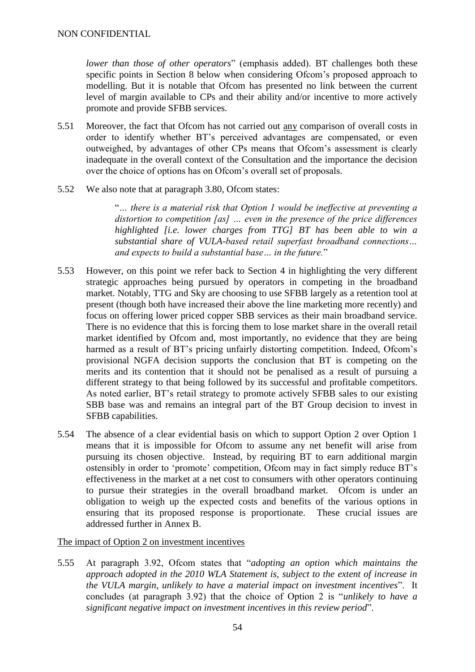*lower than those of other operators*" (emphasis added). BT challenges both these specific points in Section 8 below when considering Ofcom's proposed approach to modelling. But it is notable that Ofcom has presented no link between the current level of margin available to CPs and their ability and/or incentive to more actively promote and provide SFBB services.

- 5.51 Moreover, the fact that Ofcom has not carried out any comparison of overall costs in order to identify whether BT's perceived advantages are compensated, or even outweighed, by advantages of other CPs means that Ofcom's assessment is clearly inadequate in the overall context of the Consultation and the importance the decision over the choice of options has on Ofcom's overall set of proposals.
- 5.52 We also note that at paragraph 3.80, Ofcom states:

"*… there is a material risk that Option 1 would be ineffective at preventing a distortion to competition [as] … even in the presence of the price differences highlighted [i.e. lower charges from TTG] BT has been able to win a substantial share of VULA-based retail superfast broadband connections… and expects to build a substantial base… in the future.*"

- 5.53 However, on this point we refer back to Section 4 in highlighting the very different strategic approaches being pursued by operators in competing in the broadband market. Notably, TTG and Sky are choosing to use SFBB largely as a retention tool at present (though both have increased their above the line marketing more recently) and focus on offering lower priced copper SBB services as their main broadband service. There is no evidence that this is forcing them to lose market share in the overall retail market identified by Ofcom and, most importantly, no evidence that they are being harmed as a result of BT's pricing unfairly distorting competition. Indeed, Ofcom's provisional NGFA decision supports the conclusion that BT is competing on the merits and its contention that it should not be penalised as a result of pursuing a different strategy to that being followed by its successful and profitable competitors. As noted earlier, BT's retail strategy to promote actively SFBB sales to our existing SBB base was and remains an integral part of the BT Group decision to invest in SFBB capabilities.
- 5.54 The absence of a clear evidential basis on which to support Option 2 over Option 1 means that it is impossible for Ofcom to assume any net benefit will arise from pursuing its chosen objective. Instead, by requiring BT to earn additional margin ostensibly in order to 'promote' competition, Ofcom may in fact simply reduce BT's effectiveness in the market at a net cost to consumers with other operators continuing to pursue their strategies in the overall broadband market. Ofcom is under an obligation to weigh up the expected costs and benefits of the various options in ensuring that its proposed response is proportionate. These crucial issues are addressed further in Annex B.

#### The impact of Option 2 on investment incentives

5.55 At paragraph 3.92, Ofcom states that "*adopting an option which maintains the approach adopted in the 2010 WLA Statement is, subject to the extent of increase in the VULA margin, unlikely to have a material impact on investment incentives*". It concludes (at paragraph 3.92) that the choice of Option 2 is "*unlikely to have a significant negative impact on investment incentives in this review period*".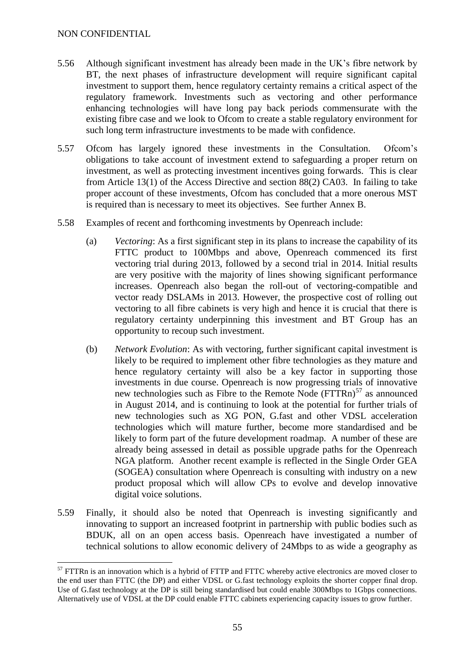<u>.</u>

- 5.56 Although significant investment has already been made in the UK's fibre network by BT, the next phases of infrastructure development will require significant capital investment to support them, hence regulatory certainty remains a critical aspect of the regulatory framework. Investments such as vectoring and other performance enhancing technologies will have long pay back periods commensurate with the existing fibre case and we look to Ofcom to create a stable regulatory environment for such long term infrastructure investments to be made with confidence.
- 5.57 Ofcom has largely ignored these investments in the Consultation. Ofcom's obligations to take account of investment extend to safeguarding a proper return on investment, as well as protecting investment incentives going forwards. This is clear from Article 13(1) of the Access Directive and section 88(2) CA03. In failing to take proper account of these investments, Ofcom has concluded that a more onerous MST is required than is necessary to meet its objectives. See further Annex B.
- 5.58 Examples of recent and forthcoming investments by Openreach include:
	- (a) *Vectoring*: As a first significant step in its plans to increase the capability of its FTTC product to 100Mbps and above, Openreach commenced its first vectoring trial during 2013, followed by a second trial in 2014. Initial results are very positive with the majority of lines showing significant performance increases. Openreach also began the roll-out of vectoring-compatible and vector ready DSLAMs in 2013. However, the prospective cost of rolling out vectoring to all fibre cabinets is very high and hence it is crucial that there is regulatory certainty underpinning this investment and BT Group has an opportunity to recoup such investment.
	- (b) *Network Evolution*: As with vectoring, further significant capital investment is likely to be required to implement other fibre technologies as they mature and hence regulatory certainty will also be a key factor in supporting those investments in due course. Openreach is now progressing trials of innovative new technologies such as Fibre to the Remote Node  $(FTTRn)^{57}$  as announced in August 2014, and is continuing to look at the potential for further trials of new technologies such as XG PON, G.fast and other VDSL acceleration technologies which will mature further, become more standardised and be likely to form part of the future development roadmap. A number of these are already being assessed in detail as possible upgrade paths for the Openreach NGA platform. Another recent example is reflected in the Single Order GEA (SOGEA) consultation where Openreach is consulting with industry on a new product proposal which will allow CPs to evolve and develop innovative digital voice solutions.
- 5.59 Finally, it should also be noted that Openreach is investing significantly and innovating to support an increased footprint in partnership with public bodies such as BDUK, all on an open access basis. Openreach have investigated a number of technical solutions to allow economic delivery of 24Mbps to as wide a geography as

 $57$  FTTRn is an innovation which is a hybrid of FTTP and FTTC whereby active electronics are moved closer to the end user than FTTC (the DP) and either VDSL or G.fast technology exploits the shorter copper final drop. Use of G.fast technology at the DP is still being standardised but could enable 300Mbps to 1Gbps connections. Alternatively use of VDSL at the DP could enable FTTC cabinets experiencing capacity issues to grow further.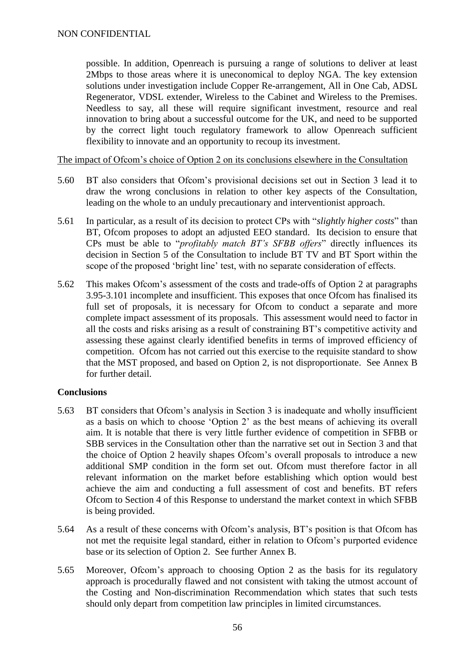possible. In addition, Openreach is pursuing a range of solutions to deliver at least 2Mbps to those areas where it is uneconomical to deploy NGA. The key extension solutions under investigation include Copper Re-arrangement, All in One Cab, ADSL Regenerator, VDSL extender, Wireless to the Cabinet and Wireless to the Premises. Needless to say, all these will require significant investment, resource and real innovation to bring about a successful outcome for the UK, and need to be supported by the correct light touch regulatory framework to allow Openreach sufficient flexibility to innovate and an opportunity to recoup its investment.

The impact of Ofcom's choice of Option 2 on its conclusions elsewhere in the Consultation

- 5.60 BT also considers that Ofcom's provisional decisions set out in Section 3 lead it to draw the wrong conclusions in relation to other key aspects of the Consultation, leading on the whole to an unduly precautionary and interventionist approach.
- 5.61 In particular, as a result of its decision to protect CPs with "*slightly higher costs*" than BT, Ofcom proposes to adopt an adjusted EEO standard. Its decision to ensure that CPs must be able to "*profitably match BT's SFBB offers*" directly influences its decision in Section 5 of the Consultation to include BT TV and BT Sport within the scope of the proposed 'bright line' test, with no separate consideration of effects.
- 5.62 This makes Ofcom's assessment of the costs and trade-offs of Option 2 at paragraphs 3.95-3.101 incomplete and insufficient. This exposes that once Ofcom has finalised its full set of proposals, it is necessary for Ofcom to conduct a separate and more complete impact assessment of its proposals. This assessment would need to factor in all the costs and risks arising as a result of constraining BT's competitive activity and assessing these against clearly identified benefits in terms of improved efficiency of competition. Ofcom has not carried out this exercise to the requisite standard to show that the MST proposed, and based on Option 2, is not disproportionate. See Annex B for further detail.

#### **Conclusions**

- 5.63 BT considers that Ofcom's analysis in Section 3 is inadequate and wholly insufficient as a basis on which to choose 'Option 2' as the best means of achieving its overall aim. It is notable that there is very little further evidence of competition in SFBB or SBB services in the Consultation other than the narrative set out in Section 3 and that the choice of Option 2 heavily shapes Ofcom's overall proposals to introduce a new additional SMP condition in the form set out. Ofcom must therefore factor in all relevant information on the market before establishing which option would best achieve the aim and conducting a full assessment of cost and benefits. BT refers Ofcom to Section 4 of this Response to understand the market context in which SFBB is being provided.
- 5.64 As a result of these concerns with Ofcom's analysis, BT's position is that Ofcom has not met the requisite legal standard, either in relation to Ofcom's purported evidence base or its selection of Option 2. See further Annex B.
- 5.65 Moreover, Ofcom's approach to choosing Option 2 as the basis for its regulatory approach is procedurally flawed and not consistent with taking the utmost account of the Costing and Non-discrimination Recommendation which states that such tests should only depart from competition law principles in limited circumstances.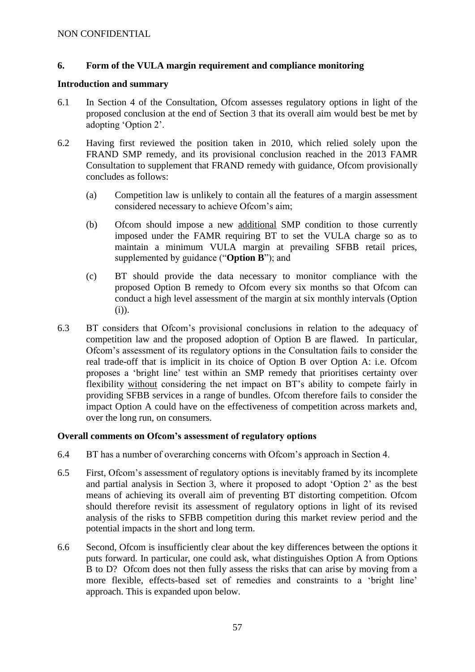## **6. Form of the VULA margin requirement and compliance monitoring**

#### **Introduction and summary**

- 6.1 In Section 4 of the Consultation, Ofcom assesses regulatory options in light of the proposed conclusion at the end of Section 3 that its overall aim would best be met by adopting 'Option 2'.
- 6.2 Having first reviewed the position taken in 2010, which relied solely upon the FRAND SMP remedy, and its provisional conclusion reached in the 2013 FAMR Consultation to supplement that FRAND remedy with guidance, Ofcom provisionally concludes as follows:
	- (a) Competition law is unlikely to contain all the features of a margin assessment considered necessary to achieve Ofcom's aim;
	- (b) Ofcom should impose a new additional SMP condition to those currently imposed under the FAMR requiring BT to set the VULA charge so as to maintain a minimum VULA margin at prevailing SFBB retail prices, supplemented by guidance ("**Option B**"); and
	- (c) BT should provide the data necessary to monitor compliance with the proposed Option B remedy to Ofcom every six months so that Ofcom can conduct a high level assessment of the margin at six monthly intervals (Option (i)).
- 6.3 BT considers that Ofcom's provisional conclusions in relation to the adequacy of competition law and the proposed adoption of Option B are flawed. In particular, Ofcom's assessment of its regulatory options in the Consultation fails to consider the real trade-off that is implicit in its choice of Option B over Option A: i.e. Ofcom proposes a 'bright line' test within an SMP remedy that prioritises certainty over flexibility without considering the net impact on BT's ability to compete fairly in providing SFBB services in a range of bundles. Ofcom therefore fails to consider the impact Option A could have on the effectiveness of competition across markets and, over the long run, on consumers.

## **Overall comments on Ofcom's assessment of regulatory options**

- 6.4 BT has a number of overarching concerns with Ofcom's approach in Section 4.
- 6.5 First, Ofcom's assessment of regulatory options is inevitably framed by its incomplete and partial analysis in Section 3, where it proposed to adopt 'Option 2' as the best means of achieving its overall aim of preventing BT distorting competition. Ofcom should therefore revisit its assessment of regulatory options in light of its revised analysis of the risks to SFBB competition during this market review period and the potential impacts in the short and long term.
- 6.6 Second, Ofcom is insufficiently clear about the key differences between the options it puts forward. In particular, one could ask, what distinguishes Option A from Options B to D? Ofcom does not then fully assess the risks that can arise by moving from a more flexible, effects-based set of remedies and constraints to a 'bright line' approach. This is expanded upon below.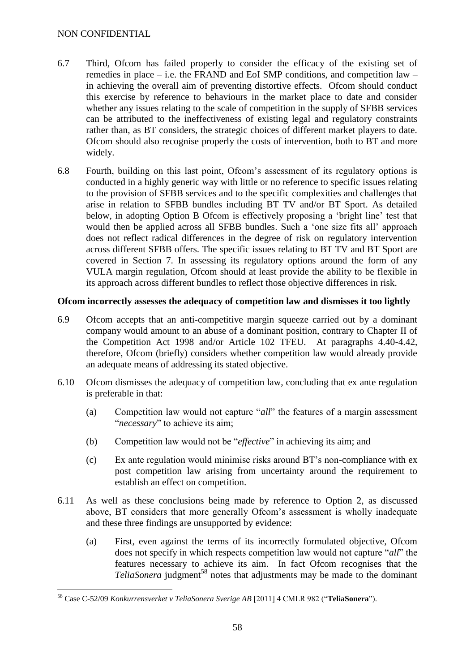- 6.7 Third, Ofcom has failed properly to consider the efficacy of the existing set of remedies in place – i.e. the FRAND and EoI SMP conditions, and competition law – in achieving the overall aim of preventing distortive effects. Ofcom should conduct this exercise by reference to behaviours in the market place to date and consider whether any issues relating to the scale of competition in the supply of SFBB services can be attributed to the ineffectiveness of existing legal and regulatory constraints rather than, as BT considers, the strategic choices of different market players to date. Ofcom should also recognise properly the costs of intervention, both to BT and more widely.
- 6.8 Fourth, building on this last point, Ofcom's assessment of its regulatory options is conducted in a highly generic way with little or no reference to specific issues relating to the provision of SFBB services and to the specific complexities and challenges that arise in relation to SFBB bundles including BT TV and/or BT Sport. As detailed below, in adopting Option B Ofcom is effectively proposing a 'bright line' test that would then be applied across all SFBB bundles. Such a 'one size fits all' approach does not reflect radical differences in the degree of risk on regulatory intervention across different SFBB offers. The specific issues relating to BT TV and BT Sport are covered in Section 7. In assessing its regulatory options around the form of any VULA margin regulation, Ofcom should at least provide the ability to be flexible in its approach across different bundles to reflect those objective differences in risk.

## **Ofcom incorrectly assesses the adequacy of competition law and dismisses it too lightly**

- 6.9 Ofcom accepts that an anti-competitive margin squeeze carried out by a dominant company would amount to an abuse of a dominant position, contrary to Chapter II of the Competition Act 1998 and/or Article 102 TFEU. At paragraphs 4.40-4.42, therefore, Ofcom (briefly) considers whether competition law would already provide an adequate means of addressing its stated objective.
- 6.10 Ofcom dismisses the adequacy of competition law, concluding that ex ante regulation is preferable in that:
	- (a) Competition law would not capture "*all*" the features of a margin assessment "*necessary*" to achieve its aim;
	- (b) Competition law would not be "*effective*" in achieving its aim; and
	- (c) Ex ante regulation would minimise risks around BT's non-compliance with ex post competition law arising from uncertainty around the requirement to establish an effect on competition.
- 6.11 As well as these conclusions being made by reference to Option 2, as discussed above, BT considers that more generally Ofcom's assessment is wholly inadequate and these three findings are unsupported by evidence:
	- (a) First, even against the terms of its incorrectly formulated objective, Ofcom does not specify in which respects competition law would not capture "*all*" the features necessary to achieve its aim. In fact Ofcom recognises that the *TeliaSonera* judgment<sup>58</sup> notes that adjustments may be made to the dominant

<sup>1</sup> <sup>58</sup> Case C-52/09 *Konkurrensverket v TeliaSonera Sverige AB* [2011] 4 CMLR 982 ("**TeliaSonera**").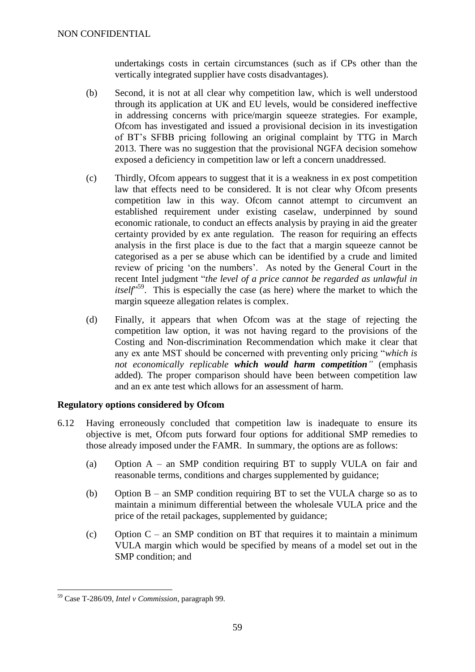undertakings costs in certain circumstances (such as if CPs other than the vertically integrated supplier have costs disadvantages).

- (b) Second, it is not at all clear why competition law, which is well understood through its application at UK and EU levels, would be considered ineffective in addressing concerns with price/margin squeeze strategies. For example, Ofcom has investigated and issued a provisional decision in its investigation of BT's SFBB pricing following an original complaint by TTG in March 2013. There was no suggestion that the provisional NGFA decision somehow exposed a deficiency in competition law or left a concern unaddressed.
- (c) Thirdly, Ofcom appears to suggest that it is a weakness in ex post competition law that effects need to be considered. It is not clear why Ofcom presents competition law in this way. Ofcom cannot attempt to circumvent an established requirement under existing caselaw, underpinned by sound economic rationale, to conduct an effects analysis by praying in aid the greater certainty provided by ex ante regulation. The reason for requiring an effects analysis in the first place is due to the fact that a margin squeeze cannot be categorised as a per se abuse which can be identified by a crude and limited review of pricing 'on the numbers'. As noted by the General Court in the recent Intel judgment "*the level of a price cannot be regarded as unlawful in itself*<sup>59</sup>. This is especially the case (as here) where the market to which the margin squeeze allegation relates is complex.
- (d) Finally, it appears that when Ofcom was at the stage of rejecting the competition law option, it was not having regard to the provisions of the Costing and Non-discrimination Recommendation which make it clear that any ex ante MST should be concerned with preventing only pricing "*which is not economically replicable which would harm competition"* (emphasis added)*.* The proper comparison should have been between competition law and an ex ante test which allows for an assessment of harm.

## **Regulatory options considered by Ofcom**

- 6.12 Having erroneously concluded that competition law is inadequate to ensure its objective is met, Ofcom puts forward four options for additional SMP remedies to those already imposed under the FAMR. In summary, the options are as follows:
	- (a) Option A an SMP condition requiring BT to supply VULA on fair and reasonable terms, conditions and charges supplemented by guidance;
	- (b) Option B an SMP condition requiring BT to set the VULA charge so as to maintain a minimum differential between the wholesale VULA price and the price of the retail packages, supplemented by guidance;
	- (c) Option  $C$  an SMP condition on BT that requires it to maintain a minimum VULA margin which would be specified by means of a model set out in the SMP condition; and

<sup>1</sup> <sup>59</sup> Case T-286/09, *Intel v Commission*, paragraph 99.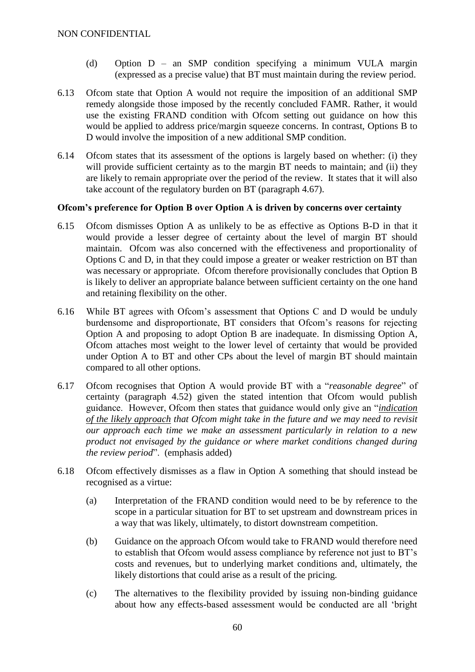- (d) Option D an SMP condition specifying a minimum VULA margin (expressed as a precise value) that BT must maintain during the review period.
- 6.13 Ofcom state that Option A would not require the imposition of an additional SMP remedy alongside those imposed by the recently concluded FAMR. Rather, it would use the existing FRAND condition with Ofcom setting out guidance on how this would be applied to address price/margin squeeze concerns. In contrast, Options B to D would involve the imposition of a new additional SMP condition.
- 6.14 Ofcom states that its assessment of the options is largely based on whether: (i) they will provide sufficient certainty as to the margin BT needs to maintain; and (ii) they are likely to remain appropriate over the period of the review. It states that it will also take account of the regulatory burden on BT (paragraph 4.67).

#### **Ofcom's preference for Option B over Option A is driven by concerns over certainty**

- 6.15 Ofcom dismisses Option A as unlikely to be as effective as Options B-D in that it would provide a lesser degree of certainty about the level of margin BT should maintain. Ofcom was also concerned with the effectiveness and proportionality of Options C and D, in that they could impose a greater or weaker restriction on BT than was necessary or appropriate. Of com therefore provisionally concludes that Option B is likely to deliver an appropriate balance between sufficient certainty on the one hand and retaining flexibility on the other.
- 6.16 While BT agrees with Ofcom's assessment that Options C and D would be unduly burdensome and disproportionate, BT considers that Ofcom's reasons for rejecting Option A and proposing to adopt Option B are inadequate. In dismissing Option A, Ofcom attaches most weight to the lower level of certainty that would be provided under Option A to BT and other CPs about the level of margin BT should maintain compared to all other options.
- 6.17 Ofcom recognises that Option A would provide BT with a "*reasonable degree*" of certainty (paragraph 4.52) given the stated intention that Ofcom would publish guidance. However, Ofcom then states that guidance would only give an "*indication of the likely approach that Ofcom might take in the future and we may need to revisit our approach each time we make an assessment particularly in relation to a new product not envisaged by the guidance or where market conditions changed during the review period*". (emphasis added)
- 6.18 Ofcom effectively dismisses as a flaw in Option A something that should instead be recognised as a virtue:
	- (a) Interpretation of the FRAND condition would need to be by reference to the scope in a particular situation for BT to set upstream and downstream prices in a way that was likely, ultimately, to distort downstream competition.
	- (b) Guidance on the approach Ofcom would take to FRAND would therefore need to establish that Ofcom would assess compliance by reference not just to BT's costs and revenues, but to underlying market conditions and, ultimately, the likely distortions that could arise as a result of the pricing.
	- (c) The alternatives to the flexibility provided by issuing non-binding guidance about how any effects-based assessment would be conducted are all 'bright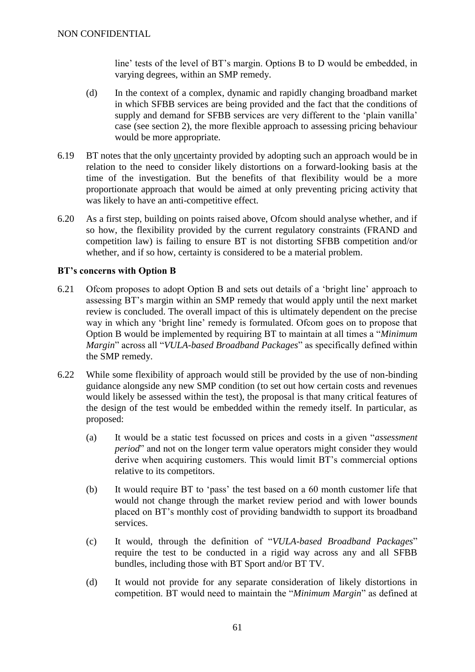line' tests of the level of BT's margin. Options B to D would be embedded, in varying degrees, within an SMP remedy.

- (d) In the context of a complex, dynamic and rapidly changing broadband market in which SFBB services are being provided and the fact that the conditions of supply and demand for SFBB services are very different to the 'plain vanilla' case (see section 2), the more flexible approach to assessing pricing behaviour would be more appropriate.
- 6.19 BT notes that the only uncertainty provided by adopting such an approach would be in relation to the need to consider likely distortions on a forward-looking basis at the time of the investigation. But the benefits of that flexibility would be a more proportionate approach that would be aimed at only preventing pricing activity that was likely to have an anti-competitive effect.
- 6.20 As a first step, building on points raised above, Ofcom should analyse whether, and if so how, the flexibility provided by the current regulatory constraints (FRAND and competition law) is failing to ensure BT is not distorting SFBB competition and/or whether, and if so how, certainty is considered to be a material problem.

## **BT's concerns with Option B**

- 6.21 Ofcom proposes to adopt Option B and sets out details of a 'bright line' approach to assessing BT's margin within an SMP remedy that would apply until the next market review is concluded. The overall impact of this is ultimately dependent on the precise way in which any 'bright line' remedy is formulated. Of com goes on to propose that Option B would be implemented by requiring BT to maintain at all times a "*Minimum Margin*" across all "*VULA-based Broadband Packages*" as specifically defined within the SMP remedy.
- 6.22 While some flexibility of approach would still be provided by the use of non-binding guidance alongside any new SMP condition (to set out how certain costs and revenues would likely be assessed within the test), the proposal is that many critical features of the design of the test would be embedded within the remedy itself. In particular, as proposed:
	- (a) It would be a static test focussed on prices and costs in a given "*assessment period*" and not on the longer term value operators might consider they would derive when acquiring customers. This would limit BT's commercial options relative to its competitors.
	- (b) It would require BT to 'pass' the test based on a 60 month customer life that would not change through the market review period and with lower bounds placed on BT's monthly cost of providing bandwidth to support its broadband services.
	- (c) It would, through the definition of "*VULA-based Broadband Packages*" require the test to be conducted in a rigid way across any and all SFBB bundles, including those with BT Sport and/or BT TV.
	- (d) It would not provide for any separate consideration of likely distortions in competition. BT would need to maintain the "*Minimum Margin*" as defined at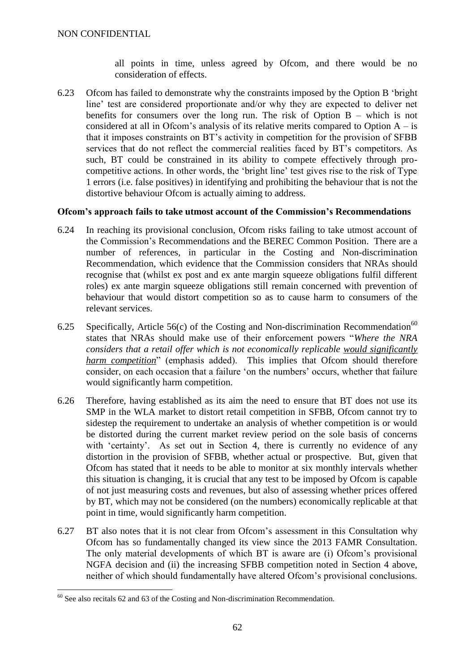all points in time, unless agreed by Ofcom, and there would be no consideration of effects.

6.23 Ofcom has failed to demonstrate why the constraints imposed by the Option B 'bright line' test are considered proportionate and/or why they are expected to deliver net benefits for consumers over the long run. The risk of Option B – which is not considered at all in Ofcom's analysis of its relative merits compared to Option  $A - iS$ that it imposes constraints on BT's activity in competition for the provision of SFBB services that do not reflect the commercial realities faced by BT's competitors. As such, BT could be constrained in its ability to compete effectively through procompetitive actions. In other words, the 'bright line' test gives rise to the risk of Type 1 errors (i.e. false positives) in identifying and prohibiting the behaviour that is not the distortive behaviour Ofcom is actually aiming to address.

## **Ofcom's approach fails to take utmost account of the Commission's Recommendations**

- 6.24 In reaching its provisional conclusion, Ofcom risks failing to take utmost account of the Commission's Recommendations and the BEREC Common Position. There are a number of references, in particular in the Costing and Non-discrimination Recommendation, which evidence that the Commission considers that NRAs should recognise that (whilst ex post and ex ante margin squeeze obligations fulfil different roles) ex ante margin squeeze obligations still remain concerned with prevention of behaviour that would distort competition so as to cause harm to consumers of the relevant services.
- 6.25 Specifically, Article 56(c) of the Costing and Non-discrimination Recommendation<sup>60</sup> states that NRAs should make use of their enforcement powers "*Where the NRA considers that a retail offer which is not economically replicable would significantly harm competition*" (emphasis added). This implies that Ofcom should therefore consider, on each occasion that a failure 'on the numbers' occurs, whether that failure would significantly harm competition.
- 6.26 Therefore, having established as its aim the need to ensure that BT does not use its SMP in the WLA market to distort retail competition in SFBB, Ofcom cannot try to sidestep the requirement to undertake an analysis of whether competition is or would be distorted during the current market review period on the sole basis of concerns with 'certainty'. As set out in Section 4, there is currently no evidence of any distortion in the provision of SFBB, whether actual or prospective. But, given that Ofcom has stated that it needs to be able to monitor at six monthly intervals whether this situation is changing, it is crucial that any test to be imposed by Ofcom is capable of not just measuring costs and revenues, but also of assessing whether prices offered by BT, which may not be considered (on the numbers) economically replicable at that point in time, would significantly harm competition.
- 6.27 BT also notes that it is not clear from Ofcom's assessment in this Consultation why Ofcom has so fundamentally changed its view since the 2013 FAMR Consultation. The only material developments of which BT is aware are (i) Ofcom's provisional NGFA decision and (ii) the increasing SFBB competition noted in Section 4 above, neither of which should fundamentally have altered Ofcom's provisional conclusions.

<sup>1</sup>  $60$  See also recitals 62 and 63 of the Costing and Non-discrimination Recommendation.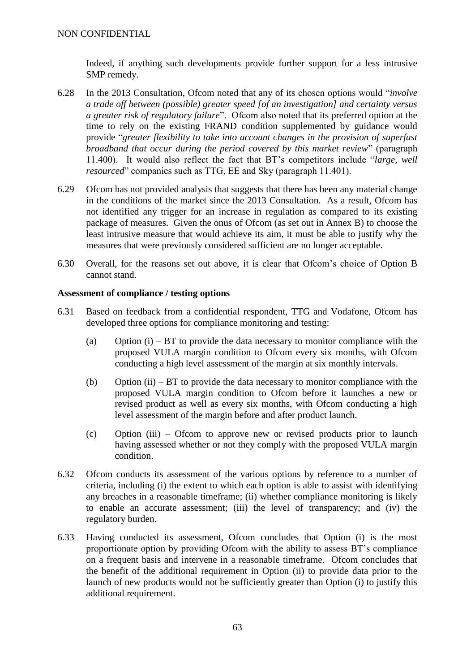Indeed, if anything such developments provide further support for a less intrusive SMP remedy.

- 6.28 In the 2013 Consultation, Ofcom noted that any of its chosen options would "*involve a trade off between (possible) greater speed [of an investigation] and certainty versus a greater risk of regulatory failure*". Ofcom also noted that its preferred option at the time to rely on the existing FRAND condition supplemented by guidance would provide "*greater flexibility to take into account changes in the provision of superfast broadband that occur during the period covered by this market review*" (paragraph 11.400). It would also reflect the fact that BT's competitors include "*large, well resourced*" companies such as TTG, EE and Sky (paragraph 11.401).
- 6.29 Ofcom has not provided analysis that suggests that there has been any material change in the conditions of the market since the 2013 Consultation. As a result, Ofcom has not identified any trigger for an increase in regulation as compared to its existing package of measures. Given the onus of Ofcom (as set out in Annex B) to choose the least intrusive measure that would achieve its aim, it must be able to justify why the measures that were previously considered sufficient are no longer acceptable.
- 6.30 Overall, for the reasons set out above, it is clear that Ofcom's choice of Option B cannot stand.

## **Assessment of compliance / testing options**

- 6.31 Based on feedback from a confidential respondent, TTG and Vodafone, Ofcom has developed three options for compliance monitoring and testing:
	- (a) Option  $(i)$  BT to provide the data necessary to monitor compliance with the proposed VULA margin condition to Ofcom every six months, with Ofcom conducting a high level assessment of the margin at six monthly intervals.
	- (b) Option (ii)  $BT$  to provide the data necessary to monitor compliance with the proposed VULA margin condition to Ofcom before it launches a new or revised product as well as every six months, with Ofcom conducting a high level assessment of the margin before and after product launch.
	- (c) Option (iii) Ofcom to approve new or revised products prior to launch having assessed whether or not they comply with the proposed VULA margin condition.
- 6.32 Ofcom conducts its assessment of the various options by reference to a number of criteria, including (i) the extent to which each option is able to assist with identifying any breaches in a reasonable timeframe; (ii) whether compliance monitoring is likely to enable an accurate assessment; (iii) the level of transparency; and (iv) the regulatory burden.
- 6.33 Having conducted its assessment, Ofcom concludes that Option (i) is the most proportionate option by providing Ofcom with the ability to assess BT's compliance on a frequent basis and intervene in a reasonable timeframe. Ofcom concludes that the benefit of the additional requirement in Option (ii) to provide data prior to the launch of new products would not be sufficiently greater than Option (i) to justify this additional requirement.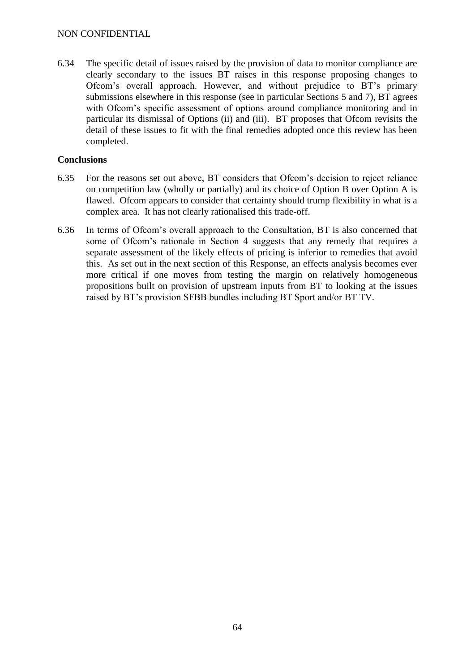6.34 The specific detail of issues raised by the provision of data to monitor compliance are clearly secondary to the issues BT raises in this response proposing changes to Ofcom's overall approach. However, and without prejudice to BT's primary submissions elsewhere in this response (see in particular Sections 5 and 7), BT agrees with Ofcom's specific assessment of options around compliance monitoring and in particular its dismissal of Options (ii) and (iii). BT proposes that Ofcom revisits the detail of these issues to fit with the final remedies adopted once this review has been completed.

## **Conclusions**

- 6.35 For the reasons set out above, BT considers that Ofcom's decision to reject reliance on competition law (wholly or partially) and its choice of Option B over Option A is flawed. Ofcom appears to consider that certainty should trump flexibility in what is a complex area. It has not clearly rationalised this trade-off.
- 6.36 In terms of Ofcom's overall approach to the Consultation, BT is also concerned that some of Ofcom's rationale in Section 4 suggests that any remedy that requires a separate assessment of the likely effects of pricing is inferior to remedies that avoid this. As set out in the next section of this Response, an effects analysis becomes ever more critical if one moves from testing the margin on relatively homogeneous propositions built on provision of upstream inputs from BT to looking at the issues raised by BT's provision SFBB bundles including BT Sport and/or BT TV.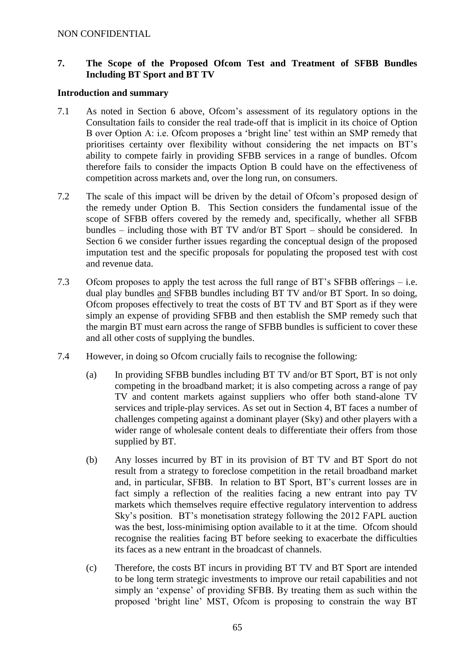## **7. The Scope of the Proposed Ofcom Test and Treatment of SFBB Bundles Including BT Sport and BT TV**

#### **Introduction and summary**

- 7.1 As noted in Section 6 above, Ofcom's assessment of its regulatory options in the Consultation fails to consider the real trade-off that is implicit in its choice of Option B over Option A: i.e. Ofcom proposes a 'bright line' test within an SMP remedy that prioritises certainty over flexibility without considering the net impacts on BT's ability to compete fairly in providing SFBB services in a range of bundles. Ofcom therefore fails to consider the impacts Option B could have on the effectiveness of competition across markets and, over the long run, on consumers.
- 7.2 The scale of this impact will be driven by the detail of Ofcom's proposed design of the remedy under Option B. This Section considers the fundamental issue of the scope of SFBB offers covered by the remedy and, specifically, whether all SFBB bundles – including those with BT TV and/or BT Sport – should be considered. In Section 6 we consider further issues regarding the conceptual design of the proposed imputation test and the specific proposals for populating the proposed test with cost and revenue data.
- 7.3 Ofcom proposes to apply the test across the full range of BT's SFBB offerings i.e. dual play bundles and SFBB bundles including BT TV and/or BT Sport. In so doing, Ofcom proposes effectively to treat the costs of BT TV and BT Sport as if they were simply an expense of providing SFBB and then establish the SMP remedy such that the margin BT must earn across the range of SFBB bundles is sufficient to cover these and all other costs of supplying the bundles.
- 7.4 However, in doing so Ofcom crucially fails to recognise the following:
	- (a) In providing SFBB bundles including BT TV and/or BT Sport, BT is not only competing in the broadband market; it is also competing across a range of pay TV and content markets against suppliers who offer both stand-alone TV services and triple-play services. As set out in Section 4, BT faces a number of challenges competing against a dominant player (Sky) and other players with a wider range of wholesale content deals to differentiate their offers from those supplied by BT.
	- (b) Any losses incurred by BT in its provision of BT TV and BT Sport do not result from a strategy to foreclose competition in the retail broadband market and, in particular, SFBB. In relation to BT Sport, BT's current losses are in fact simply a reflection of the realities facing a new entrant into pay TV markets which themselves require effective regulatory intervention to address Sky's position. BT's monetisation strategy following the 2012 FAPL auction was the best, loss-minimising option available to it at the time. Of com should recognise the realities facing BT before seeking to exacerbate the difficulties its faces as a new entrant in the broadcast of channels.
	- (c) Therefore, the costs BT incurs in providing BT TV and BT Sport are intended to be long term strategic investments to improve our retail capabilities and not simply an 'expense' of providing SFBB. By treating them as such within the proposed 'bright line' MST, Ofcom is proposing to constrain the way BT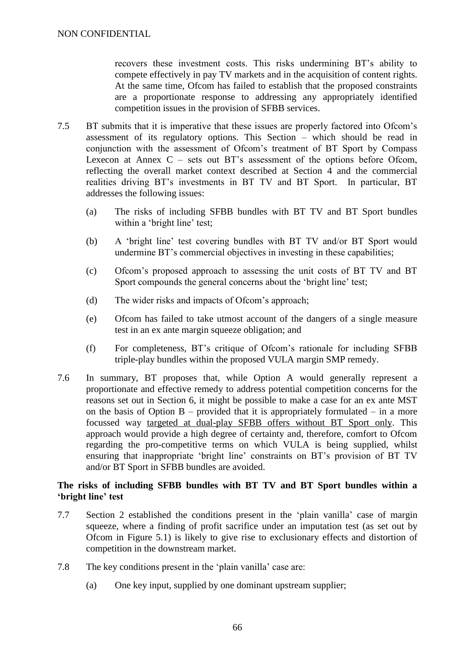recovers these investment costs. This risks undermining BT's ability to compete effectively in pay TV markets and in the acquisition of content rights. At the same time, Ofcom has failed to establish that the proposed constraints are a proportionate response to addressing any appropriately identified competition issues in the provision of SFBB services.

- 7.5 BT submits that it is imperative that these issues are properly factored into Ofcom's assessment of its regulatory options. This Section – which should be read in conjunction with the assessment of Ofcom's treatment of BT Sport by Compass Lexecon at Annex  $C$  – sets out BT's assessment of the options before Ofcom, reflecting the overall market context described at Section 4 and the commercial realities driving BT's investments in BT TV and BT Sport. In particular, BT addresses the following issues:
	- (a) The risks of including SFBB bundles with BT TV and BT Sport bundles within a 'bright line' test;
	- (b) A 'bright line' test covering bundles with BT TV and/or BT Sport would undermine BT's commercial objectives in investing in these capabilities;
	- (c) Ofcom's proposed approach to assessing the unit costs of BT TV and BT Sport compounds the general concerns about the 'bright line' test;
	- (d) The wider risks and impacts of Ofcom's approach;
	- (e) Ofcom has failed to take utmost account of the dangers of a single measure test in an ex ante margin squeeze obligation; and
	- (f) For completeness, BT's critique of Ofcom's rationale for including SFBB triple-play bundles within the proposed VULA margin SMP remedy.
- 7.6 In summary, BT proposes that, while Option A would generally represent a proportionate and effective remedy to address potential competition concerns for the reasons set out in Section 6, it might be possible to make a case for an ex ante MST on the basis of Option  $B$  – provided that it is appropriately formulated – in a more focussed way targeted at dual-play SFBB offers without BT Sport only. This approach would provide a high degree of certainty and, therefore, comfort to Ofcom regarding the pro-competitive terms on which VULA is being supplied, whilst ensuring that inappropriate 'bright line' constraints on BT's provision of BT TV and/or BT Sport in SFBB bundles are avoided.

#### **The risks of including SFBB bundles with BT TV and BT Sport bundles within a 'bright line' test**

- 7.7 Section 2 established the conditions present in the 'plain vanilla' case of margin squeeze, where a finding of profit sacrifice under an imputation test (as set out by Ofcom in Figure 5.1) is likely to give rise to exclusionary effects and distortion of competition in the downstream market.
- 7.8 The key conditions present in the 'plain vanilla' case are:
	- (a) One key input, supplied by one dominant upstream supplier;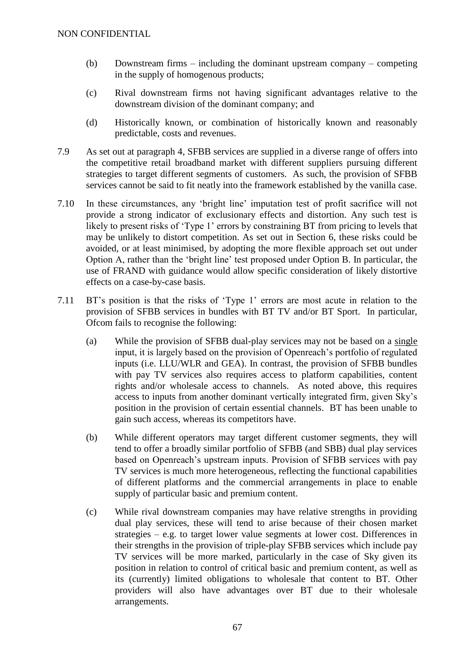- (b) Downstream firms including the dominant upstream company competing in the supply of homogenous products;
- (c) Rival downstream firms not having significant advantages relative to the downstream division of the dominant company; and
- (d) Historically known, or combination of historically known and reasonably predictable, costs and revenues.
- 7.9 As set out at paragraph 4, SFBB services are supplied in a diverse range of offers into the competitive retail broadband market with different suppliers pursuing different strategies to target different segments of customers. As such, the provision of SFBB services cannot be said to fit neatly into the framework established by the vanilla case.
- 7.10 In these circumstances, any 'bright line' imputation test of profit sacrifice will not provide a strong indicator of exclusionary effects and distortion. Any such test is likely to present risks of 'Type 1' errors by constraining BT from pricing to levels that may be unlikely to distort competition. As set out in Section 6, these risks could be avoided, or at least minimised, by adopting the more flexible approach set out under Option A, rather than the 'bright line' test proposed under Option B. In particular, the use of FRAND with guidance would allow specific consideration of likely distortive effects on a case-by-case basis.
- 7.11 BT's position is that the risks of 'Type 1' errors are most acute in relation to the provision of SFBB services in bundles with BT TV and/or BT Sport. In particular, Ofcom fails to recognise the following:
	- (a) While the provision of SFBB dual-play services may not be based on a single input, it is largely based on the provision of Openreach's portfolio of regulated inputs (i.e. LLU/WLR and GEA). In contrast, the provision of SFBB bundles with pay TV services also requires access to platform capabilities, content rights and/or wholesale access to channels. As noted above, this requires access to inputs from another dominant vertically integrated firm, given Sky's position in the provision of certain essential channels. BT has been unable to gain such access, whereas its competitors have.
	- (b) While different operators may target different customer segments, they will tend to offer a broadly similar portfolio of SFBB (and SBB) dual play services based on Openreach's upstream inputs. Provision of SFBB services with pay TV services is much more heterogeneous, reflecting the functional capabilities of different platforms and the commercial arrangements in place to enable supply of particular basic and premium content.
	- (c) While rival downstream companies may have relative strengths in providing dual play services, these will tend to arise because of their chosen market strategies – e.g. to target lower value segments at lower cost. Differences in their strengths in the provision of triple-play SFBB services which include pay TV services will be more marked, particularly in the case of Sky given its position in relation to control of critical basic and premium content, as well as its (currently) limited obligations to wholesale that content to BT. Other providers will also have advantages over BT due to their wholesale arrangements.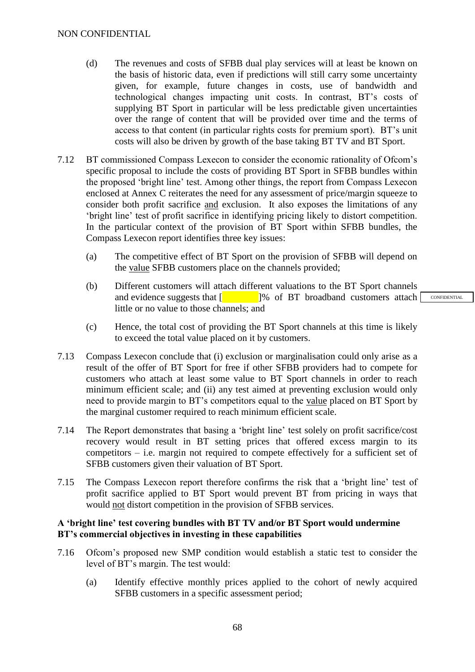- (d) The revenues and costs of SFBB dual play services will at least be known on the basis of historic data, even if predictions will still carry some uncertainty given, for example, future changes in costs, use of bandwidth and technological changes impacting unit costs. In contrast, BT's costs of supplying BT Sport in particular will be less predictable given uncertainties over the range of content that will be provided over time and the terms of access to that content (in particular rights costs for premium sport). BT's unit costs will also be driven by growth of the base taking BT TV and BT Sport.
- 7.12 BT commissioned Compass Lexecon to consider the economic rationality of Ofcom's specific proposal to include the costs of providing BT Sport in SFBB bundles within the proposed 'bright line' test. Among other things, the report from Compass Lexecon enclosed at Annex C reiterates the need for any assessment of price/margin squeeze to consider both profit sacrifice and exclusion. It also exposes the limitations of any 'bright line' test of profit sacrifice in identifying pricing likely to distort competition. In the particular context of the provision of BT Sport within SFBB bundles, the Compass Lexecon report identifies three key issues:
	- (a) The competitive effect of BT Sport on the provision of SFBB will depend on the value SFBB customers place on the channels provided;
	- (b) Different customers will attach different valuations to the BT Sport channels and evidence suggests that  $\begin{bmatrix} 1 & 1 \end{bmatrix}$ % of BT broadband customers attach little or no value to those channels; and
	- (c) Hence, the total cost of providing the BT Sport channels at this time is likely to exceed the total value placed on it by customers.
- 7.13 Compass Lexecon conclude that (i) exclusion or marginalisation could only arise as a result of the offer of BT Sport for free if other SFBB providers had to compete for customers who attach at least some value to BT Sport channels in order to reach minimum efficient scale; and (ii) any test aimed at preventing exclusion would only need to provide margin to BT's competitors equal to the value placed on BT Sport by the marginal customer required to reach minimum efficient scale.
- 7.14 The Report demonstrates that basing a 'bright line' test solely on profit sacrifice/cost recovery would result in BT setting prices that offered excess margin to its competitors – i.e. margin not required to compete effectively for a sufficient set of SFBB customers given their valuation of BT Sport.
- 7.15 The Compass Lexecon report therefore confirms the risk that a 'bright line' test of profit sacrifice applied to BT Sport would prevent BT from pricing in ways that would not distort competition in the provision of SFBB services.

#### **A 'bright line' test covering bundles with BT TV and/or BT Sport would undermine BT's commercial objectives in investing in these capabilities**

- 7.16 Ofcom's proposed new SMP condition would establish a static test to consider the level of BT's margin. The test would:
	- (a) Identify effective monthly prices applied to the cohort of newly acquired SFBB customers in a specific assessment period;

**CONFIDENTIAL**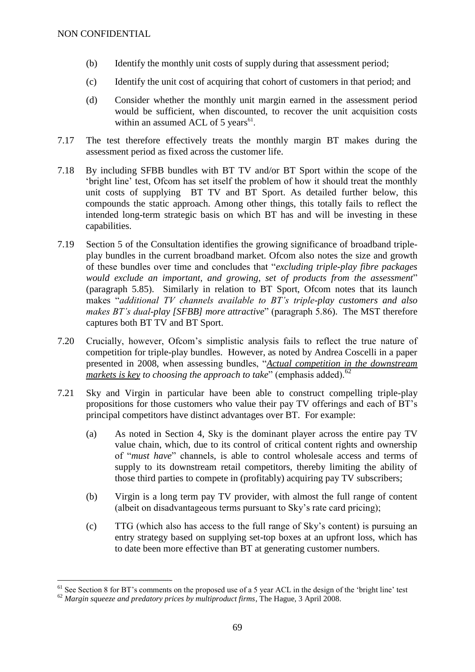- (b) Identify the monthly unit costs of supply during that assessment period;
- (c) Identify the unit cost of acquiring that cohort of customers in that period; and
- (d) Consider whether the monthly unit margin earned in the assessment period would be sufficient, when discounted, to recover the unit acquisition costs within an assumed ACL of 5 years $61$ .
- 7.17 The test therefore effectively treats the monthly margin BT makes during the assessment period as fixed across the customer life.
- 7.18 By including SFBB bundles with BT TV and/or BT Sport within the scope of the 'bright line' test, Ofcom has set itself the problem of how it should treat the monthly unit costs of supplying BT TV and BT Sport. As detailed further below, this compounds the static approach. Among other things, this totally fails to reflect the intended long-term strategic basis on which BT has and will be investing in these capabilities.
- 7.19 Section 5 of the Consultation identifies the growing significance of broadband tripleplay bundles in the current broadband market. Ofcom also notes the size and growth of these bundles over time and concludes that "*excluding triple-play fibre packages would exclude an important, and growing, set of products from the assessment*" (paragraph 5.85). Similarly in relation to BT Sport, Ofcom notes that its launch makes "*additional TV channels available to BT's triple-play customers and also makes BT's dual-play [SFBB] more attractive*" (paragraph 5.86). The MST therefore captures both BT TV and BT Sport.
- 7.20 Crucially, however, Ofcom's simplistic analysis fails to reflect the true nature of competition for triple-play bundles. However, as noted by Andrea Coscelli in a paper presented in 2008, when assessing bundles, "*Actual competition in the downstream markets is key to choosing the approach to take*" (emphasis added).<sup>62</sup>
- 7.21 Sky and Virgin in particular have been able to construct compelling triple-play propositions for those customers who value their pay TV offerings and each of BT's principal competitors have distinct advantages over BT. For example:
	- (a) As noted in Section 4, Sky is the dominant player across the entire pay TV value chain, which, due to its control of critical content rights and ownership of "*must have*" channels, is able to control wholesale access and terms of supply to its downstream retail competitors, thereby limiting the ability of those third parties to compete in (profitably) acquiring pay TV subscribers;
	- (b) Virgin is a long term pay TV provider, with almost the full range of content (albeit on disadvantageous terms pursuant to Sky's rate card pricing);
	- (c) TTG (which also has access to the full range of Sky's content) is pursuing an entry strategy based on supplying set-top boxes at an upfront loss, which has to date been more effective than BT at generating customer numbers.

<u>.</u>

 $61$  See Section 8 for BT's comments on the proposed use of a 5 year ACL in the design of the 'bright line' test

<sup>62</sup> *Margin squeeze and predatory prices by multiproduct firms*, The Hague, 3 April 2008.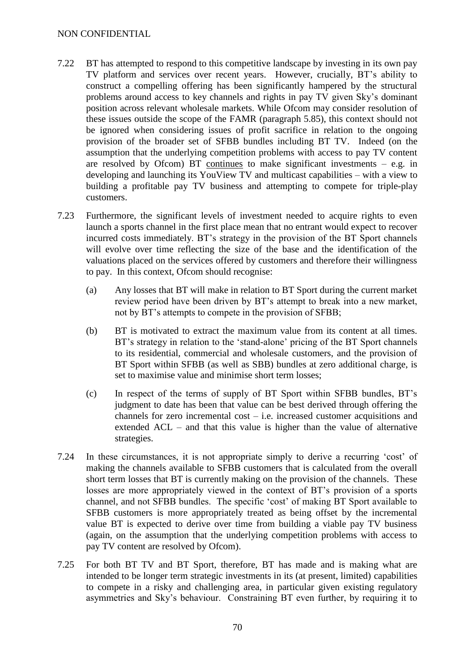- 7.22 BT has attempted to respond to this competitive landscape by investing in its own pay TV platform and services over recent years. However, crucially, BT's ability to construct a compelling offering has been significantly hampered by the structural problems around access to key channels and rights in pay TV given Sky's dominant position across relevant wholesale markets. While Ofcom may consider resolution of these issues outside the scope of the FAMR (paragraph 5.85), this context should not be ignored when considering issues of profit sacrifice in relation to the ongoing provision of the broader set of SFBB bundles including BT TV. Indeed (on the assumption that the underlying competition problems with access to pay TV content are resolved by Ofcom) BT continues to make significant investments  $-$  e.g. in developing and launching its YouView TV and multicast capabilities – with a view to building a profitable pay TV business and attempting to compete for triple-play customers.
- 7.23 Furthermore, the significant levels of investment needed to acquire rights to even launch a sports channel in the first place mean that no entrant would expect to recover incurred costs immediately. BT's strategy in the provision of the BT Sport channels will evolve over time reflecting the size of the base and the identification of the valuations placed on the services offered by customers and therefore their willingness to pay. In this context, Ofcom should recognise:
	- (a) Any losses that BT will make in relation to BT Sport during the current market review period have been driven by BT's attempt to break into a new market, not by BT's attempts to compete in the provision of SFBB;
	- (b) BT is motivated to extract the maximum value from its content at all times. BT's strategy in relation to the 'stand-alone' pricing of the BT Sport channels to its residential, commercial and wholesale customers, and the provision of BT Sport within SFBB (as well as SBB) bundles at zero additional charge, is set to maximise value and minimise short term losses;
	- (c) In respect of the terms of supply of BT Sport within SFBB bundles, BT's judgment to date has been that value can be best derived through offering the channels for zero incremental cost – i.e. increased customer acquisitions and extended ACL – and that this value is higher than the value of alternative strategies.
- 7.24 In these circumstances, it is not appropriate simply to derive a recurring 'cost' of making the channels available to SFBB customers that is calculated from the overall short term losses that BT is currently making on the provision of the channels. These losses are more appropriately viewed in the context of BT's provision of a sports channel, and not SFBB bundles. The specific 'cost' of making BT Sport available to SFBB customers is more appropriately treated as being offset by the incremental value BT is expected to derive over time from building a viable pay TV business (again, on the assumption that the underlying competition problems with access to pay TV content are resolved by Ofcom).
- 7.25 For both BT TV and BT Sport, therefore, BT has made and is making what are intended to be longer term strategic investments in its (at present, limited) capabilities to compete in a risky and challenging area, in particular given existing regulatory asymmetries and Sky's behaviour. Constraining BT even further, by requiring it to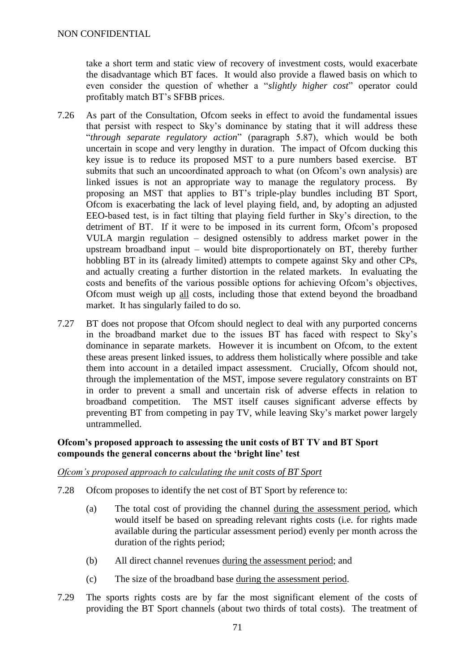take a short term and static view of recovery of investment costs, would exacerbate the disadvantage which BT faces. It would also provide a flawed basis on which to even consider the question of whether a "*slightly higher cost*" operator could profitably match BT's SFBB prices.

- 7.26 As part of the Consultation, Ofcom seeks in effect to avoid the fundamental issues that persist with respect to Sky's dominance by stating that it will address these "*through separate regulatory action*" (paragraph 5.87), which would be both uncertain in scope and very lengthy in duration. The impact of Ofcom ducking this key issue is to reduce its proposed MST to a pure numbers based exercise. BT submits that such an uncoordinated approach to what (on Ofcom's own analysis) are linked issues is not an appropriate way to manage the regulatory process. By proposing an MST that applies to BT's triple-play bundles including BT Sport, Ofcom is exacerbating the lack of level playing field, and, by adopting an adjusted EEO-based test, is in fact tilting that playing field further in Sky's direction, to the detriment of BT. If it were to be imposed in its current form, Ofcom's proposed VULA margin regulation – designed ostensibly to address market power in the upstream broadband input – would bite disproportionately on BT, thereby further hobbling BT in its (already limited) attempts to compete against Sky and other CPs, and actually creating a further distortion in the related markets. In evaluating the costs and benefits of the various possible options for achieving Ofcom's objectives, Ofcom must weigh up all costs, including those that extend beyond the broadband market. It has singularly failed to do so.
- 7.27 BT does not propose that Ofcom should neglect to deal with any purported concerns in the broadband market due to the issues BT has faced with respect to Sky's dominance in separate markets. However it is incumbent on Ofcom, to the extent these areas present linked issues, to address them holistically where possible and take them into account in a detailed impact assessment. Crucially, Ofcom should not, through the implementation of the MST, impose severe regulatory constraints on BT in order to prevent a small and uncertain risk of adverse effects in relation to broadband competition. The MST itself causes significant adverse effects by preventing BT from competing in pay TV, while leaving Sky's market power largely untrammelled.

## **Ofcom's proposed approach to assessing the unit costs of BT TV and BT Sport compounds the general concerns about the 'bright line' test**

## *Ofcom's proposed approach to calculating the unit costs of BT Sport*

- 7.28 Ofcom proposes to identify the net cost of BT Sport by reference to:
	- (a) The total cost of providing the channel during the assessment period, which would itself be based on spreading relevant rights costs (i.e. for rights made available during the particular assessment period) evenly per month across the duration of the rights period;
	- (b) All direct channel revenues during the assessment period; and
	- (c) The size of the broadband base during the assessment period.
- 7.29 The sports rights costs are by far the most significant element of the costs of providing the BT Sport channels (about two thirds of total costs). The treatment of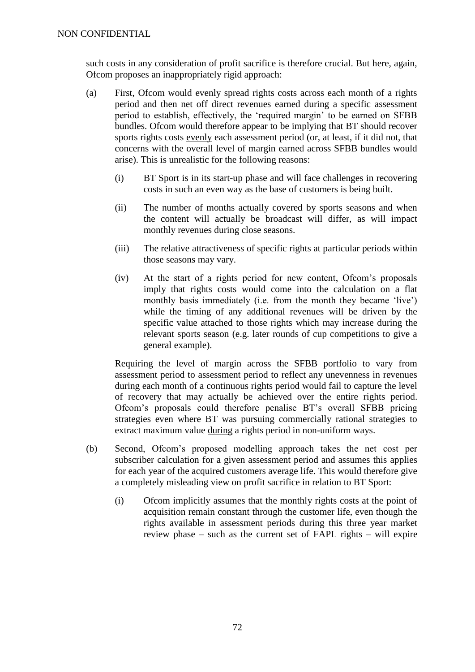such costs in any consideration of profit sacrifice is therefore crucial. But here, again, Ofcom proposes an inappropriately rigid approach:

- (a) First, Ofcom would evenly spread rights costs across each month of a rights period and then net off direct revenues earned during a specific assessment period to establish, effectively, the 'required margin' to be earned on SFBB bundles. Ofcom would therefore appear to be implying that BT should recover sports rights costs evenly each assessment period (or, at least, if it did not, that concerns with the overall level of margin earned across SFBB bundles would arise). This is unrealistic for the following reasons:
	- (i) BT Sport is in its start-up phase and will face challenges in recovering costs in such an even way as the base of customers is being built.
	- (ii) The number of months actually covered by sports seasons and when the content will actually be broadcast will differ, as will impact monthly revenues during close seasons.
	- (iii) The relative attractiveness of specific rights at particular periods within those seasons may vary.
	- (iv) At the start of a rights period for new content, Ofcom's proposals imply that rights costs would come into the calculation on a flat monthly basis immediately (i.e. from the month they became 'live') while the timing of any additional revenues will be driven by the specific value attached to those rights which may increase during the relevant sports season (e.g. later rounds of cup competitions to give a general example).

Requiring the level of margin across the SFBB portfolio to vary from assessment period to assessment period to reflect any unevenness in revenues during each month of a continuous rights period would fail to capture the level of recovery that may actually be achieved over the entire rights period. Ofcom's proposals could therefore penalise BT's overall SFBB pricing strategies even where BT was pursuing commercially rational strategies to extract maximum value during a rights period in non-uniform ways.

- (b) Second, Ofcom's proposed modelling approach takes the net cost per subscriber calculation for a given assessment period and assumes this applies for each year of the acquired customers average life. This would therefore give a completely misleading view on profit sacrifice in relation to BT Sport:
	- (i) Ofcom implicitly assumes that the monthly rights costs at the point of acquisition remain constant through the customer life, even though the rights available in assessment periods during this three year market review phase – such as the current set of FAPL rights – will expire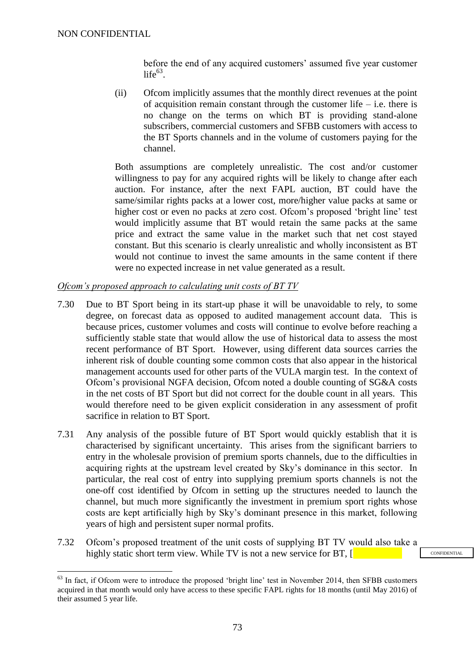1

before the end of any acquired customers' assumed five year customer  $life^{63}$ .

(ii) Ofcom implicitly assumes that the monthly direct revenues at the point of acquisition remain constant through the customer life  $-$  i.e. there is no change on the terms on which BT is providing stand-alone subscribers, commercial customers and SFBB customers with access to the BT Sports channels and in the volume of customers paying for the channel.

Both assumptions are completely unrealistic. The cost and/or customer willingness to pay for any acquired rights will be likely to change after each auction. For instance, after the next FAPL auction, BT could have the same/similar rights packs at a lower cost, more/higher value packs at same or higher cost or even no packs at zero cost. Ofcom's proposed 'bright line' test would implicitly assume that BT would retain the same packs at the same price and extract the same value in the market such that net cost stayed constant. But this scenario is clearly unrealistic and wholly inconsistent as BT would not continue to invest the same amounts in the same content if there were no expected increase in net value generated as a result.

#### *Ofcom's proposed approach to calculating unit costs of BT TV*

- 7.30 Due to BT Sport being in its start-up phase it will be unavoidable to rely, to some degree, on forecast data as opposed to audited management account data. This is because prices, customer volumes and costs will continue to evolve before reaching a sufficiently stable state that would allow the use of historical data to assess the most recent performance of BT Sport. However, using different data sources carries the inherent risk of double counting some common costs that also appear in the historical management accounts used for other parts of the VULA margin test. In the context of Ofcom's provisional NGFA decision, Ofcom noted a double counting of SG&A costs in the net costs of BT Sport but did not correct for the double count in all years. This would therefore need to be given explicit consideration in any assessment of profit sacrifice in relation to BT Sport.
- 7.31 Any analysis of the possible future of BT Sport would quickly establish that it is characterised by significant uncertainty. This arises from the significant barriers to entry in the wholesale provision of premium sports channels, due to the difficulties in acquiring rights at the upstream level created by Sky's dominance in this sector. In particular, the real cost of entry into supplying premium sports channels is not the one-off cost identified by Ofcom in setting up the structures needed to launch the channel, but much more significantly the investment in premium sport rights whose costs are kept artificially high by Sky's dominant presence in this market, following years of high and persistent super normal profits.
- 7.32 Ofcom's proposed treatment of the unit costs of supplying BT TV would also take a highly static short term view. While TV is not a new service for BT, [

<sup>&</sup>lt;sup>63</sup> In fact, if Ofcom were to introduce the proposed 'bright line' test in November 2014, then SFBB customers acquired in that month would only have access to these specific FAPL rights for 18 months (until May 2016) of their assumed 5 year life.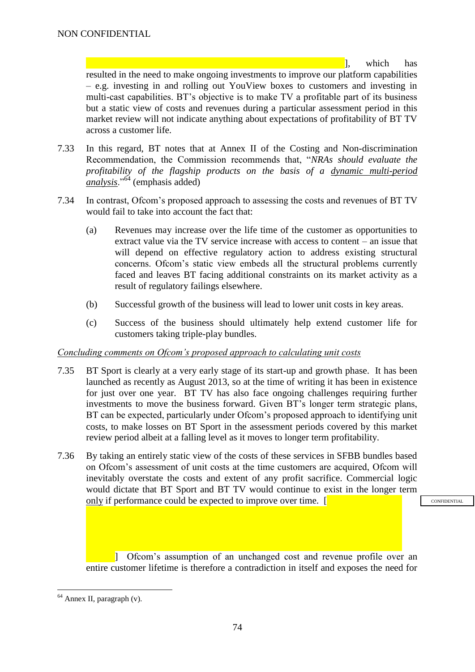], which has

resulted in the need to make ongoing investments to improve our platform capabilities – e.g. investing in and rolling out YouView boxes to customers and investing in multi-cast capabilities. BT's objective is to make TV a profitable part of its business but a static view of costs and revenues during a particular assessment period in this market review will not indicate anything about expectations of profitability of BT TV across a customer life.

- <span id="page-73-0"></span>7.33 In this regard, BT notes that at Annex II of the Costing and Non-discrimination Recommendation, the Commission recommends that, "*NRAs should evaluate the profitability of the flagship products on the basis of a dynamic multi-period analysis*."<sup>64</sup> (emphasis added)
- 7.34 In contrast, Ofcom's proposed approach to assessing the costs and revenues of BT TV would fail to take into account the fact that:
	- (a) Revenues may increase over the life time of the customer as opportunities to extract value via the TV service increase with access to content – an issue that will depend on effective regulatory action to address existing structural concerns. Ofcom's static view embeds all the structural problems currently faced and leaves BT facing additional constraints on its market activity as a result of regulatory failings elsewhere.
	- (b) Successful growth of the business will lead to lower unit costs in key areas.
	- (c) Success of the business should ultimately help extend customer life for customers taking triple-play bundles.

## *Concluding comments on Ofcom's proposed approach to calculating unit costs*

- 7.35 BT Sport is clearly at a very early stage of its start-up and growth phase. It has been launched as recently as August 2013, so at the time of writing it has been in existence for just over one year. BT TV has also face ongoing challenges requiring further investments to move the business forward. Given BT's longer term strategic plans, BT can be expected, particularly under Ofcom's proposed approach to identifying unit costs, to make losses on BT Sport in the assessment periods covered by this market review period albeit at a falling level as it moves to longer term profitability.
- 7.36 By taking an entirely static view of the costs of these services in SFBB bundles based on Ofcom's assessment of unit costs at the time customers are acquired, Ofcom will inevitably overstate the costs and extent of any profit sacrifice. Commercial logic would dictate that BT Sport and BT TV would continue to exist in the longer term only if performance could be expected to improve over time.  $\lceil \cdot \rceil$

**CONFIDENTIAL** 

] Ofcom's assumption of an unchanged cost and revenue profile over an entire customer lifetime is therefore a contradiction in itself and exposes the need for

1

 $64$  Annex II, paragraph (v).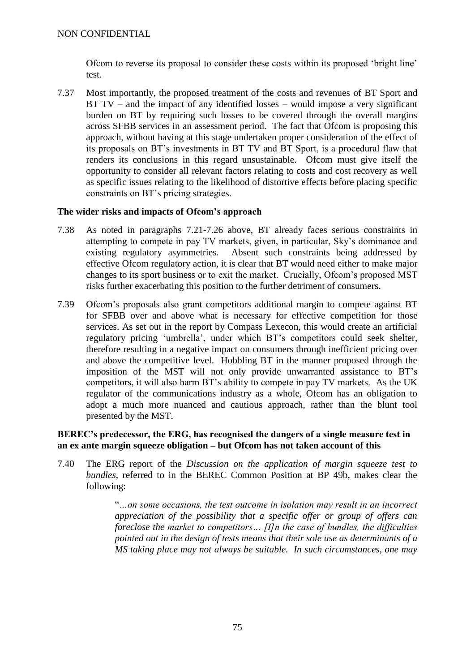Ofcom to reverse its proposal to consider these costs within its proposed 'bright line' test.

7.37 Most importantly, the proposed treatment of the costs and revenues of BT Sport and BT  $TV$  – and the impact of any identified losses – would impose a very significant burden on BT by requiring such losses to be covered through the overall margins across SFBB services in an assessment period. The fact that Ofcom is proposing this approach, without having at this stage undertaken proper consideration of the effect of its proposals on BT's investments in BT TV and BT Sport, is a procedural flaw that renders its conclusions in this regard unsustainable. Ofcom must give itself the opportunity to consider all relevant factors relating to costs and cost recovery as well as specific issues relating to the likelihood of distortive effects before placing specific constraints on BT's pricing strategies.

## **The wider risks and impacts of Ofcom's approach**

- 7.38 As noted in paragraphs [7.21](#page-68-0)[-7.26](#page-70-0) above, BT already faces serious constraints in attempting to compete in pay TV markets, given, in particular, Sky's dominance and existing regulatory asymmetries. Absent such constraints being addressed by effective Ofcom regulatory action, it is clear that BT would need either to make major changes to its sport business or to exit the market. Crucially, Ofcom's proposed MST risks further exacerbating this position to the further detriment of consumers.
- 7.39 Ofcom's proposals also grant competitors additional margin to compete against BT for SFBB over and above what is necessary for effective competition for those services. As set out in the report by Compass Lexecon, this would create an artificial regulatory pricing 'umbrella', under which BT's competitors could seek shelter, therefore resulting in a negative impact on consumers through inefficient pricing over and above the competitive level. Hobbling BT in the manner proposed through the imposition of the MST will not only provide unwarranted assistance to BT's competitors, it will also harm BT's ability to compete in pay TV markets. As the UK regulator of the communications industry as a whole, Ofcom has an obligation to adopt a much more nuanced and cautious approach, rather than the blunt tool presented by the MST.

## **BEREC's predecessor, the ERG, has recognised the dangers of a single measure test in an ex ante margin squeeze obligation – but Ofcom has not taken account of this**

7.40 The ERG report of the *Discussion on the application of margin squeeze test to bundles*, referred to in the BEREC Common Position at BP 49b, makes clear the following:

> "*…on some occasions, the test outcome in isolation may result in an incorrect appreciation of the possibility that a specific offer or group of offers can foreclose the market to competitors… [I]n the case of bundles, the difficulties pointed out in the design of tests means that their sole use as determinants of a MS taking place may not always be suitable. In such circumstances, one may*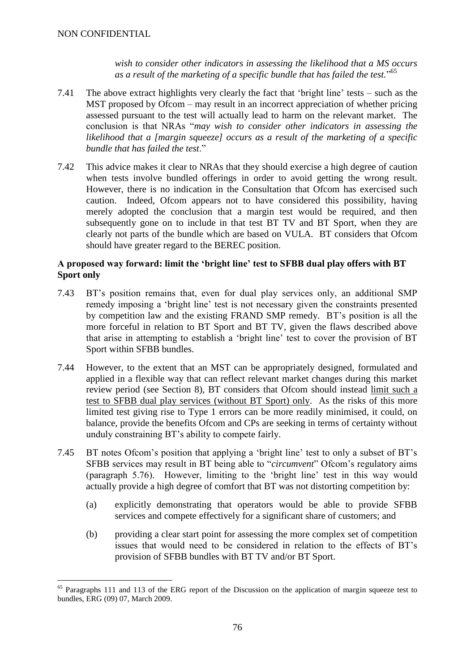<u>.</u>

*wish to consider other indicators in assessing the likelihood that a MS occurs as a result of the marketing of a specific bundle that has failed the test.*" 65

- 7.41 The above extract highlights very clearly the fact that 'bright line' tests such as the MST proposed by Ofcom – may result in an incorrect appreciation of whether pricing assessed pursuant to the test will actually lead to harm on the relevant market. The conclusion is that NRAs "*may wish to consider other indicators in assessing the likelihood that a [margin squeeze] occurs as a result of the marketing of a specific bundle that has failed the test*."
- 7.42 This advice makes it clear to NRAs that they should exercise a high degree of caution when tests involve bundled offerings in order to avoid getting the wrong result. However, there is no indication in the Consultation that Ofcom has exercised such caution. Indeed, Ofcom appears not to have considered this possibility, having merely adopted the conclusion that a margin test would be required, and then subsequently gone on to include in that test BT TV and BT Sport, when they are clearly not parts of the bundle which are based on VULA. BT considers that Ofcom should have greater regard to the BEREC position.

## **A proposed way forward: limit the 'bright line' test to SFBB dual play offers with BT Sport only**

- <span id="page-75-0"></span>7.43 BT's position remains that, even for dual play services only, an additional SMP remedy imposing a 'bright line' test is not necessary given the constraints presented by competition law and the existing FRAND SMP remedy. BT's position is all the more forceful in relation to BT Sport and BT TV, given the flaws described above that arise in attempting to establish a 'bright line' test to cover the provision of BT Sport within SFBB bundles.
- 7.44 However, to the extent that an MST can be appropriately designed, formulated and applied in a flexible way that can reflect relevant market changes during this market review period (see Section 8), BT considers that Ofcom should instead limit such a test to SFBB dual play services (without BT Sport) only. As the risks of this more limited test giving rise to Type 1 errors can be more readily minimised, it could, on balance, provide the benefits Ofcom and CPs are seeking in terms of certainty without unduly constraining BT's ability to compete fairly.
- 7.45 BT notes Ofcom's position that applying a 'bright line' test to only a subset of BT's SFBB services may result in BT being able to "*circumvent*" Ofcom's regulatory aims (paragraph 5.76). However, limiting to the 'bright line' test in this way would actually provide a high degree of comfort that BT was not distorting competition by:
	- (a) explicitly demonstrating that operators would be able to provide SFBB services and compete effectively for a significant share of customers; and
	- (b) providing a clear start point for assessing the more complex set of competition issues that would need to be considered in relation to the effects of BT's provision of SFBB bundles with BT TV and/or BT Sport.

<sup>&</sup>lt;sup>65</sup> Paragraphs 111 and 113 of the ERG report of the Discussion on the application of margin squeeze test to bundles, ERG (09) 07, March 2009.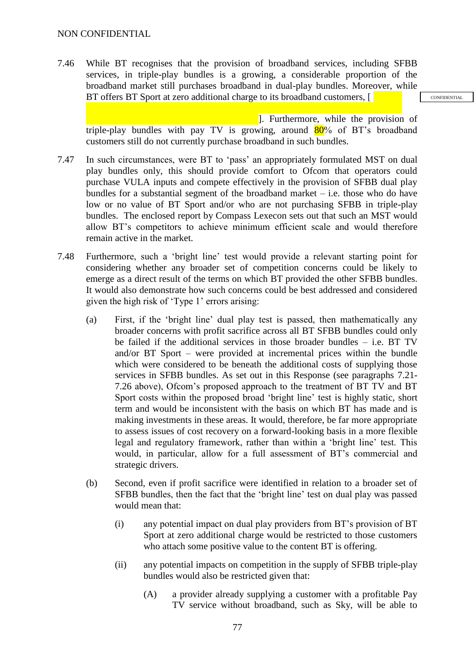7.46 While BT recognises that the provision of broadband services, including SFBB services, in triple-play bundles is a growing, a considerable proportion of the broadband market still purchases broadband in dual-play bundles. Moreover, while BT offers BT Sport at zero additional charge to its broadband customers, [

**CONFIDENTIAL** 

]. Furthermore, while the provision of triple-play bundles with pay TV is growing, around  $80\%$  of BT's broadband customers still do not currently purchase broadband in such bundles.

- 7.47 In such circumstances, were BT to 'pass' an appropriately formulated MST on dual play bundles only, this should provide comfort to Ofcom that operators could purchase VULA inputs and compete effectively in the provision of SFBB dual play bundles for a substantial segment of the broadband market – i.e. those who do have low or no value of BT Sport and/or who are not purchasing SFBB in triple-play bundles. The enclosed report by Compass Lexecon sets out that such an MST would allow BT's competitors to achieve minimum efficient scale and would therefore remain active in the market.
- 7.48 Furthermore, such a 'bright line' test would provide a relevant starting point for considering whether any broader set of competition concerns could be likely to emerge as a direct result of the terms on which BT provided the other SFBB bundles. It would also demonstrate how such concerns could be best addressed and considered given the high risk of 'Type 1' errors arising:
	- (a) First, if the 'bright line' dual play test is passed, then mathematically any broader concerns with profit sacrifice across all BT SFBB bundles could only be failed if the additional services in those broader bundles – i.e. BT TV and/or BT Sport – were provided at incremental prices within the bundle which were considered to be beneath the additional costs of supplying those services in SFBB bundles. As set out in this Response (see paragraphs [7.21-](#page-68-0) [7.26](#page-70-0) above), Ofcom's proposed approach to the treatment of BT TV and BT Sport costs within the proposed broad 'bright line' test is highly static, short term and would be inconsistent with the basis on which BT has made and is making investments in these areas. It would, therefore, be far more appropriate to assess issues of cost recovery on a forward-looking basis in a more flexible legal and regulatory framework, rather than within a 'bright line' test. This would, in particular, allow for a full assessment of BT's commercial and strategic drivers.
	- (b) Second, even if profit sacrifice were identified in relation to a broader set of SFBB bundles, then the fact that the 'bright line' test on dual play was passed would mean that:
		- (i) any potential impact on dual play providers from BT's provision of BT Sport at zero additional charge would be restricted to those customers who attach some positive value to the content BT is offering.
		- (ii) any potential impacts on competition in the supply of SFBB triple-play bundles would also be restricted given that:
			- (A) a provider already supplying a customer with a profitable Pay TV service without broadband, such as Sky, will be able to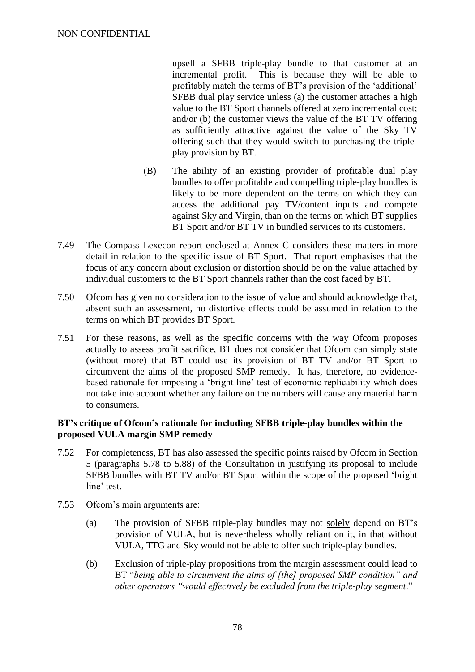upsell a SFBB triple-play bundle to that customer at an incremental profit. This is because they will be able to profitably match the terms of BT's provision of the 'additional' SFBB dual play service unless (a) the customer attaches a high value to the BT Sport channels offered at zero incremental cost; and/or (b) the customer views the value of the BT TV offering as sufficiently attractive against the value of the Sky TV offering such that they would switch to purchasing the tripleplay provision by BT.

- (B) The ability of an existing provider of profitable dual play bundles to offer profitable and compelling triple-play bundles is likely to be more dependent on the terms on which they can access the additional pay TV/content inputs and compete against Sky and Virgin, than on the terms on which BT supplies BT Sport and/or BT TV in bundled services to its customers.
- 7.49 The Compass Lexecon report enclosed at Annex C considers these matters in more detail in relation to the specific issue of BT Sport. That report emphasises that the focus of any concern about exclusion or distortion should be on the value attached by individual customers to the BT Sport channels rather than the cost faced by BT.
- 7.50 Ofcom has given no consideration to the issue of value and should acknowledge that, absent such an assessment, no distortive effects could be assumed in relation to the terms on which BT provides BT Sport.
- <span id="page-77-0"></span>7.51 For these reasons, as well as the specific concerns with the way Ofcom proposes actually to assess profit sacrifice, BT does not consider that Ofcom can simply state (without more) that BT could use its provision of BT TV and/or BT Sport to circumvent the aims of the proposed SMP remedy. It has, therefore, no evidencebased rationale for imposing a 'bright line' test of economic replicability which does not take into account whether any failure on the numbers will cause any material harm to consumers.

#### **BT's critique of Ofcom's rationale for including SFBB triple-play bundles within the proposed VULA margin SMP remedy**

- 7.52 For completeness, BT has also assessed the specific points raised by Ofcom in Section 5 (paragraphs 5.78 to 5.88) of the Consultation in justifying its proposal to include SFBB bundles with BT TV and/or BT Sport within the scope of the proposed 'bright line' test.
- 7.53 Ofcom's main arguments are:
	- (a) The provision of SFBB triple-play bundles may not solely depend on BT's provision of VULA, but is nevertheless wholly reliant on it, in that without VULA, TTG and Sky would not be able to offer such triple-play bundles.
	- (b) Exclusion of triple-play propositions from the margin assessment could lead to BT "*being able to circumvent the aims of [the] proposed SMP condition" and other operators "would effectively be excluded from the triple-play segment*."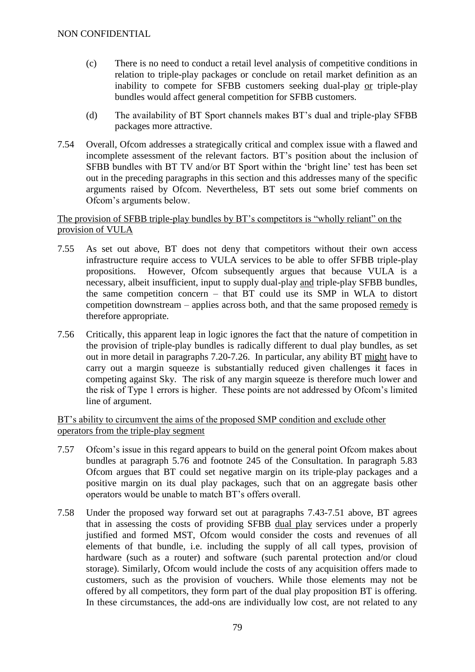- (c) There is no need to conduct a retail level analysis of competitive conditions in relation to triple-play packages or conclude on retail market definition as an inability to compete for SFBB customers seeking dual-play or triple-play bundles would affect general competition for SFBB customers.
- (d) The availability of BT Sport channels makes BT's dual and triple-play SFBB packages more attractive.
- 7.54 Overall, Ofcom addresses a strategically critical and complex issue with a flawed and incomplete assessment of the relevant factors. BT's position about the inclusion of SFBB bundles with BT TV and/or BT Sport within the 'bright line' test has been set out in the preceding paragraphs in this section and this addresses many of the specific arguments raised by Ofcom. Nevertheless, BT sets out some brief comments on Ofcom's arguments below.

#### The provision of SFBB triple-play bundles by BT's competitors is "wholly reliant" on the provision of VULA

- 7.55 As set out above, BT does not deny that competitors without their own access infrastructure require access to VULA services to be able to offer SFBB triple-play propositions. However, Ofcom subsequently argues that because VULA is a necessary, albeit insufficient, input to supply dual-play and triple-play SFBB bundles, the same competition concern – that BT could use its SMP in WLA to distort competition downstream – applies across both, and that the same proposed remedy is therefore appropriate.
- 7.56 Critically, this apparent leap in logic ignores the fact that the nature of competition in the provision of triple-play bundles is radically different to dual play bundles, as set out in more detail in paragraphs [7.20-](#page-68-1)[7.26.](#page-70-0) In particular, any ability BT might have to carry out a margin squeeze is substantially reduced given challenges it faces in competing against Sky. The risk of any margin squeeze is therefore much lower and the risk of Type 1 errors is higher. These points are not addressed by Ofcom's limited line of argument.

## BT's ability to circumvent the aims of the proposed SMP condition and exclude other operators from the triple-play segment

- 7.57 Ofcom's issue in this regard appears to build on the general point Ofcom makes about bundles at paragraph 5.76 and footnote 245 of the Consultation. In paragraph 5.83 Ofcom argues that BT could set negative margin on its triple-play packages and a positive margin on its dual play packages, such that on an aggregate basis other operators would be unable to match BT's offers overall.
- 7.58 Under the proposed way forward set out at paragraphs [7.43-](#page-75-0)[7.51](#page-77-0) above, BT agrees that in assessing the costs of providing SFBB dual play services under a properly justified and formed MST, Ofcom would consider the costs and revenues of all elements of that bundle, i.e. including the supply of all call types, provision of hardware (such as a router) and software (such parental protection and/or cloud storage). Similarly, Ofcom would include the costs of any acquisition offers made to customers, such as the provision of vouchers. While those elements may not be offered by all competitors, they form part of the dual play proposition BT is offering. In these circumstances, the add-ons are individually low cost, are not related to any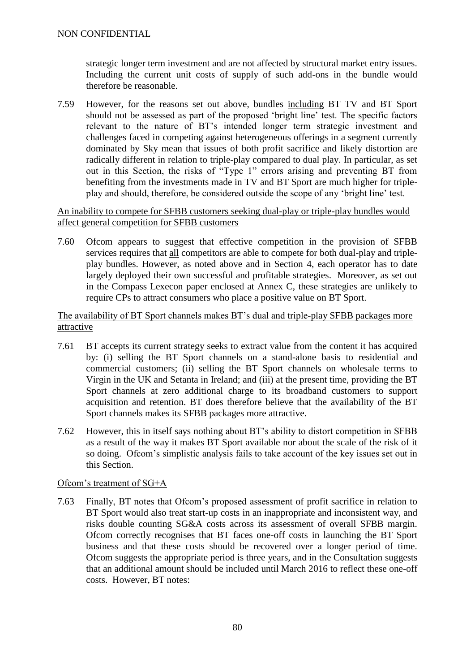strategic longer term investment and are not affected by structural market entry issues. Including the current unit costs of supply of such add-ons in the bundle would therefore be reasonable.

7.59 However, for the reasons set out above, bundles including BT TV and BT Sport should not be assessed as part of the proposed 'bright line' test. The specific factors relevant to the nature of BT's intended longer term strategic investment and challenges faced in competing against heterogeneous offerings in a segment currently dominated by Sky mean that issues of both profit sacrifice and likely distortion are radically different in relation to triple-play compared to dual play. In particular, as set out in this Section, the risks of "Type 1" errors arising and preventing BT from benefiting from the investments made in TV and BT Sport are much higher for tripleplay and should, therefore, be considered outside the scope of any 'bright line' test.

#### An inability to compete for SFBB customers seeking dual-play or triple-play bundles would affect general competition for SFBB customers

7.60 Ofcom appears to suggest that effective competition in the provision of SFBB services requires that all competitors are able to compete for both dual-play and tripleplay bundles. However, as noted above and in Section 4, each operator has to date largely deployed their own successful and profitable strategies. Moreover, as set out in the Compass Lexecon paper enclosed at Annex C, these strategies are unlikely to require CPs to attract consumers who place a positive value on BT Sport.

#### The availability of BT Sport channels makes BT's dual and triple-play SFBB packages more attractive

- 7.61 BT accepts its current strategy seeks to extract value from the content it has acquired by: (i) selling the BT Sport channels on a stand-alone basis to residential and commercial customers; (ii) selling the BT Sport channels on wholesale terms to Virgin in the UK and Setanta in Ireland; and (iii) at the present time, providing the BT Sport channels at zero additional charge to its broadband customers to support acquisition and retention. BT does therefore believe that the availability of the BT Sport channels makes its SFBB packages more attractive.
- 7.62 However, this in itself says nothing about BT's ability to distort competition in SFBB as a result of the way it makes BT Sport available nor about the scale of the risk of it so doing. Ofcom's simplistic analysis fails to take account of the key issues set out in this Section.

## Ofcom's treatment of SG+A

7.63 Finally, BT notes that Ofcom's proposed assessment of profit sacrifice in relation to BT Sport would also treat start-up costs in an inappropriate and inconsistent way, and risks double counting SG&A costs across its assessment of overall SFBB margin. Ofcom correctly recognises that BT faces one-off costs in launching the BT Sport business and that these costs should be recovered over a longer period of time. Ofcom suggests the appropriate period is three years, and in the Consultation suggests that an additional amount should be included until March 2016 to reflect these one-off costs. However, BT notes: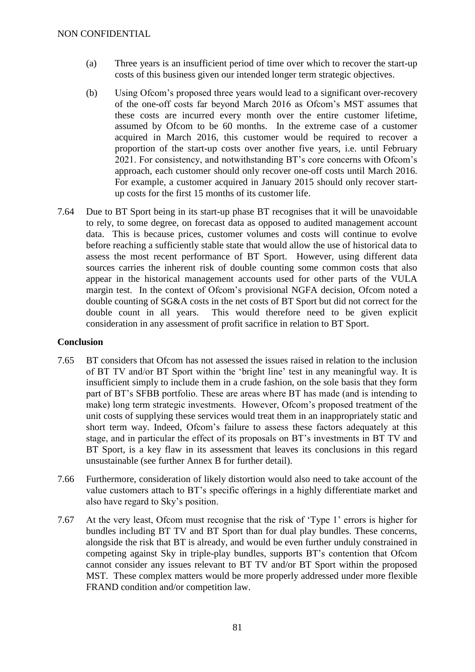- (a) Three years is an insufficient period of time over which to recover the start-up costs of this business given our intended longer term strategic objectives.
- (b) Using Ofcom's proposed three years would lead to a significant over-recovery of the one-off costs far beyond March 2016 as Ofcom's MST assumes that these costs are incurred every month over the entire customer lifetime, assumed by Ofcom to be 60 months. In the extreme case of a customer acquired in March 2016, this customer would be required to recover a proportion of the start-up costs over another five years, i.e. until February 2021. For consistency, and notwithstanding BT's core concerns with Ofcom's approach, each customer should only recover one-off costs until March 2016. For example, a customer acquired in January 2015 should only recover startup costs for the first 15 months of its customer life.
- 7.64 Due to BT Sport being in its start-up phase BT recognises that it will be unavoidable to rely, to some degree, on forecast data as opposed to audited management account data. This is because prices, customer volumes and costs will continue to evolve before reaching a sufficiently stable state that would allow the use of historical data to assess the most recent performance of BT Sport. However, using different data sources carries the inherent risk of double counting some common costs that also appear in the historical management accounts used for other parts of the VULA margin test. In the context of Ofcom's provisional NGFA decision, Ofcom noted a double counting of SG&A costs in the net costs of BT Sport but did not correct for the double count in all years. This would therefore need to be given explicit consideration in any assessment of profit sacrifice in relation to BT Sport.

## **Conclusion**

- 7.65 BT considers that Ofcom has not assessed the issues raised in relation to the inclusion of BT TV and/or BT Sport within the 'bright line' test in any meaningful way. It is insufficient simply to include them in a crude fashion, on the sole basis that they form part of BT's SFBB portfolio. These are areas where BT has made (and is intending to make) long term strategic investments. However, Ofcom's proposed treatment of the unit costs of supplying these services would treat them in an inappropriately static and short term way. Indeed, Ofcom's failure to assess these factors adequately at this stage, and in particular the effect of its proposals on BT's investments in BT TV and BT Sport, is a key flaw in its assessment that leaves its conclusions in this regard unsustainable (see further Annex B for further detail).
- 7.66 Furthermore, consideration of likely distortion would also need to take account of the value customers attach to BT's specific offerings in a highly differentiate market and also have regard to Sky's position.
- 7.67 At the very least, Ofcom must recognise that the risk of 'Type 1' errors is higher for bundles including BT TV and BT Sport than for dual play bundles. These concerns, alongside the risk that BT is already, and would be even further unduly constrained in competing against Sky in triple-play bundles, supports BT's contention that Ofcom cannot consider any issues relevant to BT TV and/or BT Sport within the proposed MST. These complex matters would be more properly addressed under more flexible FRAND condition and/or competition law.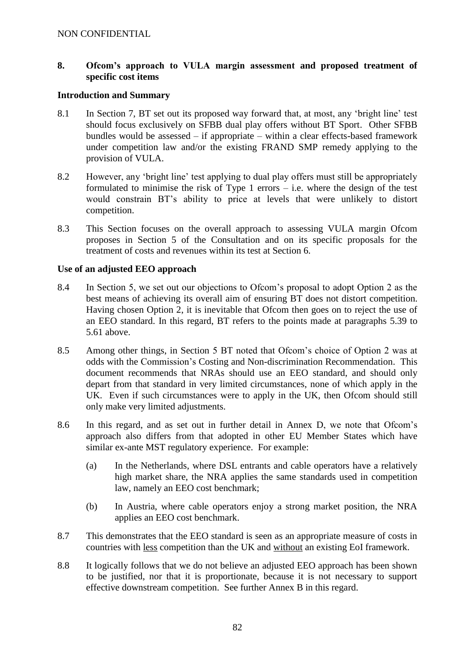## **8. Ofcom's approach to VULA margin assessment and proposed treatment of specific cost items**

## **Introduction and Summary**

- 8.1 In Section 7, BT set out its proposed way forward that, at most, any 'bright line' test should focus exclusively on SFBB dual play offers without BT Sport. Other SFBB bundles would be assessed – if appropriate – within a clear effects-based framework under competition law and/or the existing FRAND SMP remedy applying to the provision of VULA.
- 8.2 However, any 'bright line' test applying to dual play offers must still be appropriately formulated to minimise the risk of Type 1 errors  $-$  i.e. where the design of the test would constrain BT's ability to price at levels that were unlikely to distort competition.
- 8.3 This Section focuses on the overall approach to assessing VULA margin Ofcom proposes in Section 5 of the Consultation and on its specific proposals for the treatment of costs and revenues within its test at Section 6.

#### **Use of an adjusted EEO approach**

- 8.4 In Section 5, we set out our objections to Ofcom's proposal to adopt Option 2 as the best means of achieving its overall aim of ensuring BT does not distort competition. Having chosen Option 2, it is inevitable that Ofcom then goes on to reject the use of an EEO standard. In this regard, BT refers to the points made at paragraphs 5.39 to 5.61 above.
- 8.5 Among other things, in Section 5 BT noted that Ofcom's choice of Option 2 was at odds with the Commission's Costing and Non-discrimination Recommendation. This document recommends that NRAs should use an EEO standard, and should only depart from that standard in very limited circumstances, none of which apply in the UK. Even if such circumstances were to apply in the UK, then Ofcom should still only make very limited adjustments.
- 8.6 In this regard, and as set out in further detail in Annex D, we note that Ofcom's approach also differs from that adopted in other EU Member States which have similar ex-ante MST regulatory experience. For example:
	- (a) In the Netherlands, where DSL entrants and cable operators have a relatively high market share, the NRA applies the same standards used in competition law, namely an EEO cost benchmark;
	- (b) In Austria, where cable operators enjoy a strong market position, the NRA applies an EEO cost benchmark.
- 8.7 This demonstrates that the EEO standard is seen as an appropriate measure of costs in countries with less competition than the UK and without an existing EoI framework.
- 8.8 It logically follows that we do not believe an adjusted EEO approach has been shown to be justified, nor that it is proportionate, because it is not necessary to support effective downstream competition. See further Annex B in this regard.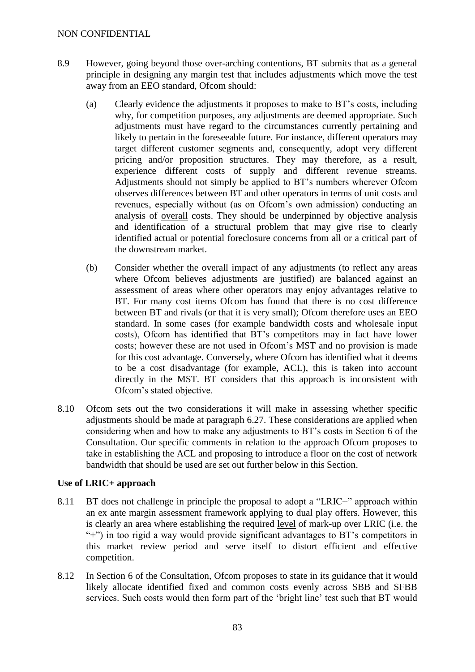- 8.9 However, going beyond those over-arching contentions, BT submits that as a general principle in designing any margin test that includes adjustments which move the test away from an EEO standard, Ofcom should:
	- (a) Clearly evidence the adjustments it proposes to make to BT's costs, including why, for competition purposes, any adjustments are deemed appropriate. Such adjustments must have regard to the circumstances currently pertaining and likely to pertain in the foreseeable future. For instance, different operators may target different customer segments and, consequently, adopt very different pricing and/or proposition structures. They may therefore, as a result, experience different costs of supply and different revenue streams. Adjustments should not simply be applied to BT's numbers wherever Ofcom observes differences between BT and other operators in terms of unit costs and revenues, especially without (as on Ofcom's own admission) conducting an analysis of overall costs. They should be underpinned by objective analysis and identification of a structural problem that may give rise to clearly identified actual or potential foreclosure concerns from all or a critical part of the downstream market.
	- (b) Consider whether the overall impact of any adjustments (to reflect any areas where Ofcom believes adjustments are justified) are balanced against an assessment of areas where other operators may enjoy advantages relative to BT. For many cost items Ofcom has found that there is no cost difference between BT and rivals (or that it is very small); Ofcom therefore uses an EEO standard. In some cases (for example bandwidth costs and wholesale input costs), Ofcom has identified that BT's competitors may in fact have lower costs; however these are not used in Ofcom's MST and no provision is made for this cost advantage. Conversely, where Ofcom has identified what it deems to be a cost disadvantage (for example, ACL), this is taken into account directly in the MST. BT considers that this approach is inconsistent with Ofcom's stated objective.
- 8.10 Ofcom sets out the two considerations it will make in assessing whether specific adjustments should be made at paragraph 6.27. These considerations are applied when considering when and how to make any adjustments to BT's costs in Section 6 of the Consultation. Our specific comments in relation to the approach Ofcom proposes to take in establishing the ACL and proposing to introduce a floor on the cost of network bandwidth that should be used are set out further below in this Section.

## **Use of LRIC+ approach**

- 8.11 BT does not challenge in principle the proposal to adopt a "LRIC+" approach within an ex ante margin assessment framework applying to dual play offers. However, this is clearly an area where establishing the required level of mark-up over LRIC (i.e. the "+") in too rigid a way would provide significant advantages to BT's competitors in this market review period and serve itself to distort efficient and effective competition.
- 8.12 In Section 6 of the Consultation, Ofcom proposes to state in its guidance that it would likely allocate identified fixed and common costs evenly across SBB and SFBB services. Such costs would then form part of the 'bright line' test such that BT would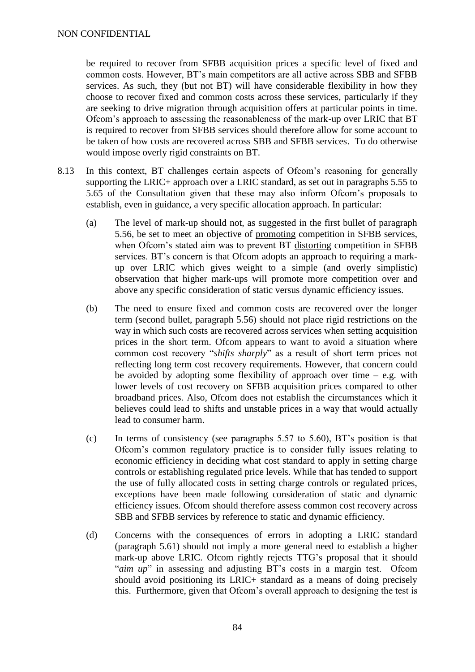be required to recover from SFBB acquisition prices a specific level of fixed and common costs. However, BT's main competitors are all active across SBB and SFBB services. As such, they (but not BT) will have considerable flexibility in how they choose to recover fixed and common costs across these services, particularly if they are seeking to drive migration through acquisition offers at particular points in time. Ofcom's approach to assessing the reasonableness of the mark-up over LRIC that BT is required to recover from SFBB services should therefore allow for some account to be taken of how costs are recovered across SBB and SFBB services. To do otherwise would impose overly rigid constraints on BT.

- 8.13 In this context, BT challenges certain aspects of Ofcom's reasoning for generally supporting the LRIC+ approach over a LRIC standard, as set out in paragraphs 5.55 to 5.65 of the Consultation given that these may also inform Ofcom's proposals to establish, even in guidance, a very specific allocation approach. In particular:
	- (a) The level of mark-up should not, as suggested in the first bullet of paragraph 5.56, be set to meet an objective of promoting competition in SFBB services, when Ofcom's stated aim was to prevent BT distorting competition in SFBB services. BT's concern is that Ofcom adopts an approach to requiring a markup over LRIC which gives weight to a simple (and overly simplistic) observation that higher mark-ups will promote more competition over and above any specific consideration of static versus dynamic efficiency issues.
	- (b) The need to ensure fixed and common costs are recovered over the longer term (second bullet, paragraph 5.56) should not place rigid restrictions on the way in which such costs are recovered across services when setting acquisition prices in the short term. Ofcom appears to want to avoid a situation where common cost recovery "*shifts sharply*" as a result of short term prices not reflecting long term cost recovery requirements. However, that concern could be avoided by adopting some flexibility of approach over time  $-$  e.g. with lower levels of cost recovery on SFBB acquisition prices compared to other broadband prices. Also, Ofcom does not establish the circumstances which it believes could lead to shifts and unstable prices in a way that would actually lead to consumer harm.
	- (c) In terms of consistency (see paragraphs 5.57 to 5.60), BT's position is that Ofcom's common regulatory practice is to consider fully issues relating to economic efficiency in deciding what cost standard to apply in setting charge controls or establishing regulated price levels. While that has tended to support the use of fully allocated costs in setting charge controls or regulated prices, exceptions have been made following consideration of static and dynamic efficiency issues. Ofcom should therefore assess common cost recovery across SBB and SFBB services by reference to static and dynamic efficiency.
	- (d) Concerns with the consequences of errors in adopting a LRIC standard (paragraph 5.61) should not imply a more general need to establish a higher mark-up above LRIC. Ofcom rightly rejects TTG's proposal that it should "*aim up*" in assessing and adjusting BT's costs in a margin test. Ofcom should avoid positioning its LRIC+ standard as a means of doing precisely this. Furthermore, given that Ofcom's overall approach to designing the test is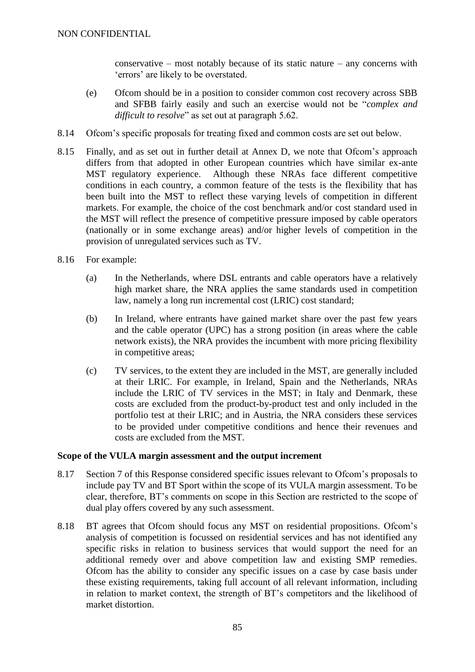conservative – most notably because of its static nature – any concerns with 'errors' are likely to be overstated.

- (e) Ofcom should be in a position to consider common cost recovery across SBB and SFBB fairly easily and such an exercise would not be "*complex and difficult to resolve*" as set out at paragraph 5.62.
- 8.14 Ofcom's specific proposals for treating fixed and common costs are set out below.
- 8.15 Finally, and as set out in further detail at Annex D, we note that Ofcom's approach differs from that adopted in other European countries which have similar ex-ante MST regulatory experience. Although these NRAs face different competitive conditions in each country, a common feature of the tests is the flexibility that has been built into the MST to reflect these varying levels of competition in different markets. For example, the choice of the cost benchmark and/or cost standard used in the MST will reflect the presence of competitive pressure imposed by cable operators (nationally or in some exchange areas) and/or higher levels of competition in the provision of unregulated services such as TV.
- 8.16 For example:
	- (a) In the Netherlands, where DSL entrants and cable operators have a relatively high market share, the NRA applies the same standards used in competition law, namely a long run incremental cost (LRIC) cost standard;
	- (b) In Ireland, where entrants have gained market share over the past few years and the cable operator (UPC) has a strong position (in areas where the cable network exists), the NRA provides the incumbent with more pricing flexibility in competitive areas;
	- (c) TV services, to the extent they are included in the MST, are generally included at their LRIC. For example, in Ireland, Spain and the Netherlands, NRAs include the LRIC of TV services in the MST; in Italy and Denmark, these costs are excluded from the product-by-product test and only included in the portfolio test at their LRIC; and in Austria, the NRA considers these services to be provided under competitive conditions and hence their revenues and costs are excluded from the MST.

#### **Scope of the VULA margin assessment and the output increment**

- 8.17 Section 7 of this Response considered specific issues relevant to Ofcom's proposals to include pay TV and BT Sport within the scope of its VULA margin assessment. To be clear, therefore, BT's comments on scope in this Section are restricted to the scope of dual play offers covered by any such assessment.
- 8.18 BT agrees that Ofcom should focus any MST on residential propositions. Ofcom's analysis of competition is focussed on residential services and has not identified any specific risks in relation to business services that would support the need for an additional remedy over and above competition law and existing SMP remedies. Ofcom has the ability to consider any specific issues on a case by case basis under these existing requirements, taking full account of all relevant information, including in relation to market context, the strength of BT's competitors and the likelihood of market distortion.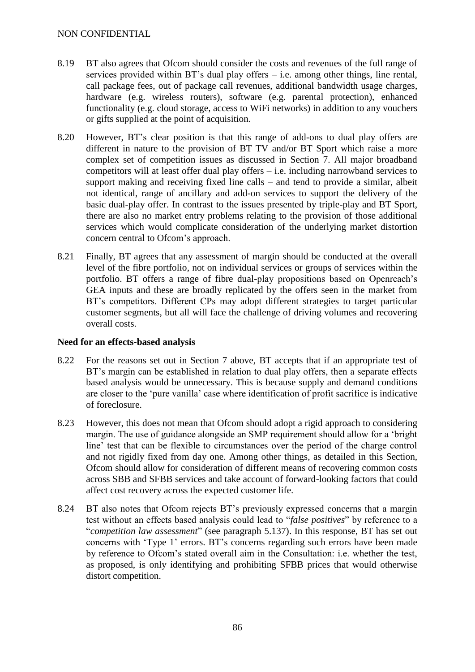- 8.19 BT also agrees that Ofcom should consider the costs and revenues of the full range of services provided within  $BT$ 's dual play offers  $-$  i.e. among other things, line rental, call package fees, out of package call revenues, additional bandwidth usage charges, hardware (e.g. wireless routers), software (e.g. parental protection), enhanced functionality (e.g. cloud storage, access to WiFi networks) in addition to any vouchers or gifts supplied at the point of acquisition.
- 8.20 However, BT's clear position is that this range of add-ons to dual play offers are different in nature to the provision of BT TV and/or BT Sport which raise a more complex set of competition issues as discussed in Section 7. All major broadband competitors will at least offer dual play offers – i.e. including narrowband services to support making and receiving fixed line calls – and tend to provide a similar, albeit not identical, range of ancillary and add-on services to support the delivery of the basic dual-play offer. In contrast to the issues presented by triple-play and BT Sport, there are also no market entry problems relating to the provision of those additional services which would complicate consideration of the underlying market distortion concern central to Ofcom's approach.
- 8.21 Finally, BT agrees that any assessment of margin should be conducted at the <u>overall</u> level of the fibre portfolio, not on individual services or groups of services within the portfolio. BT offers a range of fibre dual-play propositions based on Openreach's GEA inputs and these are broadly replicated by the offers seen in the market from BT's competitors. Different CPs may adopt different strategies to target particular customer segments, but all will face the challenge of driving volumes and recovering overall costs.

## **Need for an effects-based analysis**

- 8.22 For the reasons set out in Section 7 above, BT accepts that if an appropriate test of BT's margin can be established in relation to dual play offers, then a separate effects based analysis would be unnecessary. This is because supply and demand conditions are closer to the 'pure vanilla' case where identification of profit sacrifice is indicative of foreclosure.
- 8.23 However, this does not mean that Ofcom should adopt a rigid approach to considering margin. The use of guidance alongside an SMP requirement should allow for a 'bright line' test that can be flexible to circumstances over the period of the charge control and not rigidly fixed from day one. Among other things, as detailed in this Section, Ofcom should allow for consideration of different means of recovering common costs across SBB and SFBB services and take account of forward-looking factors that could affect cost recovery across the expected customer life.
- 8.24 BT also notes that Ofcom rejects BT's previously expressed concerns that a margin test without an effects based analysis could lead to "*false positives*" by reference to a "*competition law assessment*" (see paragraph 5.137). In this response, BT has set out concerns with 'Type 1' errors. BT's concerns regarding such errors have been made by reference to Ofcom's stated overall aim in the Consultation: i.e. whether the test, as proposed, is only identifying and prohibiting SFBB prices that would otherwise distort competition.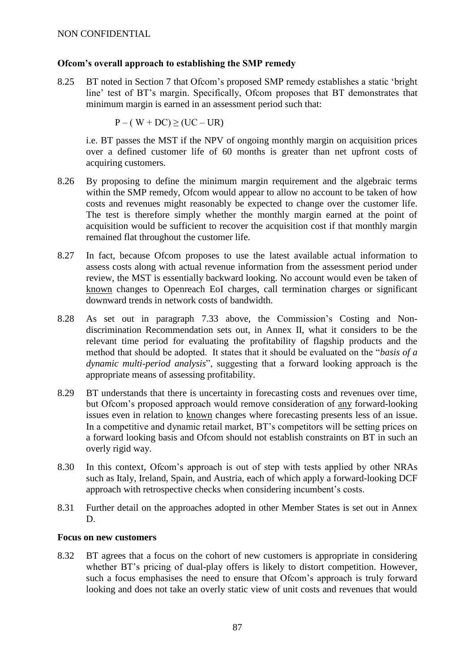## **Ofcom's overall approach to establishing the SMP remedy**

8.25 BT noted in Section 7 that Ofcom's proposed SMP remedy establishes a static 'bright line' test of BT's margin. Specifically, Ofcom proposes that BT demonstrates that minimum margin is earned in an assessment period such that:

 $P - (W + DC) \geq (UC - UR)$ 

i.e. BT passes the MST if the NPV of ongoing monthly margin on acquisition prices over a defined customer life of 60 months is greater than net upfront costs of acquiring customers.

- 8.26 By proposing to define the minimum margin requirement and the algebraic terms within the SMP remedy, Ofcom would appear to allow no account to be taken of how costs and revenues might reasonably be expected to change over the customer life. The test is therefore simply whether the monthly margin earned at the point of acquisition would be sufficient to recover the acquisition cost if that monthly margin remained flat throughout the customer life.
- 8.27 In fact, because Ofcom proposes to use the latest available actual information to assess costs along with actual revenue information from the assessment period under review, the MST is essentially backward looking. No account would even be taken of known changes to Openreach EoI charges, call termination charges or significant downward trends in network costs of bandwidth.
- 8.28 As set out in paragraph [7.33](#page-73-0) above, the Commission's Costing and Nondiscrimination Recommendation sets out, in Annex II, what it considers to be the relevant time period for evaluating the profitability of flagship products and the method that should be adopted. It states that it should be evaluated on the "*basis of a dynamic multi-period analysis*", suggesting that a forward looking approach is the appropriate means of assessing profitability.
- 8.29 BT understands that there is uncertainty in forecasting costs and revenues over time, but Ofcom's proposed approach would remove consideration of any forward-looking issues even in relation to known changes where forecasting presents less of an issue. In a competitive and dynamic retail market, BT's competitors will be setting prices on a forward looking basis and Ofcom should not establish constraints on BT in such an overly rigid way.
- 8.30 In this context, Ofcom's approach is out of step with tests applied by other NRAs such as Italy, Ireland, Spain, and Austria, each of which apply a forward-looking DCF approach with retrospective checks when considering incumbent's costs.
- 8.31 Further detail on the approaches adopted in other Member States is set out in Annex D.

## **Focus on new customers**

8.32 BT agrees that a focus on the cohort of new customers is appropriate in considering whether BT's pricing of dual-play offers is likely to distort competition. However, such a focus emphasises the need to ensure that Ofcom's approach is truly forward looking and does not take an overly static view of unit costs and revenues that would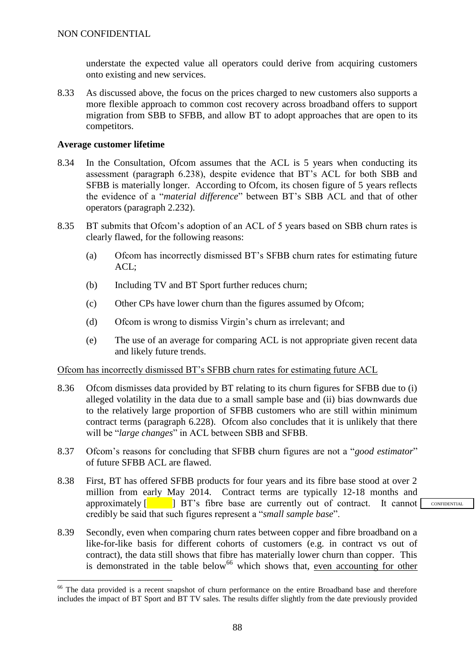understate the expected value all operators could derive from acquiring customers onto existing and new services.

8.33 As discussed above, the focus on the prices charged to new customers also supports a more flexible approach to common cost recovery across broadband offers to support migration from SBB to SFBB, and allow BT to adopt approaches that are open to its competitors.

#### **Average customer lifetime**

<u>.</u>

- 8.34 In the Consultation, Ofcom assumes that the ACL is 5 years when conducting its assessment (paragraph 6.238), despite evidence that BT's ACL for both SBB and SFBB is materially longer. According to Ofcom, its chosen figure of 5 years reflects the evidence of a "*material difference*" between BT's SBB ACL and that of other operators (paragraph 2.232).
- 8.35 BT submits that Ofcom's adoption of an ACL of 5 years based on SBB churn rates is clearly flawed, for the following reasons:
	- (a) Ofcom has incorrectly dismissed BT's SFBB churn rates for estimating future ACL;
	- (b) Including TV and BT Sport further reduces churn;
	- (c) Other CPs have lower churn than the figures assumed by Ofcom;
	- (d) Ofcom is wrong to dismiss Virgin's churn as irrelevant; and
	- (e) The use of an average for comparing ACL is not appropriate given recent data and likely future trends.

## Ofcom has incorrectly dismissed BT's SFBB churn rates for estimating future ACL

- 8.36 Ofcom dismisses data provided by BT relating to its churn figures for SFBB due to (i) alleged volatility in the data due to a small sample base and (ii) bias downwards due to the relatively large proportion of SFBB customers who are still within minimum contract terms (paragraph 6.228). Of com also concludes that it is unlikely that there will be "*large changes*" in ACL between SBB and SFBB.
- 8.37 Ofcom's reasons for concluding that SFBB churn figures are not a "*good estimator*" of future SFBB ACL are flawed.
- 8.38 First, BT has offered SFBB products for four years and its fibre base stood at over 2 million from early May 2014. Contract terms are typically 12-18 months and approximately  $\begin{bmatrix} 1 & 1 \\ 1 & 1 \end{bmatrix}$  BT's fibre base are currently out of contract. It cannot credibly be said that such figures represent a "*small sample base*".
- 8.39 Secondly, even when comparing churn rates between copper and fibre broadband on a like-for-like basis for different cohorts of customers (e.g. in contract vs out of contract), the data still shows that fibre has materially lower churn than copper. This is demonstrated in the table below<sup>66</sup> which shows that, even accounting for other

<sup>&</sup>lt;sup>66</sup> The data provided is a recent snapshot of churn performance on the entire Broadband base and therefore includes the impact of BT Sport and BT TV sales. The results differ slightly from the date previously provided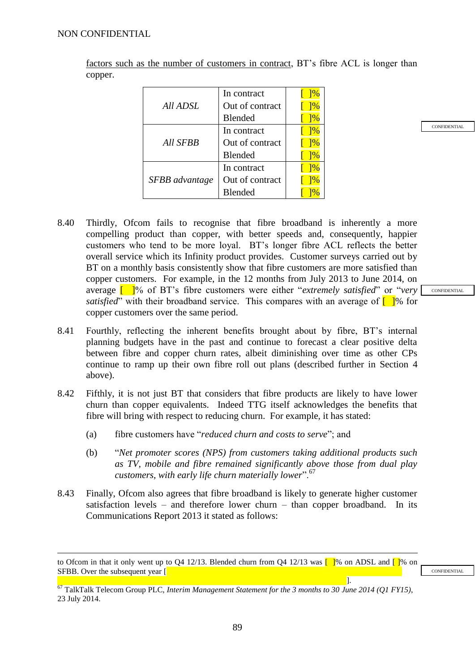1

factors such as the number of customers in contract, BT's fibre ACL is longer than copper.

|                 | In contract     | $\frac{1}{6}$ |
|-----------------|-----------------|---------------|
| All ADSL        | Out of contract | $\frac{1}{6}$ |
|                 | <b>Blended</b>  | $\frac{1}{6}$ |
| <b>All SFBB</b> | In contract     | $\frac{1}{6}$ |
|                 | Out of contract | $\frac{1}{6}$ |
|                 | <b>Blended</b>  | $\frac{1}{6}$ |
| SFBB advantage  | In contract     | 1%            |
|                 | Out of contract | $\frac{1}{6}$ |
|                 | <b>Blended</b>  |               |

- 8.40 Thirdly, Ofcom fails to recognise that fibre broadband is inherently a more compelling product than copper, with better speeds and, consequently, happier customers who tend to be more loyal. BT's longer fibre ACL reflects the better overall service which its Infinity product provides. Customer surveys carried out by BT on a monthly basis consistently show that fibre customers are more satisfied than copper customers. For example, in the 12 months from July 2013 to June 2014, on average [ ]% of BT's fibre customers were either "*extremely satisfied*" or "*very satisfied*" with their broadband service. This compares with an average of  $\lceil \cdot \rceil$ % for copper customers over the same period.
- 8.41 Fourthly, reflecting the inherent benefits brought about by fibre, BT's internal planning budgets have in the past and continue to forecast a clear positive delta between fibre and copper churn rates, albeit diminishing over time as other CPs continue to ramp up their own fibre roll out plans (described further in Section 4 above).
- 8.42 Fifthly, it is not just BT that considers that fibre products are likely to have lower churn than copper equivalents. Indeed TTG itself acknowledges the benefits that fibre will bring with respect to reducing churn. For example, it has stated:
	- (a) fibre customers have "*reduced churn and costs to serve*"; and
	- (b) "*Net promoter scores (NPS) from customers taking additional products such as TV, mobile and fibre remained significantly above those from dual play customers, with early life churn materially lower*".<sup>67</sup>
- 8.43 Finally, Ofcom also agrees that fibre broadband is likely to generate higher customer satisfaction levels – and therefore lower churn – than copper broadband. In its Communications Report 2013 it stated as follows:

**CONFIDENTIAL** 

89

**CONFIDENTIAL** 

to Ofcom in that it only went up to Q4 12/13. Blended churn from Q4 12/13 was  $\Box$  % on ADSL and  $\Box$  % on SFBB. Over the subsequent year [ ].

<sup>67</sup> TalkTalk Telecom Group PLC, *Interim Management Statement for the 3 months to 30 June 2014 (Q1 FY15)*, 23 July 2014.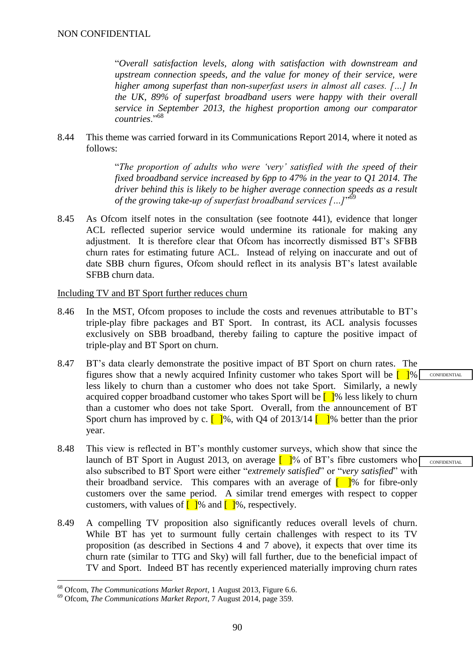"*Overall satisfaction levels, along with satisfaction with downstream and upstream connection speeds, and the value for money of their service, were higher among superfast than non-superfast users in almost all cases. […] In the UK, 89% of superfast broadband users were happy with their overall service in September 2013, the highest proportion among our comparator countries*."<sup>68</sup>

8.44 This theme was carried forward in its Communications Report 2014, where it noted as follows:

> "*The proportion of adults who were 'very' satisfied with the speed of their fixed broadband service increased by 6pp to 47% in the year to Q1 2014. The driver behind this is likely to be higher average connection speeds as a result of the growing take-up of superfast broadband services […]*" 69

8.45 As Ofcom itself notes in the consultation (see footnote 441), evidence that longer ACL reflected superior service would undermine its rationale for making any adjustment. It is therefore clear that Ofcom has incorrectly dismissed BT's SFBB churn rates for estimating future ACL. Instead of relying on inaccurate and out of date SBB churn figures, Ofcom should reflect in its analysis BT's latest available SFBB churn data.

#### Including TV and BT Sport further reduces churn

- 8.46 In the MST, Ofcom proposes to include the costs and revenues attributable to BT's triple-play fibre packages and BT Sport. In contrast, its ACL analysis focusses exclusively on SBB broadband, thereby failing to capture the positive impact of triple-play and BT Sport on churn.
- 8.47 BT's data clearly demonstrate the positive impact of BT Sport on churn rates. The figures show that a newly acquired Infinity customer who takes Sport will be  $\Box$  <sup>9</sup> less likely to churn than a customer who does not take Sport. Similarly, a newly acquired copper broadband customer who takes Sport will be  $\Box$ % less likely to churn than a customer who does not take Sport. Overall, from the announcement of BT Sport churn has improved by c.  $\left[\right]$ %, with Q4 of 2013/14  $\left[\right]$ % better than the prior year.
- 8.48 This view is reflected in BT's monthly customer surveys, which show that since the launch of BT Sport in August 2013, on average  $\lceil \cdot \rceil\%$  of BT's fibre customers who also subscribed to BT Sport were either "*extremely satisfied*" or "*very satisfied*" with their broadband service. This compares with an average of  $\lceil \cdot \rceil$ % for fibre-only customers over the same period. A similar trend emerges with respect to copper customers, with values of  $\lceil \cdot \rceil\%$  and  $\lceil \cdot \rceil\%$ , respectively.
- 8.49 A compelling TV proposition also significantly reduces overall levels of churn. While BT has yet to surmount fully certain challenges with respect to its TV proposition (as described in Sections 4 and 7 above), it expects that over time its churn rate (similar to TTG and Sky) will fall further, due to the beneficial impact of TV and Sport. Indeed BT has recently experienced materially improving churn rates

<u>.</u>

<sup>68</sup> Ofcom, *The Communications Market Report*, 1 August 2013, Figure 6.6.

<sup>69</sup> Ofcom, *The Communications Market Report*, 7 August 2014, page 359.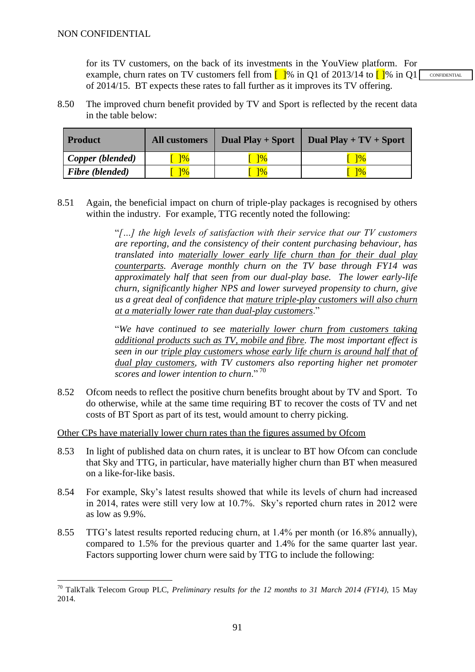<u>.</u>

for its TV customers, on the back of its investments in the YouView platform. For example, churn rates on TV customers fell from  $\lceil \cdot \rceil\%$  in Q1 of 2013/14 to  $\lceil \cdot \rceil\%$  in Q1 of 2014/15. BT expects these rates to fall further as it improves its TV offering.

8.50 The improved churn benefit provided by TV and Sport is reflected by the recent data in the table below:

| <b>Product</b>   | <b>All customers</b> | Dual Play + Sport | Dual Play + $TV$ + Sport |
|------------------|----------------------|-------------------|--------------------------|
| Copper (blended) | $\frac{1}{6}$        | $\frac{10}{6}$    | $\frac{10}{6}$           |
| Fibre (blended)  | $\sqrt{20}$          | $\frac{10}{6}$    | ]%                       |

8.51 Again, the beneficial impact on churn of triple-play packages is recognised by others within the industry. For example, TTG recently noted the following:

> "*[…] the high levels of satisfaction with their service that our TV customers are reporting, and the consistency of their content purchasing behaviour, has translated into materially lower early life churn than for their dual play counterparts. Average monthly churn on the TV base through FY14 was approximately half that seen from our dual-play base. The lower early-life churn, significantly higher NPS and lower surveyed propensity to churn, give us a great deal of confidence that mature triple-play customers will also churn at a materially lower rate than dual-play customers*."

> "*We have continued to see materially lower churn from customers taking additional products such as TV, mobile and fibre. The most important effect is seen in our triple play customers whose early life churn is around half that of dual play customers, with TV customers also reporting higher net promoter scores and lower intention to churn*." <sup>70</sup>

8.52 Ofcom needs to reflect the positive churn benefits brought about by TV and Sport. To do otherwise, while at the same time requiring BT to recover the costs of TV and net costs of BT Sport as part of its test, would amount to cherry picking.

Other CPs have materially lower churn rates than the figures assumed by Ofcom

- 8.53 In light of published data on churn rates, it is unclear to BT how Ofcom can conclude that Sky and TTG, in particular, have materially higher churn than BT when measured on a like-for-like basis.
- 8.54 For example, Sky's latest results showed that while its levels of churn had increased in 2014, rates were still very low at 10.7%. Sky's reported churn rates in 2012 were as low as 9.9%.
- 8.55 TTG's latest results reported reducing churn, at 1.4% per month (or 16.8% annually), compared to 1.5% for the previous quarter and 1.4% for the same quarter last year. Factors supporting lower churn were said by TTG to include the following:

<sup>70</sup> TalkTalk Telecom Group PLC, *Preliminary results for the 12 months to 31 March 2014 (FY14)*, 15 May 2014.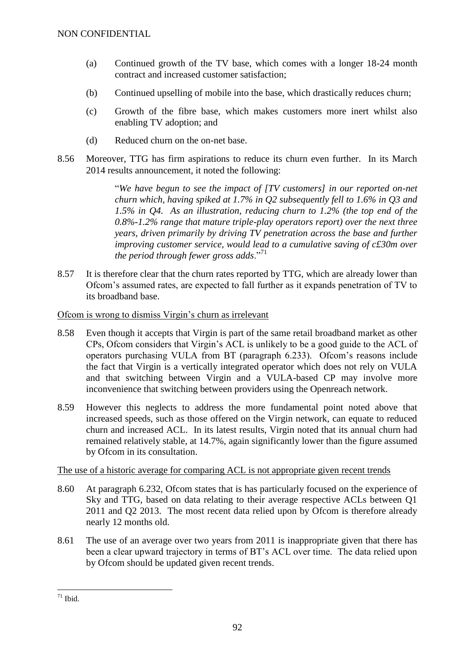- (a) Continued growth of the TV base, which comes with a longer 18-24 month contract and increased customer satisfaction;
- (b) Continued upselling of mobile into the base, which drastically reduces churn;
- (c) Growth of the fibre base, which makes customers more inert whilst also enabling TV adoption; and
- (d) Reduced churn on the on-net base.
- 8.56 Moreover, TTG has firm aspirations to reduce its churn even further. In its March 2014 results announcement, it noted the following:

"*We have begun to see the impact of [TV customers] in our reported on-net churn which, having spiked at 1.7% in Q2 subsequently fell to 1.6% in Q3 and 1.5% in Q4. As an illustration, reducing churn to 1.2% (the top end of the 0.8%-1.2% range that mature triple-play operators report) over the next three years, driven primarily by driving TV penetration across the base and further improving customer service, would lead to a cumulative saving of c£30m over the period through fewer gross adds*."<sup>71</sup>

8.57 It is therefore clear that the churn rates reported by TTG, which are already lower than Ofcom's assumed rates, are expected to fall further as it expands penetration of TV to its broadband base.

## Ofcom is wrong to dismiss Virgin's churn as irrelevant

- 8.58 Even though it accepts that Virgin is part of the same retail broadband market as other CPs, Ofcom considers that Virgin's ACL is unlikely to be a good guide to the ACL of operators purchasing VULA from BT (paragraph 6.233). Ofcom's reasons include the fact that Virgin is a vertically integrated operator which does not rely on VULA and that switching between Virgin and a VULA-based CP may involve more inconvenience that switching between providers using the Openreach network.
- 8.59 However this neglects to address the more fundamental point noted above that increased speeds, such as those offered on the Virgin network, can equate to reduced churn and increased ACL. In its latest results, Virgin noted that its annual churn had remained relatively stable, at 14.7%, again significantly lower than the figure assumed by Ofcom in its consultation.

## The use of a historic average for comparing ACL is not appropriate given recent trends

- 8.60 At paragraph 6.232, Ofcom states that is has particularly focused on the experience of Sky and TTG, based on data relating to their average respective ACLs between Q1 2011 and Q2 2013. The most recent data relied upon by Ofcom is therefore already nearly 12 months old.
- 8.61 The use of an average over two years from 2011 is inappropriate given that there has been a clear upward trajectory in terms of BT's ACL over time. The data relied upon by Ofcom should be updated given recent trends.

<sup>1</sup>  $71$  Ibid.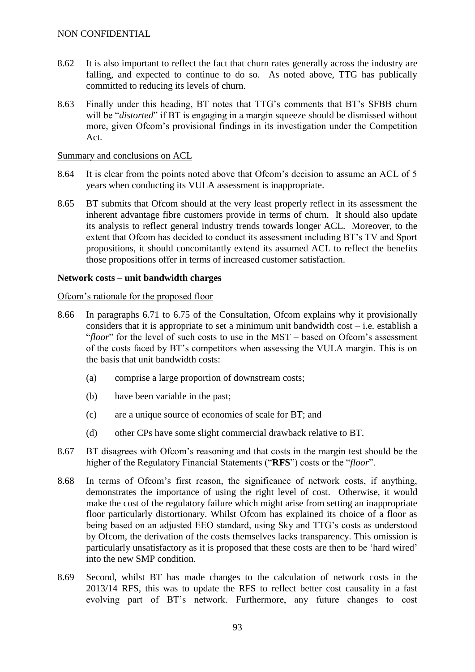- 8.62 It is also important to reflect the fact that churn rates generally across the industry are falling, and expected to continue to do so. As noted above, TTG has publically committed to reducing its levels of churn.
- 8.63 Finally under this heading, BT notes that TTG's comments that BT's SFBB churn will be "*distorted*" if BT is engaging in a margin squeeze should be dismissed without more, given Ofcom's provisional findings in its investigation under the Competition Act.

#### Summary and conclusions on ACL

- 8.64 It is clear from the points noted above that Ofcom's decision to assume an ACL of 5 years when conducting its VULA assessment is inappropriate.
- 8.65 BT submits that Ofcom should at the very least properly reflect in its assessment the inherent advantage fibre customers provide in terms of churn. It should also update its analysis to reflect general industry trends towards longer ACL. Moreover, to the extent that Ofcom has decided to conduct its assessment including BT's TV and Sport propositions, it should concomitantly extend its assumed ACL to reflect the benefits those propositions offer in terms of increased customer satisfaction.

#### **Network costs – unit bandwidth charges**

#### Ofcom's rationale for the proposed floor

- 8.66 In paragraphs 6.71 to 6.75 of the Consultation, Ofcom explains why it provisionally considers that it is appropriate to set a minimum unit bandwidth  $cost - i.e.$  establish a "*floor*" for the level of such costs to use in the MST – based on Ofcom's assessment of the costs faced by BT's competitors when assessing the VULA margin. This is on the basis that unit bandwidth costs:
	- (a) comprise a large proportion of downstream costs;
	- (b) have been variable in the past;
	- (c) are a unique source of economies of scale for BT; and
	- (d) other CPs have some slight commercial drawback relative to BT.
- 8.67 BT disagrees with Ofcom's reasoning and that costs in the margin test should be the higher of the Regulatory Financial Statements ("**RFS**") costs or the "*floor*".
- 8.68 In terms of Ofcom's first reason, the significance of network costs, if anything, demonstrates the importance of using the right level of cost. Otherwise, it would make the cost of the regulatory failure which might arise from setting an inappropriate floor particularly distortionary. Whilst Ofcom has explained its choice of a floor as being based on an adjusted EEO standard, using Sky and TTG's costs as understood by Ofcom, the derivation of the costs themselves lacks transparency. This omission is particularly unsatisfactory as it is proposed that these costs are then to be 'hard wired' into the new SMP condition.
- 8.69 Second, whilst BT has made changes to the calculation of network costs in the 2013/14 RFS, this was to update the RFS to reflect better cost causality in a fast evolving part of BT's network. Furthermore, any future changes to cost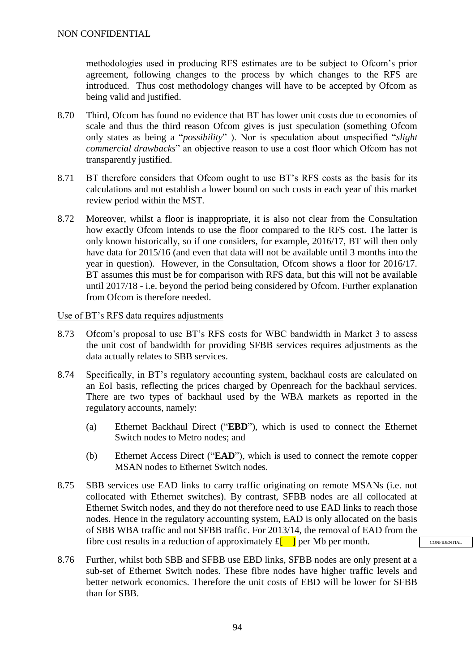methodologies used in producing RFS estimates are to be subject to Ofcom's prior agreement, following changes to the process by which changes to the RFS are introduced. Thus cost methodology changes will have to be accepted by Ofcom as being valid and justified.

- 8.70 Third, Ofcom has found no evidence that BT has lower unit costs due to economies of scale and thus the third reason Ofcom gives is just speculation (something Ofcom only states as being a "*possibility*" ). Nor is speculation about unspecified "*slight commercial drawbacks*" an objective reason to use a cost floor which Ofcom has not transparently justified.
- 8.71 BT therefore considers that Ofcom ought to use BT's RFS costs as the basis for its calculations and not establish a lower bound on such costs in each year of this market review period within the MST.
- 8.72 Moreover, whilst a floor is inappropriate, it is also not clear from the Consultation how exactly Ofcom intends to use the floor compared to the RFS cost. The latter is only known historically, so if one considers, for example, 2016/17, BT will then only have data for 2015/16 (and even that data will not be available until 3 months into the year in question). However, in the Consultation, Ofcom shows a floor for 2016/17. BT assumes this must be for comparison with RFS data, but this will not be available until 2017/18 - i.e. beyond the period being considered by Ofcom. Further explanation from Ofcom is therefore needed.

#### Use of BT's RFS data requires adjustments

- 8.73 Ofcom's proposal to use BT's RFS costs for WBC bandwidth in Market 3 to assess the unit cost of bandwidth for providing SFBB services requires adjustments as the data actually relates to SBB services.
- 8.74 Specifically, in BT's regulatory accounting system, backhaul costs are calculated on an EoI basis, reflecting the prices charged by Openreach for the backhaul services. There are two types of backhaul used by the WBA markets as reported in the regulatory accounts, namely:
	- (a) Ethernet Backhaul Direct ("**EBD**"), which is used to connect the Ethernet Switch nodes to Metro nodes; and
	- (b) Ethernet Access Direct ("**EAD**"), which is used to connect the remote copper MSAN nodes to Ethernet Switch nodes.
- 8.75 SBB services use EAD links to carry traffic originating on remote MSANs (i.e. not collocated with Ethernet switches). By contrast, SFBB nodes are all collocated at Ethernet Switch nodes, and they do not therefore need to use EAD links to reach those nodes. Hence in the regulatory accounting system, EAD is only allocated on the basis of SBB WBA traffic and not SFBB traffic. For 2013/14, the removal of EAD from the fibre cost results in a reduction of approximately  $f_{\parallel}$  | per Mb per month.

CONFIDENTIAL

8.76 Further, whilst both SBB and SFBB use EBD links, SFBB nodes are only present at a sub-set of Ethernet Switch nodes. These fibre nodes have higher traffic levels and better network economics. Therefore the unit costs of EBD will be lower for SFBB than for SBB.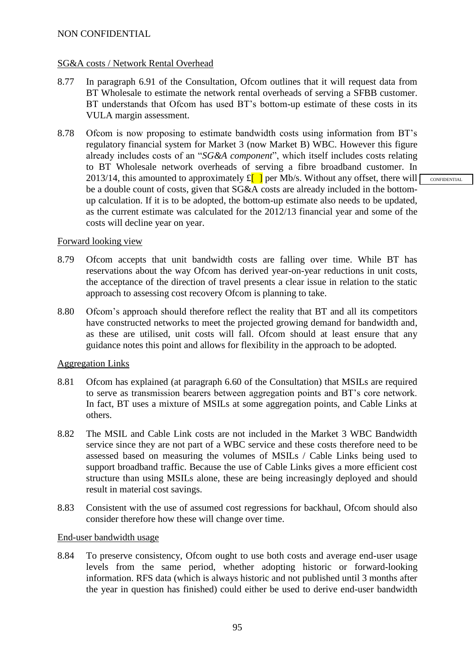#### SG&A costs / Network Rental Overhead

- 8.77 In paragraph 6.91 of the Consultation, Ofcom outlines that it will request data from BT Wholesale to estimate the network rental overheads of serving a SFBB customer. BT understands that Ofcom has used BT's bottom-up estimate of these costs in its VULA margin assessment.
- 8.78 Ofcom is now proposing to estimate bandwidth costs using information from BT's regulatory financial system for Market 3 (now Market B) WBC. However this figure already includes costs of an "*SG&A component*", which itself includes costs relating to BT Wholesale network overheads of serving a fibre broadband customer. In 2013/14, this amounted to approximately  $f_{\parallel}$  per Mb/s. Without any offset, there will  $\lceil \cdot \rceil$ be a double count of costs, given that SG&A costs are already included in the bottomup calculation. If it is to be adopted, the bottom-up estimate also needs to be updated, as the current estimate was calculated for the 2012/13 financial year and some of the costs will decline year on year.

#### Forward looking view

- 8.79 Ofcom accepts that unit bandwidth costs are falling over time. While BT has reservations about the way Ofcom has derived year-on-year reductions in unit costs, the acceptance of the direction of travel presents a clear issue in relation to the static approach to assessing cost recovery Ofcom is planning to take.
- 8.80 Ofcom's approach should therefore reflect the reality that BT and all its competitors have constructed networks to meet the projected growing demand for bandwidth and, as these are utilised, unit costs will fall. Ofcom should at least ensure that any guidance notes this point and allows for flexibility in the approach to be adopted.

#### Aggregation Links

- 8.81 Ofcom has explained (at paragraph 6.60 of the Consultation) that MSILs are required to serve as transmission bearers between aggregation points and BT's core network. In fact, BT uses a mixture of MSILs at some aggregation points, and Cable Links at others.
- 8.82 The MSIL and Cable Link costs are not included in the Market 3 WBC Bandwidth service since they are not part of a WBC service and these costs therefore need to be assessed based on measuring the volumes of MSILs / Cable Links being used to support broadband traffic. Because the use of Cable Links gives a more efficient cost structure than using MSILs alone, these are being increasingly deployed and should result in material cost savings.
- 8.83 Consistent with the use of assumed cost regressions for backhaul, Ofcom should also consider therefore how these will change over time.

#### End-user bandwidth usage

8.84 To preserve consistency, Ofcom ought to use both costs and average end-user usage levels from the same period, whether adopting historic or forward-looking information. RFS data (which is always historic and not published until 3 months after the year in question has finished) could either be used to derive end-user bandwidth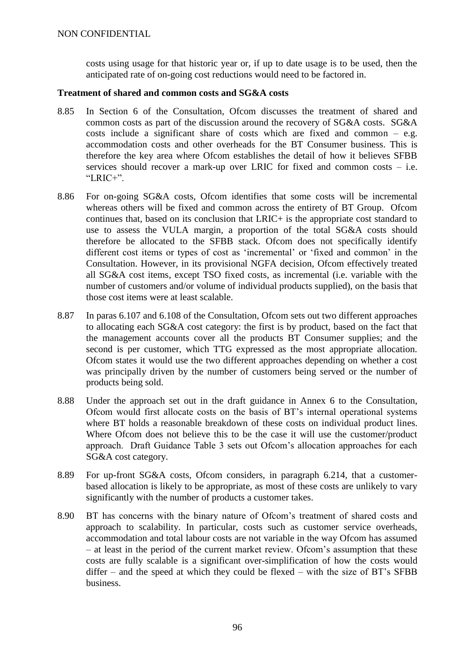costs using usage for that historic year or, if up to date usage is to be used, then the anticipated rate of on-going cost reductions would need to be factored in.

#### **Treatment of shared and common costs and SG&A costs**

- 8.85 In Section 6 of the Consultation, Ofcom discusses the treatment of shared and common costs as part of the discussion around the recovery of SG&A costs. SG&A costs include a significant share of costs which are fixed and common – e.g. accommodation costs and other overheads for the BT Consumer business. This is therefore the key area where Ofcom establishes the detail of how it believes SFBB services should recover a mark-up over LRIC for fixed and common costs – i.e. " $LRIC+$ ".
- 8.86 For on-going SG&A costs, Ofcom identifies that some costs will be incremental whereas others will be fixed and common across the entirety of BT Group. Ofcom continues that, based on its conclusion that LRIC+ is the appropriate cost standard to use to assess the VULA margin, a proportion of the total SG&A costs should therefore be allocated to the SFBB stack. Ofcom does not specifically identify different cost items or types of cost as 'incremental' or 'fixed and common' in the Consultation. However, in its provisional NGFA decision, Ofcom effectively treated all SG&A cost items, except TSO fixed costs, as incremental (i.e. variable with the number of customers and/or volume of individual products supplied), on the basis that those cost items were at least scalable.
- 8.87 In paras 6.107 and 6.108 of the Consultation, Ofcom sets out two different approaches to allocating each SG&A cost category: the first is by product, based on the fact that the management accounts cover all the products BT Consumer supplies; and the second is per customer, which TTG expressed as the most appropriate allocation. Ofcom states it would use the two different approaches depending on whether a cost was principally driven by the number of customers being served or the number of products being sold.
- 8.88 Under the approach set out in the draft guidance in Annex 6 to the Consultation, Ofcom would first allocate costs on the basis of BT's internal operational systems where BT holds a reasonable breakdown of these costs on individual product lines. Where Ofcom does not believe this to be the case it will use the customer/product approach. Draft Guidance Table 3 sets out Ofcom's allocation approaches for each SG&A cost category.
- 8.89 For up-front SG&A costs, Ofcom considers, in paragraph 6.214, that a customerbased allocation is likely to be appropriate, as most of these costs are unlikely to vary significantly with the number of products a customer takes.
- 8.90 BT has concerns with the binary nature of Ofcom's treatment of shared costs and approach to scalability. In particular, costs such as customer service overheads, accommodation and total labour costs are not variable in the way Ofcom has assumed – at least in the period of the current market review. Ofcom's assumption that these costs are fully scalable is a significant over-simplification of how the costs would differ – and the speed at which they could be flexed – with the size of  $BT$ 's  $SFBB$ business.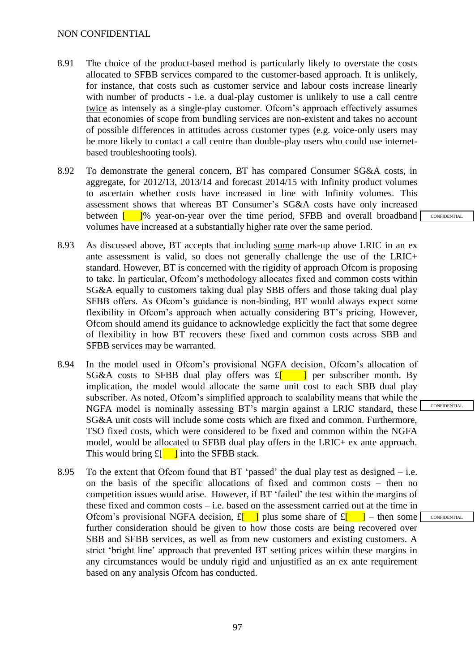- 8.91 The choice of the product-based method is particularly likely to overstate the costs allocated to SFBB services compared to the customer-based approach. It is unlikely, for instance, that costs such as customer service and labour costs increase linearly with number of products - i.e. a dual-play customer is unlikely to use a call centre twice as intensely as a single-play customer. Ofcom's approach effectively assumes that economies of scope from bundling services are non-existent and takes no account of possible differences in attitudes across customer types (e.g. voice-only users may be more likely to contact a call centre than double-play users who could use internetbased troubleshooting tools).
- 8.92 To demonstrate the general concern, BT has compared Consumer SG&A costs, in aggregate, for 2012/13, 2013/14 and forecast 2014/15 with Infinity product volumes to ascertain whether costs have increased in line with Infinity volumes. This assessment shows that whereas BT Consumer's SG&A costs have only increased between  $\begin{bmatrix} 0 \\ 1 \end{bmatrix}$  year-on-year over the time period, SFBB and overall broadband volumes have increased at a substantially higher rate over the same period.
- 8.93 As discussed above, BT accepts that including some mark-up above LRIC in an ex ante assessment is valid, so does not generally challenge the use of the LRIC+ standard. However, BT is concerned with the rigidity of approach Ofcom is proposing to take. In particular, Ofcom's methodology allocates fixed and common costs within SG&A equally to customers taking dual play SBB offers and those taking dual play SFBB offers. As Ofcom's guidance is non-binding, BT would always expect some flexibility in Ofcom's approach when actually considering BT's pricing. However, Ofcom should amend its guidance to acknowledge explicitly the fact that some degree of flexibility in how BT recovers these fixed and common costs across SBB and SFBB services may be warranted.
- 8.94 In the model used in Ofcom's provisional NGFA decision, Ofcom's allocation of SG&A costs to SFBB dual play offers was  $f$ [ ] per subscriber month. By implication, the model would allocate the same unit cost to each SBB dual play subscriber. As noted, Ofcom's simplified approach to scalability means that while the NGFA model is nominally assessing BT's margin against a LRIC standard, these SG&A unit costs will include some costs which are fixed and common. Furthermore, TSO fixed costs, which were considered to be fixed and common within the NGFA model, would be allocated to SFBB dual play offers in the LRIC+ ex ante approach. This would bring  $f_{\parallel}$   $\parallel$  into the SFBB stack.
- 8.95 To the extent that Ofcom found that  $BT$  'passed' the dual play test as designed  $-$  i.e. on the basis of the specific allocations of fixed and common costs – then no competition issues would arise. However, if BT 'failed' the test within the margins of these fixed and common costs – i.e. based on the assessment carried out at the time in Ofcom's provisional NGFA decision,  $f_{\parallel}$  | plus some share of  $f_{\parallel}$  | – then some further consideration should be given to how those costs are being recovered over SBB and SFBB services, as well as from new customers and existing customers. A strict 'bright line' approach that prevented BT setting prices within these margins in any circumstances would be unduly rigid and unjustified as an ex ante requirement based on any analysis Ofcom has conducted.

**CONFIDENTIAL** 

CONFIDENTIAL

97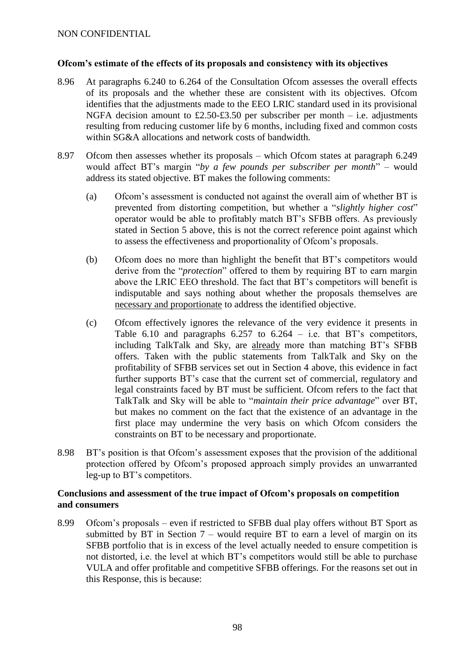#### **Ofcom's estimate of the effects of its proposals and consistency with its objectives**

- 8.96 At paragraphs 6.240 to 6.264 of the Consultation Ofcom assesses the overall effects of its proposals and the whether these are consistent with its objectives. Ofcom identifies that the adjustments made to the EEO LRIC standard used in its provisional NGFA decision amount to £2.50-£3.50 per subscriber per month – i.e. adjustments resulting from reducing customer life by 6 months, including fixed and common costs within SG&A allocations and network costs of bandwidth.
- 8.97 Ofcom then assesses whether its proposals which Ofcom states at paragraph 6.249 would affect BT's margin "*by a few pounds per subscriber per month*" – would address its stated objective. BT makes the following comments:
	- (a) Ofcom's assessment is conducted not against the overall aim of whether BT is prevented from distorting competition, but whether a "*slightly higher cost*" operator would be able to profitably match BT's SFBB offers. As previously stated in Section 5 above, this is not the correct reference point against which to assess the effectiveness and proportionality of Ofcom's proposals.
	- (b) Ofcom does no more than highlight the benefit that BT's competitors would derive from the "*protection*" offered to them by requiring BT to earn margin above the LRIC EEO threshold. The fact that BT's competitors will benefit is indisputable and says nothing about whether the proposals themselves are necessary and proportionate to address the identified objective.
	- (c) Ofcom effectively ignores the relevance of the very evidence it presents in Table 6.10 and paragraphs 6.257 to 6.264 – i.e. that BT's competitors, including TalkTalk and Sky, are already more than matching BT's SFBB offers. Taken with the public statements from TalkTalk and Sky on the profitability of SFBB services set out in Section 4 above, this evidence in fact further supports BT's case that the current set of commercial, regulatory and legal constraints faced by BT must be sufficient. Ofcom refers to the fact that TalkTalk and Sky will be able to "*maintain their price advantage*" over BT, but makes no comment on the fact that the existence of an advantage in the first place may undermine the very basis on which Ofcom considers the constraints on BT to be necessary and proportionate.
- 8.98 BT's position is that Ofcom's assessment exposes that the provision of the additional protection offered by Ofcom's proposed approach simply provides an unwarranted leg-up to BT's competitors.

## **Conclusions and assessment of the true impact of Ofcom's proposals on competition and consumers**

8.99 Ofcom's proposals – even if restricted to SFBB dual play offers without BT Sport as submitted by BT in Section  $7$  – would require BT to earn a level of margin on its SFBB portfolio that is in excess of the level actually needed to ensure competition is not distorted, i.e. the level at which BT's competitors would still be able to purchase VULA and offer profitable and competitive SFBB offerings. For the reasons set out in this Response, this is because: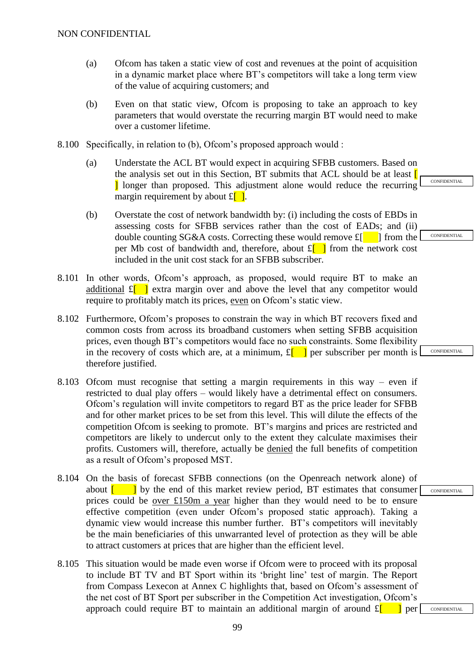- (a) Ofcom has taken a static view of cost and revenues at the point of acquisition in a dynamic market place where BT's competitors will take a long term view of the value of acquiring customers; and
- (b) Even on that static view, Ofcom is proposing to take an approach to key parameters that would overstate the recurring margin BT would need to make over a customer lifetime.
- 8.100 Specifically, in relation to (b), Ofcom's proposed approach would :
	- (a) Understate the ACL BT would expect in acquiring SFBB customers. Based on the analysis set out in this Section, BT submits that ACL should be at least  $\Gamma$ I longer than proposed. This adjustment alone would reduce the recurring margin requirement by about  $\mathbf{E}[\cdot]$ .
	- (b) Overstate the cost of network bandwidth by: (i) including the costs of EBDs in assessing costs for SFBB services rather than the cost of EADs; and (ii) double counting SG&A costs. Correcting these would remove  $f_{\parallel}$  | from the per Mb cost of bandwidth and, therefore, about  $f_{\parallel}$  from the network cost included in the unit cost stack for an SFBB subscriber.
- 8.101 In other words, Ofcom's approach, as proposed, would require BT to make an additional  $\mathbf{E}[\cdot]$  extra margin over and above the level that any competitor would require to profitably match its prices, even on Ofcom's static view.
- 8.102 Furthermore, Ofcom's proposes to constrain the way in which BT recovers fixed and common costs from across its broadband customers when setting SFBB acquisition prices, even though BT's competitors would face no such constraints. Some flexibility in the recovery of costs which are, at a minimum,  $\mathbf{E}[\cdot]$  per subscriber per month is therefore justified.
- 8.103 Ofcom must recognise that setting a margin requirements in this way even if restricted to dual play offers – would likely have a detrimental effect on consumers. Ofcom's regulation will invite competitors to regard BT as the price leader for SFBB and for other market prices to be set from this level. This will dilute the effects of the competition Ofcom is seeking to promote. BT's margins and prices are restricted and competitors are likely to undercut only to the extent they calculate maximises their profits. Customers will, therefore, actually be denied the full benefits of competition as a result of Ofcom's proposed MST.
- 8.104 On the basis of forecast SFBB connections (on the Openreach network alone) of about  $\begin{bmatrix} 1 \\ 1 \end{bmatrix}$  by the end of this market review period, BT estimates that consumer prices could be over £150m a year higher than they would need to be to ensure effective competition (even under Ofcom's proposed static approach). Taking a dynamic view would increase this number further. BT's competitors will inevitably be the main beneficiaries of this unwarranted level of protection as they will be able to attract customers at prices that are higher than the efficient level.
- 8.105 This situation would be made even worse if Ofcom were to proceed with its proposal to include BT TV and BT Sport within its 'bright line' test of margin. The Report from Compass Lexecon at Annex C highlights that, based on Ofcom's assessment of the net cost of BT Sport per subscriber in the Competition Act investigation, Ofcom's approach could require BT to maintain an additional margin of around  $f_{\parallel}$  | per

**CONFIDENTIAL** 

**CONFIDENTIAL** 

CONFIDENTIAL

CONFIDENTIAL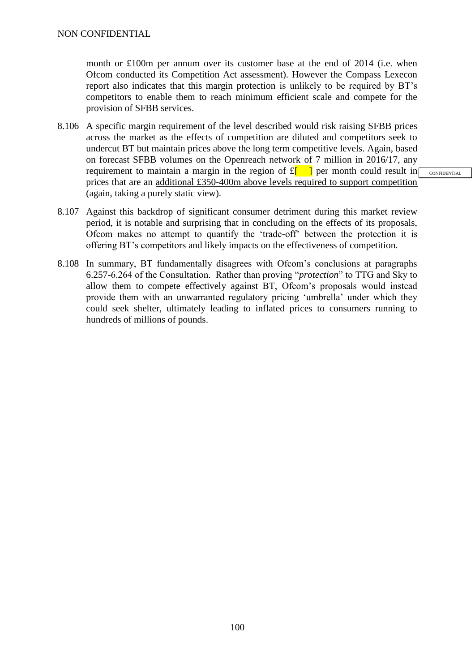month or £100m per annum over its customer base at the end of 2014 (i.e. when Ofcom conducted its Competition Act assessment). However the Compass Lexecon report also indicates that this margin protection is unlikely to be required by BT's competitors to enable them to reach minimum efficient scale and compete for the provision of SFBB services.

8.106 A specific margin requirement of the level described would risk raising SFBB prices across the market as the effects of competition are diluted and competitors seek to undercut BT but maintain prices above the long term competitive levels. Again, based on forecast SFBB volumes on the Openreach network of 7 million in 2016/17, any requirement to maintain a margin in the region of  $f_{\parallel}$  and per month could result in prices that are an additional £350-400m above levels required to support competition (again, taking a purely static view).

- 8.107 Against this backdrop of significant consumer detriment during this market review period, it is notable and surprising that in concluding on the effects of its proposals, Ofcom makes no attempt to quantify the 'trade-off' between the protection it is offering BT's competitors and likely impacts on the effectiveness of competition.
- 8.108 In summary, BT fundamentally disagrees with Ofcom's conclusions at paragraphs 6.257-6.264 of the Consultation. Rather than proving "*protection*" to TTG and Sky to allow them to compete effectively against BT, Ofcom's proposals would instead provide them with an unwarranted regulatory pricing 'umbrella' under which they could seek shelter, ultimately leading to inflated prices to consumers running to hundreds of millions of pounds.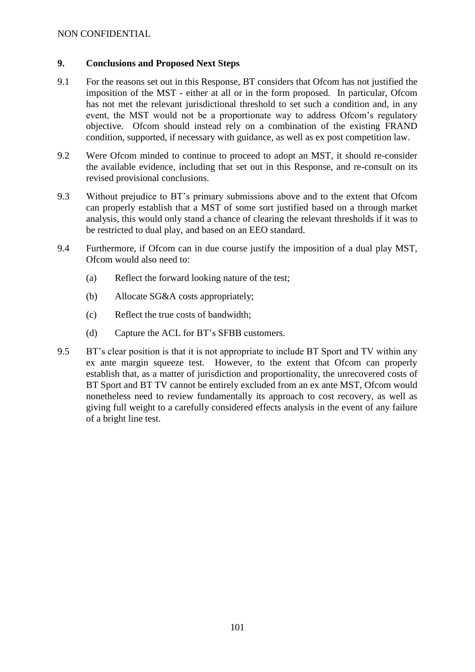## **9. Conclusions and Proposed Next Steps**

- 9.1 For the reasons set out in this Response, BT considers that Ofcom has not justified the imposition of the MST - either at all or in the form proposed. In particular, Ofcom has not met the relevant jurisdictional threshold to set such a condition and, in any event, the MST would not be a proportionate way to address Ofcom's regulatory objective. Ofcom should instead rely on a combination of the existing FRAND condition, supported, if necessary with guidance, as well as ex post competition law.
- 9.2 Were Ofcom minded to continue to proceed to adopt an MST, it should re-consider the available evidence, including that set out in this Response, and re-consult on its revised provisional conclusions.
- 9.3 Without prejudice to BT's primary submissions above and to the extent that Ofcom can properly establish that a MST of some sort justified based on a through market analysis, this would only stand a chance of clearing the relevant thresholds if it was to be restricted to dual play, and based on an EEO standard.
- 9.4 Furthermore, if Ofcom can in due course justify the imposition of a dual play MST, Ofcom would also need to:
	- (a) Reflect the forward looking nature of the test;
	- (b) Allocate SG&A costs appropriately;
	- (c) Reflect the true costs of bandwidth;
	- (d) Capture the ACL for BT's SFBB customers.
- 9.5 BT's clear position is that it is not appropriate to include BT Sport and TV within any ex ante margin squeeze test. However, to the extent that Ofcom can properly establish that, as a matter of jurisdiction and proportionality, the unrecovered costs of BT Sport and BT TV cannot be entirely excluded from an ex ante MST, Ofcom would nonetheless need to review fundamentally its approach to cost recovery, as well as giving full weight to a carefully considered effects analysis in the event of any failure of a bright line test.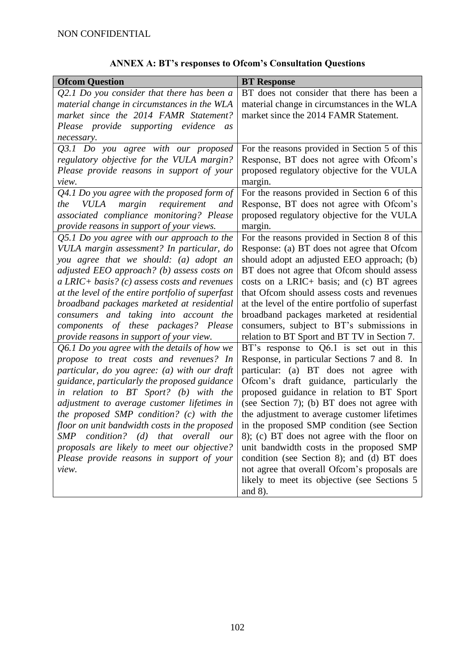|  |  | <b>ANNEX A: BT's responses to Ofcom's Consultation Questions</b> |  |
|--|--|------------------------------------------------------------------|--|
|--|--|------------------------------------------------------------------|--|

| <b>Ofcom Question</b>                                                                    | <b>BT</b> Response                                                                         |
|------------------------------------------------------------------------------------------|--------------------------------------------------------------------------------------------|
| $Q2.1$ Do you consider that there has been a                                             | BT does not consider that there has been a                                                 |
| material change in circumstances in the WLA                                              | material change in circumstances in the WLA                                                |
| market since the 2014 FAMR Statement?                                                    | market since the 2014 FAMR Statement.                                                      |
| Please provide supporting evidence<br><i>as</i>                                          |                                                                                            |
| necessary.                                                                               |                                                                                            |
| Q3.1 Do you agree with our proposed                                                      | For the reasons provided in Section 5 of this                                              |
| regulatory objective for the VULA margin?                                                | Response, BT does not agree with Ofcom's                                                   |
| Please provide reasons in support of your                                                | proposed regulatory objective for the VULA                                                 |
| view.                                                                                    | margin.                                                                                    |
| $Q4.1$ Do you agree with the proposed form of                                            | For the reasons provided in Section 6 of this                                              |
| requirement<br><i>VULA</i><br>margin<br>the<br>and                                       | Response, BT does not agree with Ofcom's                                                   |
| associated compliance monitoring? Please                                                 | proposed regulatory objective for the VULA                                                 |
| provide reasons in support of your views.                                                | margin.                                                                                    |
| Q5.1 Do you agree with our approach to the                                               | For the reasons provided in Section 8 of this                                              |
| VULA margin assessment? In particular, do                                                | Response: (a) BT does not agree that Ofcom                                                 |
| you agree that we should: (a) adopt an                                                   | should adopt an adjusted EEO approach; (b)                                                 |
| adjusted EEO approach? (b) assess costs on                                               | BT does not agree that Ofcom should assess                                                 |
| $a$ LRIC+ basis? (c) assess costs and revenues                                           | costs on a LRIC+ basis; and (c) BT agrees                                                  |
| at the level of the entire portfolio of superfast                                        | that Ofcom should assess costs and revenues                                                |
| broadband packages marketed at residential                                               | at the level of the entire portfolio of superfast                                          |
| consumers and taking into account the                                                    | broadband packages marketed at residential                                                 |
| components of these packages? Please                                                     | consumers, subject to BT's submissions in                                                  |
| provide reasons in support of your view.                                                 | relation to BT Sport and BT TV in Section 7.                                               |
| $Q6.1$ Do you agree with the details of how we                                           | BT's response to $Q6.1$ is set out in this                                                 |
| propose to treat costs and revenues? In                                                  | Response, in particular Sections 7 and 8. In                                               |
| particular, do you agree: (a) with our draft                                             | particular: (a) BT does not agree with                                                     |
| guidance, particularly the proposed guidance                                             | Ofcom's draft guidance, particularly the                                                   |
| in relation to BT Sport? (b) with the                                                    | proposed guidance in relation to BT Sport                                                  |
| adjustment to average customer lifetimes in                                              | (see Section 7); (b) BT does not agree with                                                |
| the proposed SMP condition? (c) with the                                                 | the adjustment to average customer lifetimes                                               |
| floor on unit bandwidth costs in the proposed                                            | in the proposed SMP condition (see Section                                                 |
| condition? (d) that overall<br>SMP<br>our<br>proposals are likely to meet our objective? | 8); (c) BT does not agree with the floor on<br>unit bandwidth costs in the proposed SMP    |
|                                                                                          |                                                                                            |
| Please provide reasons in support of your<br>view.                                       | condition (see Section 8); and (d) BT does<br>not agree that overall Ofcom's proposals are |
|                                                                                          | likely to meet its objective (see Sections 5                                               |
|                                                                                          | and $8$ ).                                                                                 |
|                                                                                          |                                                                                            |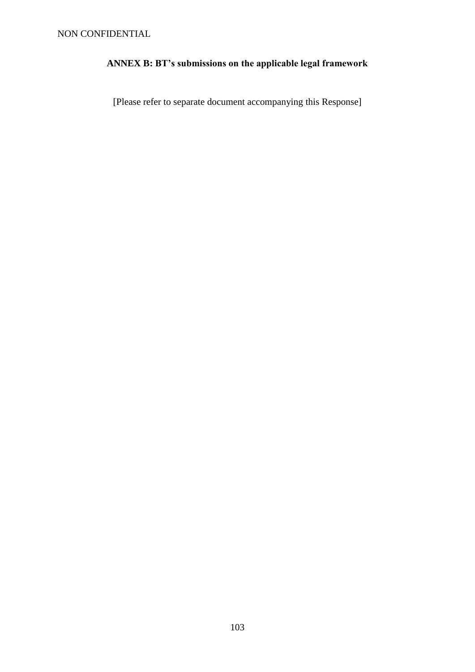# **ANNEX B: BT's submissions on the applicable legal framework**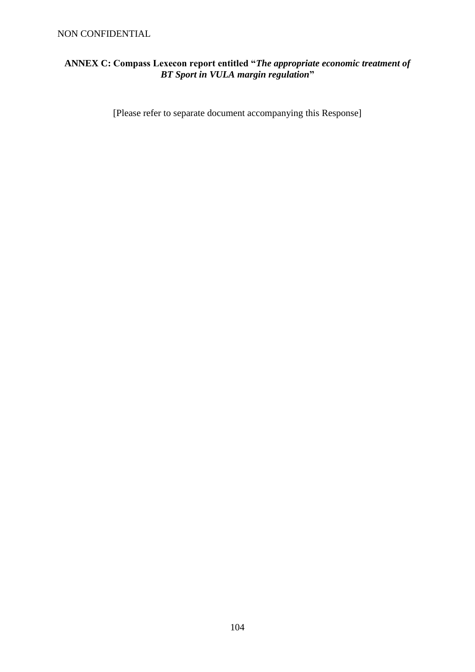## NON CONFIDENTIAL

## **ANNEX C: Compass Lexecon report entitled "***The appropriate economic treatment of BT Sport in VULA margin regulation***"**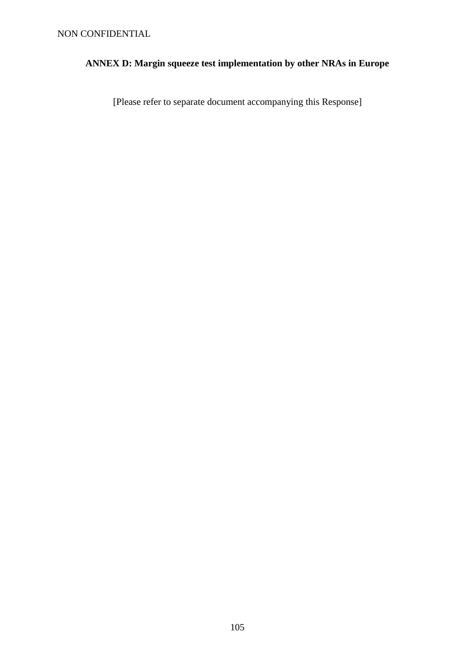# **ANNEX D: Margin squeeze test implementation by other NRAs in Europe**